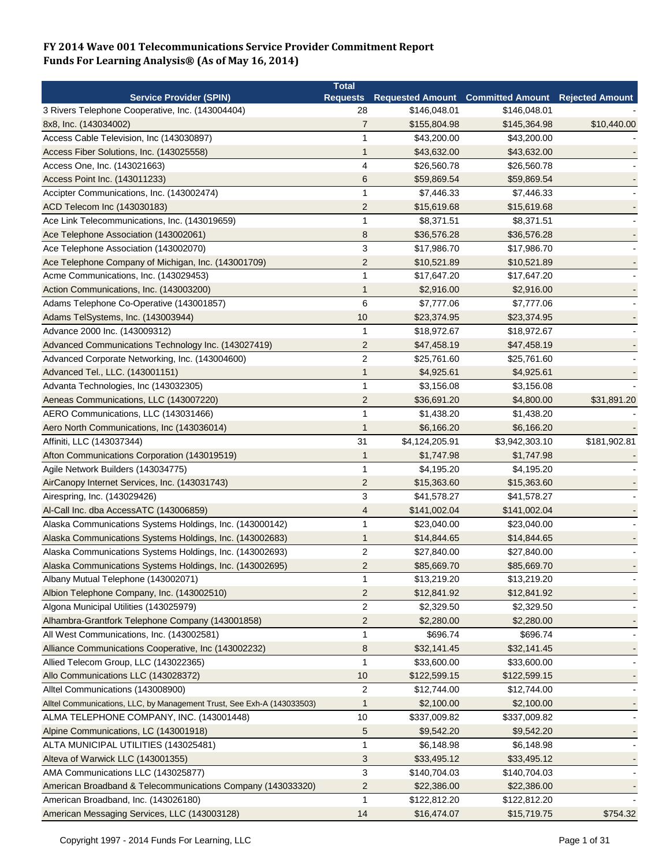|                                                                        | <b>Total</b>            |                |                                          |                        |
|------------------------------------------------------------------------|-------------------------|----------------|------------------------------------------|------------------------|
| <b>Service Provider (SPIN)</b>                                         | <b>Requests</b>         |                | <b>Requested Amount Committed Amount</b> | <b>Rejected Amount</b> |
| 3 Rivers Telephone Cooperative, Inc. (143004404)                       | 28                      | \$146,048.01   | \$146,048.01                             |                        |
| 8x8, Inc. (143034002)                                                  | $\overline{7}$          | \$155,804.98   | \$145,364.98                             | \$10,440.00            |
| Access Cable Television, Inc (143030897)                               | 1                       | \$43,200.00    | \$43,200.00                              |                        |
| Access Fiber Solutions, Inc. (143025558)                               | 1                       | \$43,632.00    | \$43,632.00                              |                        |
| Access One, Inc. (143021663)                                           | $\overline{4}$          | \$26,560.78    | \$26,560.78                              |                        |
| Access Point Inc. (143011233)                                          | 6                       | \$59,869.54    | \$59,869.54                              |                        |
| Accipter Communications, Inc. (143002474)                              |                         | \$7,446.33     | \$7,446.33                               |                        |
| ACD Telecom Inc (143030183)                                            | $\overline{2}$          | \$15,619.68    | \$15,619.68                              |                        |
| Ace Link Telecommunications, Inc. (143019659)                          | $\mathbf 1$             | \$8,371.51     | \$8,371.51                               |                        |
| Ace Telephone Association (143002061)                                  | 8                       | \$36,576.28    | \$36,576.28                              |                        |
| Ace Telephone Association (143002070)                                  | 3                       | \$17,986.70    | \$17,986.70                              |                        |
| Ace Telephone Company of Michigan, Inc. (143001709)                    | $\overline{2}$          | \$10,521.89    | \$10,521.89                              |                        |
| Acme Communications, Inc. (143029453)                                  | 1                       | \$17,647.20    | \$17,647.20                              |                        |
| Action Communications, Inc. (143003200)                                | 1                       | \$2,916.00     | \$2,916.00                               |                        |
| Adams Telephone Co-Operative (143001857)                               | 6                       | \$7,777.06     | \$7,777.06                               |                        |
| Adams TelSystems, Inc. (143003944)                                     | 10                      | \$23,374.95    | \$23,374.95                              |                        |
| Advance 2000 Inc. (143009312)                                          | $\mathbf 1$             | \$18,972.67    | \$18,972.67                              |                        |
| Advanced Communications Technology Inc. (143027419)                    | $\overline{c}$          | \$47,458.19    | \$47,458.19                              |                        |
| Advanced Corporate Networking, Inc. (143004600)                        | $\sqrt{2}$              | \$25,761.60    | \$25,761.60                              |                        |
| Advanced Tel., LLC. (143001151)                                        | 1                       | \$4,925.61     | \$4,925.61                               |                        |
| Advanta Technologies, Inc (143032305)                                  | $\mathbf{1}$            | \$3,156.08     | \$3,156.08                               |                        |
|                                                                        | $\overline{\mathbf{c}}$ |                |                                          |                        |
| Aeneas Communications, LLC (143007220)                                 | 1                       | \$36,691.20    | \$4,800.00                               | \$31,891.20            |
| AERO Communications, LLC (143031466)                                   |                         | \$1,438.20     | \$1,438.20                               |                        |
| Aero North Communications, Inc (143036014)                             | $\mathbf{1}$            | \$6,166.20     | \$6,166.20                               |                        |
| Affiniti, LLC (143037344)                                              | 31                      | \$4,124,205.91 | \$3,942,303.10                           | \$181,902.81           |
| Afton Communications Corporation (143019519)                           | 1                       | \$1,747.98     | \$1,747.98                               |                        |
| Agile Network Builders (143034775)                                     | 1                       | \$4,195.20     | \$4,195.20                               |                        |
| AirCanopy Internet Services, Inc. (143031743)                          | $\overline{2}$          | \$15,363.60    | \$15,363.60                              |                        |
| Airespring, Inc. (143029426)                                           | 3                       | \$41,578.27    | \$41,578.27                              |                        |
| Al-Call Inc. dba AccessATC (143006859)                                 | 4                       | \$141,002.04   | \$141,002.04                             |                        |
| Alaska Communications Systems Holdings, Inc. (143000142)               | $\mathbf{1}$            | \$23,040.00    | \$23,040.00                              |                        |
| Alaska Communications Systems Holdings, Inc. (143002683)               | 1                       | \$14,844.65    | \$14,844.65                              |                        |
| Alaska Communications Systems Holdings, Inc. (143002693)               | $\overline{2}$          | \$27,840.00    | \$27,840.00                              |                        |
| Alaska Communications Systems Holdings, Inc. (143002695)               | $\overline{2}$          | \$85,669.70    | \$85,669.70                              |                        |
| Albany Mutual Telephone (143002071)                                    | 1                       | \$13,219.20    | \$13,219.20                              |                        |
| Albion Telephone Company, Inc. (143002510)                             | $\overline{2}$          | \$12,841.92    | \$12,841.92                              |                        |
| Algona Municipal Utilities (143025979)                                 | $\overline{c}$          | \$2,329.50     | \$2,329.50                               |                        |
| Alhambra-Grantfork Telephone Company (143001858)                       | $\overline{c}$          | \$2,280.00     | \$2,280.00                               |                        |
| All West Communications, Inc. (143002581)                              | 1                       | \$696.74       | \$696.74                                 |                        |
| Alliance Communications Cooperative, Inc (143002232)                   | 8                       | \$32,141.45    | \$32,141.45                              |                        |
| Allied Telecom Group, LLC (143022365)                                  | $\mathbf{1}$            | \$33,600.00    | \$33,600.00                              |                        |
| Allo Communications LLC (143028372)                                    | 10                      | \$122,599.15   | \$122,599.15                             |                        |
| Alltel Communications (143008900)                                      | 2                       | \$12,744.00    | \$12,744.00                              |                        |
| Alltel Communications, LLC, by Management Trust, See Exh-A (143033503) | $\mathbf 1$             | \$2,100.00     | \$2,100.00                               |                        |
| ALMA TELEPHONE COMPANY, INC. (143001448)                               | 10                      | \$337,009.82   | \$337,009.82                             |                        |
| Alpine Communications, LC (143001918)                                  | 5                       | \$9,542.20     | \$9,542.20                               |                        |
| ALTA MUNICIPAL UTILITIES (143025481)                                   | $\mathbf{1}$            | \$6,148.98     | \$6,148.98                               |                        |
| Alteva of Warwick LLC (143001355)                                      | $\sqrt{3}$              | \$33,495.12    | \$33,495.12                              |                        |
| AMA Communications LLC (143025877)                                     | 3                       | \$140,704.03   | \$140,704.03                             |                        |
| American Broadband & Telecommunications Company (143033320)            | $\overline{c}$          | \$22,386.00    | \$22,386.00                              |                        |
| American Broadband, Inc. (143026180)                                   | $\mathbf{1}$            | \$122,812.20   | \$122,812.20                             |                        |
| American Messaging Services, LLC (143003128)                           | 14                      | \$16,474.07    | \$15,719.75                              | \$754.32               |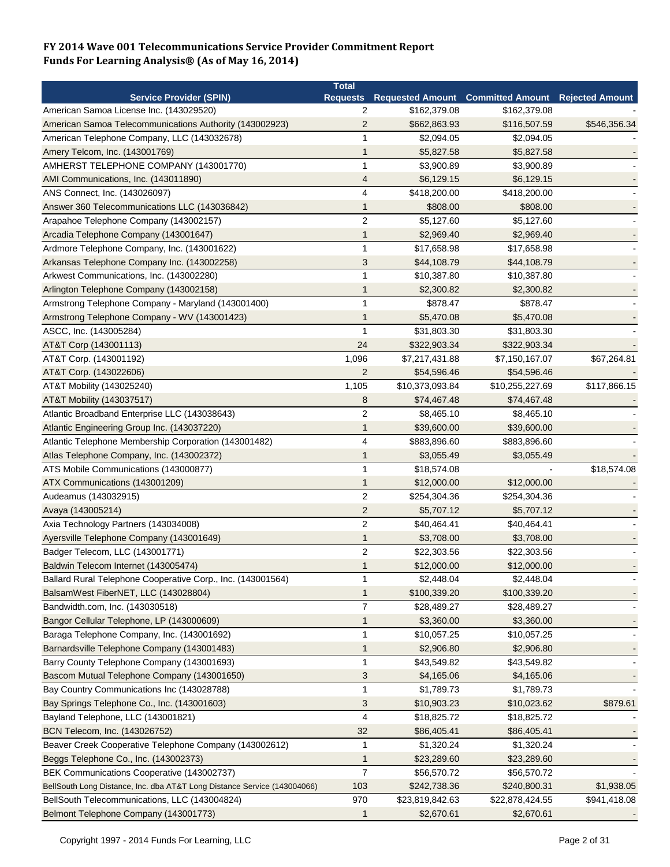|                                                                          | <b>Total</b>    |                 |                                                   |              |
|--------------------------------------------------------------------------|-----------------|-----------------|---------------------------------------------------|--------------|
| <b>Service Provider (SPIN)</b>                                           | <b>Requests</b> |                 | Requested Amount Committed Amount Rejected Amount |              |
| American Samoa License Inc. (143029520)                                  | 2               | \$162,379.08    | \$162,379.08                                      |              |
| American Samoa Telecommunications Authority (143002923)                  | $\overline{2}$  | \$662,863.93    | \$116,507.59                                      | \$546,356.34 |
| American Telephone Company, LLC (143032678)                              | 1               | \$2,094.05      | \$2,094.05                                        |              |
| Amery Telcom, Inc. (143001769)                                           | 1               | \$5,827.58      | \$5,827.58                                        |              |
| AMHERST TELEPHONE COMPANY (143001770)                                    | 1               | \$3,900.89      | \$3,900.89                                        |              |
| AMI Communications, Inc. (143011890)                                     | 4               | \$6,129.15      | \$6,129.15                                        |              |
| ANS Connect, Inc. (143026097)                                            | 4               | \$418,200.00    | \$418,200.00                                      |              |
| Answer 360 Telecommunications LLC (143036842)                            | 1               | \$808.00        | \$808.00                                          |              |
| Arapahoe Telephone Company (143002157)                                   | $\overline{c}$  | \$5,127.60      | \$5.127.60                                        |              |
| Arcadia Telephone Company (143001647)                                    | $\mathbf{1}$    | \$2,969.40      | \$2,969.40                                        |              |
| Ardmore Telephone Company, Inc. (143001622)                              | 1               | \$17,658.98     | \$17,658.98                                       |              |
| Arkansas Telephone Company Inc. (143002258)                              | 3               | \$44,108.79     | \$44,108.79                                       |              |
| Arkwest Communications, Inc. (143002280)                                 | -1              | \$10,387.80     | \$10,387.80                                       |              |
| Arlington Telephone Company (143002158)                                  | 1               | \$2,300.82      | \$2,300.82                                        |              |
| Armstrong Telephone Company - Maryland (143001400)                       | 1               | \$878.47        | \$878.47                                          |              |
| Armstrong Telephone Company - WV (143001423)                             | 1               | \$5,470.08      | \$5,470.08                                        |              |
| ASCC, Inc. (143005284)                                                   | 1               | \$31,803.30     | \$31,803.30                                       |              |
| AT&T Corp (143001113)                                                    | 24              | \$322,903.34    | \$322,903.34                                      |              |
| AT&T Corp. (143001192)                                                   | 1,096           | \$7,217,431.88  | \$7,150,167.07                                    | \$67,264.81  |
| AT&T Corp. (143022606)                                                   | $\overline{2}$  | \$54,596.46     | \$54,596.46                                       |              |
| AT&T Mobility (143025240)                                                |                 |                 | \$10,255,227.69                                   | \$117,866.15 |
|                                                                          | 1,105           | \$10,373,093.84 |                                                   |              |
| AT&T Mobility (143037517)                                                | 8               | \$74,467.48     | \$74,467.48                                       |              |
| Atlantic Broadband Enterprise LLC (143038643)                            | $\overline{2}$  | \$8,465.10      | \$8,465.10                                        |              |
| Atlantic Engineering Group Inc. (143037220)                              | 1               | \$39,600.00     | \$39,600.00                                       |              |
| Atlantic Telephone Membership Corporation (143001482)                    | 4               | \$883,896.60    | \$883,896.60                                      |              |
| Atlas Telephone Company, Inc. (143002372)                                | 1               | \$3,055.49      | \$3,055.49                                        |              |
| ATS Mobile Communications (143000877)                                    | 1               | \$18,574.08     |                                                   | \$18,574.08  |
| ATX Communications (143001209)                                           | $\mathbf 1$     | \$12,000.00     | \$12,000.00                                       |              |
| Audeamus (143032915)                                                     | $\overline{c}$  | \$254,304.36    | \$254,304.36                                      |              |
| Avaya (143005214)                                                        | $\overline{2}$  | \$5,707.12      | \$5,707.12                                        |              |
| Axia Technology Partners (143034008)                                     | $\overline{c}$  | \$40,464.41     | \$40,464.41                                       |              |
| Ayersville Telephone Company (143001649)                                 | 1               | \$3,708.00      | \$3,708.00                                        |              |
| Badger Telecom, LLC (143001771)                                          | $\overline{2}$  | \$22,303.56     | \$22,303.56                                       |              |
| Baldwin Telecom Internet (143005474)                                     | 1               | \$12,000.00     | \$12,000.00                                       |              |
| Ballard Rural Telephone Cooperative Corp., Inc. (143001564)              | $\mathbf{1}$    | \$2,448.04      | \$2,448.04                                        |              |
| BalsamWest FiberNET, LLC (143028804)                                     | 1               | \$100,339.20    | \$100,339.20                                      |              |
| Bandwidth.com, Inc. (143030518)                                          | $\overline{7}$  | \$28,489.27     | \$28,489.27                                       |              |
| Bangor Cellular Telephone, LP (143000609)                                | $\mathbf{1}$    | \$3,360.00      | \$3,360.00                                        |              |
| Baraga Telephone Company, Inc. (143001692)                               | 1               | \$10,057.25     | \$10,057.25                                       |              |
| Barnardsville Telephone Company (143001483)                              | 1               | \$2,906.80      | \$2,906.80                                        |              |
| Barry County Telephone Company (143001693)                               | 1               | \$43,549.82     | \$43,549.82                                       |              |
| Bascom Mutual Telephone Company (143001650)                              | 3               | \$4,165.06      | \$4,165.06                                        |              |
| Bay Country Communications Inc (143028788)                               | $\mathbf 1$     | \$1,789.73      | \$1,789.73                                        |              |
| Bay Springs Telephone Co., Inc. (143001603)                              | 3               | \$10,903.23     | \$10,023.62                                       | \$879.61     |
| Bayland Telephone, LLC (143001821)                                       | 4               | \$18,825.72     | \$18,825.72                                       |              |
| BCN Telecom, Inc. (143026752)                                            | 32              | \$86,405.41     | \$86,405.41                                       |              |
| Beaver Creek Cooperative Telephone Company (143002612)                   | $\mathbf{1}$    | \$1,320.24      | \$1,320.24                                        |              |
| Beggs Telephone Co., Inc. (143002373)                                    | 1               | \$23,289.60     | \$23,289.60                                       |              |
| BEK Communications Cooperative (143002737)                               | $\overline{7}$  | \$56,570.72     | \$56,570.72                                       |              |
| BellSouth Long Distance, Inc. dba AT&T Long Distance Service (143004066) | 103             | \$242,738.36    | \$240,800.31                                      | \$1,938.05   |
| BellSouth Telecommunications, LLC (143004824)                            | 970             |                 |                                                   |              |
|                                                                          |                 | \$23,819,842.63 | \$22,878,424.55                                   | \$941,418.08 |
| Belmont Telephone Company (143001773)                                    | 1               | \$2,670.61      | \$2,670.61                                        |              |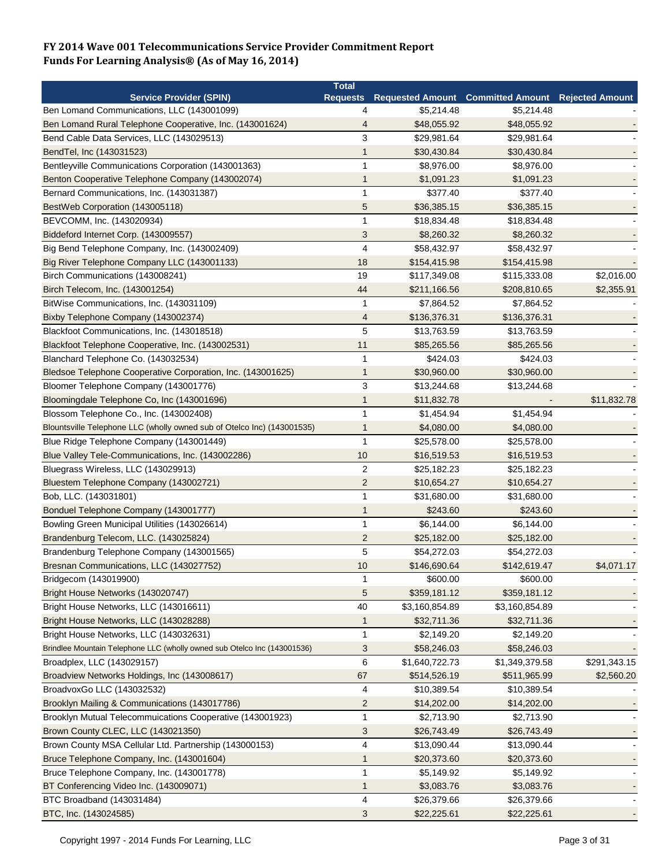| Requests Requested Amount Committed Amount<br><b>Service Provider (SPIN)</b><br><b>Rejected Amount</b><br>\$5,214.48<br>\$5,214.48<br>Ben Lomand Communications, LLC (143001099)<br>4<br>Ben Lomand Rural Telephone Cooperative, Inc. (143001624)<br>4<br>\$48,055.92<br>\$48,055.92<br>3<br>Bend Cable Data Services, LLC (143029513)<br>\$29,981.64<br>\$29,981.64<br>BendTel, Inc (143031523)<br>\$30,430.84<br>\$30,430.84<br>1<br>Bentleyville Communications Corporation (143001363)<br>1<br>\$8,976.00<br>\$8,976.00<br>Benton Cooperative Telephone Company (143002074)<br>\$1,091.23<br>\$1,091.23<br>1<br>$\mathbf{1}$<br>\$377.40<br>Bernard Communications, Inc. (143031387)<br>\$377.40<br>BestWeb Corporation (143005118)<br>5<br>\$36,385.15<br>\$36,385.15<br>BEVCOMM, Inc. (143020934)<br>1<br>\$18,834.48<br>\$18,834.48<br>Biddeford Internet Corp. (143009557)<br>3<br>\$8,260.32<br>\$8,260.32<br>$\overline{4}$<br>Big Bend Telephone Company, Inc. (143002409)<br>\$58,432.97<br>\$58,432.97<br>Big River Telephone Company LLC (143001133)<br>18<br>\$154,415.98<br>\$154,415.98<br>Birch Communications (143008241)<br>19<br>\$2,016.00<br>\$117,349.08<br>\$115,333.08<br>Birch Telecom, Inc. (143001254)<br>44<br>\$2,355.91<br>\$211,166.56<br>\$208,810.65<br>BitWise Communications, Inc. (143031109)<br>$\mathbf{1}$<br>\$7,864.52<br>\$7,864.52<br>Bixby Telephone Company (143002374)<br>\$136,376.31<br>\$136,376.31<br>4<br>5<br>Blackfoot Communications, Inc. (143018518)<br>\$13,763.59<br>\$13,763.59<br>11<br>Blackfoot Telephone Cooperative, Inc. (143002531)<br>\$85,265.56<br>\$85,265.56<br>Blanchard Telephone Co. (143032534)<br>$\mathbf{1}$<br>\$424.03<br>\$424.03<br>Bledsoe Telephone Cooperative Corporation, Inc. (143001625)<br>$\mathbf{1}$<br>\$30,960.00<br>\$30,960.00<br>$\mathbf{3}$<br>Bloomer Telephone Company (143001776)<br>\$13,244.68<br>\$13,244.68<br>\$11,832.78<br>Bloomingdale Telephone Co, Inc (143001696)<br>$\mathbf 1$<br>\$11,832.78<br>Blossom Telephone Co., Inc. (143002408)<br>$\mathbf{1}$<br>\$1,454.94<br>\$1,454.94<br>Blountsville Telephone LLC (wholly owned sub of Otelco Inc) (143001535)<br>\$4,080.00<br>$\mathbf{1}$<br>\$4,080.00<br>$\mathbf{1}$<br>Blue Ridge Telephone Company (143001449)<br>\$25,578.00<br>\$25,578.00<br>10<br>Blue Valley Tele-Communications, Inc. (143002286)<br>\$16,519.53<br>\$16,519.53<br>$\overline{2}$<br>Bluegrass Wireless, LLC (143029913)<br>\$25,182.23<br>\$25,182.23<br>$\overline{2}$<br>Bluestem Telephone Company (143002721)<br>\$10,654.27<br>\$10,654.27<br>Bob, LLC. (143031801)<br>1<br>\$31,680.00<br>\$31,680.00<br>Bonduel Telephone Company (143001777)<br>\$243.60<br>\$243.60<br>1<br>$\mathbf{1}$<br>Bowling Green Municipal Utilities (143026614)<br>\$6,144.00<br>\$6,144.00<br>Brandenburg Telecom, LLC. (143025824)<br>$\overline{c}$<br>\$25,182.00<br>\$25,182.00<br>5<br>Brandenburg Telephone Company (143001565)<br>\$54,272.03<br>\$54,272.03<br>Bresnan Communications, LLC (143027752)<br>10<br>\$146,690.64<br>\$142,619.47<br>\$4,071.17<br>\$600.00<br>Bridgecom (143019900)<br>1<br>\$600.00<br>Bright House Networks (143020747)<br>5<br>\$359,181.12<br>\$359,181.12<br>40<br>Bright House Networks, LLC (143016611)<br>\$3,160,854.89<br>\$3,160,854.89<br>Bright House Networks, LLC (143028288)<br>\$32,711.36<br>\$32,711.36<br>$\mathbf 1$<br>Bright House Networks, LLC (143032631)<br>\$2,149.20<br>\$2,149.20<br>1<br>Brindlee Mountain Telephone LLC (wholly owned sub Otelco Inc (143001536)<br>3<br>\$58,246.03<br>\$58,246.03<br>Broadplex, LLC (143029157)<br>6<br>\$291,343.15<br>\$1,640,722.73<br>\$1,349,379.58<br>Broadview Networks Holdings, Inc (143008617)<br>67<br>\$2,560.20<br>\$514,526.19<br>\$511,965.99<br>BroadvoxGo LLC (143032532)<br>\$10,389.54<br>4<br>\$10,389.54<br>Brooklyn Mailing & Communications (143017786)<br>$\overline{\mathbf{c}}$<br>\$14,202.00<br>\$14,202.00<br>Brooklyn Mutual Telecommuications Cooperative (143001923)<br>$\mathbf{1}$<br>\$2,713.90<br>\$2,713.90<br>Brown County CLEC, LLC (143021350)<br>3<br>\$26,743.49<br>\$26,743.49<br>4<br>Brown County MSA Cellular Ltd. Partnership (143000153)<br>\$13,090.44<br>\$13,090.44<br>Bruce Telephone Company, Inc. (143001604)<br>\$20,373.60<br>\$20,373.60<br>1<br>Bruce Telephone Company, Inc. (143001778)<br>1<br>\$5,149.92<br>\$5,149.92<br>BT Conferencing Video Inc. (143009071)<br>$\mathbf{1}$<br>\$3,083.76<br>\$3,083.76 | <b>Total</b> |  |  |
|----------------------------------------------------------------------------------------------------------------------------------------------------------------------------------------------------------------------------------------------------------------------------------------------------------------------------------------------------------------------------------------------------------------------------------------------------------------------------------------------------------------------------------------------------------------------------------------------------------------------------------------------------------------------------------------------------------------------------------------------------------------------------------------------------------------------------------------------------------------------------------------------------------------------------------------------------------------------------------------------------------------------------------------------------------------------------------------------------------------------------------------------------------------------------------------------------------------------------------------------------------------------------------------------------------------------------------------------------------------------------------------------------------------------------------------------------------------------------------------------------------------------------------------------------------------------------------------------------------------------------------------------------------------------------------------------------------------------------------------------------------------------------------------------------------------------------------------------------------------------------------------------------------------------------------------------------------------------------------------------------------------------------------------------------------------------------------------------------------------------------------------------------------------------------------------------------------------------------------------------------------------------------------------------------------------------------------------------------------------------------------------------------------------------------------------------------------------------------------------------------------------------------------------------------------------------------------------------------------------------------------------------------------------------------------------------------------------------------------------------------------------------------------------------------------------------------------------------------------------------------------------------------------------------------------------------------------------------------------------------------------------------------------------------------------------------------------------------------------------------------------------------------------------------------------------------------------------------------------------------------------------------------------------------------------------------------------------------------------------------------------------------------------------------------------------------------------------------------------------------------------------------------------------------------------------------------------------------------------------------------------------------------------------------------------------------------------------------------------------------------------------------------------------------------------------------------------------------------------------------------------------------------------------------------------------------------------------------------------------------------------------------------------------------------------------------------------------------------------------------------------------------------------------------------------------------------------------------------------------------------------------------------------------------------------------------------------------------------------------------------------------------------------------------------------------------------------------------------------------------------------------------------|--------------|--|--|
|                                                                                                                                                                                                                                                                                                                                                                                                                                                                                                                                                                                                                                                                                                                                                                                                                                                                                                                                                                                                                                                                                                                                                                                                                                                                                                                                                                                                                                                                                                                                                                                                                                                                                                                                                                                                                                                                                                                                                                                                                                                                                                                                                                                                                                                                                                                                                                                                                                                                                                                                                                                                                                                                                                                                                                                                                                                                                                                                                                                                                                                                                                                                                                                                                                                                                                                                                                                                                                                                                                                                                                                                                                                                                                                                                                                                                                                                                                                                                                                                                                                                                                                                                                                                                                                                                                                                                                                                                                                                                                                            |              |  |  |
|                                                                                                                                                                                                                                                                                                                                                                                                                                                                                                                                                                                                                                                                                                                                                                                                                                                                                                                                                                                                                                                                                                                                                                                                                                                                                                                                                                                                                                                                                                                                                                                                                                                                                                                                                                                                                                                                                                                                                                                                                                                                                                                                                                                                                                                                                                                                                                                                                                                                                                                                                                                                                                                                                                                                                                                                                                                                                                                                                                                                                                                                                                                                                                                                                                                                                                                                                                                                                                                                                                                                                                                                                                                                                                                                                                                                                                                                                                                                                                                                                                                                                                                                                                                                                                                                                                                                                                                                                                                                                                                            |              |  |  |
|                                                                                                                                                                                                                                                                                                                                                                                                                                                                                                                                                                                                                                                                                                                                                                                                                                                                                                                                                                                                                                                                                                                                                                                                                                                                                                                                                                                                                                                                                                                                                                                                                                                                                                                                                                                                                                                                                                                                                                                                                                                                                                                                                                                                                                                                                                                                                                                                                                                                                                                                                                                                                                                                                                                                                                                                                                                                                                                                                                                                                                                                                                                                                                                                                                                                                                                                                                                                                                                                                                                                                                                                                                                                                                                                                                                                                                                                                                                                                                                                                                                                                                                                                                                                                                                                                                                                                                                                                                                                                                                            |              |  |  |
|                                                                                                                                                                                                                                                                                                                                                                                                                                                                                                                                                                                                                                                                                                                                                                                                                                                                                                                                                                                                                                                                                                                                                                                                                                                                                                                                                                                                                                                                                                                                                                                                                                                                                                                                                                                                                                                                                                                                                                                                                                                                                                                                                                                                                                                                                                                                                                                                                                                                                                                                                                                                                                                                                                                                                                                                                                                                                                                                                                                                                                                                                                                                                                                                                                                                                                                                                                                                                                                                                                                                                                                                                                                                                                                                                                                                                                                                                                                                                                                                                                                                                                                                                                                                                                                                                                                                                                                                                                                                                                                            |              |  |  |
|                                                                                                                                                                                                                                                                                                                                                                                                                                                                                                                                                                                                                                                                                                                                                                                                                                                                                                                                                                                                                                                                                                                                                                                                                                                                                                                                                                                                                                                                                                                                                                                                                                                                                                                                                                                                                                                                                                                                                                                                                                                                                                                                                                                                                                                                                                                                                                                                                                                                                                                                                                                                                                                                                                                                                                                                                                                                                                                                                                                                                                                                                                                                                                                                                                                                                                                                                                                                                                                                                                                                                                                                                                                                                                                                                                                                                                                                                                                                                                                                                                                                                                                                                                                                                                                                                                                                                                                                                                                                                                                            |              |  |  |
|                                                                                                                                                                                                                                                                                                                                                                                                                                                                                                                                                                                                                                                                                                                                                                                                                                                                                                                                                                                                                                                                                                                                                                                                                                                                                                                                                                                                                                                                                                                                                                                                                                                                                                                                                                                                                                                                                                                                                                                                                                                                                                                                                                                                                                                                                                                                                                                                                                                                                                                                                                                                                                                                                                                                                                                                                                                                                                                                                                                                                                                                                                                                                                                                                                                                                                                                                                                                                                                                                                                                                                                                                                                                                                                                                                                                                                                                                                                                                                                                                                                                                                                                                                                                                                                                                                                                                                                                                                                                                                                            |              |  |  |
|                                                                                                                                                                                                                                                                                                                                                                                                                                                                                                                                                                                                                                                                                                                                                                                                                                                                                                                                                                                                                                                                                                                                                                                                                                                                                                                                                                                                                                                                                                                                                                                                                                                                                                                                                                                                                                                                                                                                                                                                                                                                                                                                                                                                                                                                                                                                                                                                                                                                                                                                                                                                                                                                                                                                                                                                                                                                                                                                                                                                                                                                                                                                                                                                                                                                                                                                                                                                                                                                                                                                                                                                                                                                                                                                                                                                                                                                                                                                                                                                                                                                                                                                                                                                                                                                                                                                                                                                                                                                                                                            |              |  |  |
|                                                                                                                                                                                                                                                                                                                                                                                                                                                                                                                                                                                                                                                                                                                                                                                                                                                                                                                                                                                                                                                                                                                                                                                                                                                                                                                                                                                                                                                                                                                                                                                                                                                                                                                                                                                                                                                                                                                                                                                                                                                                                                                                                                                                                                                                                                                                                                                                                                                                                                                                                                                                                                                                                                                                                                                                                                                                                                                                                                                                                                                                                                                                                                                                                                                                                                                                                                                                                                                                                                                                                                                                                                                                                                                                                                                                                                                                                                                                                                                                                                                                                                                                                                                                                                                                                                                                                                                                                                                                                                                            |              |  |  |
|                                                                                                                                                                                                                                                                                                                                                                                                                                                                                                                                                                                                                                                                                                                                                                                                                                                                                                                                                                                                                                                                                                                                                                                                                                                                                                                                                                                                                                                                                                                                                                                                                                                                                                                                                                                                                                                                                                                                                                                                                                                                                                                                                                                                                                                                                                                                                                                                                                                                                                                                                                                                                                                                                                                                                                                                                                                                                                                                                                                                                                                                                                                                                                                                                                                                                                                                                                                                                                                                                                                                                                                                                                                                                                                                                                                                                                                                                                                                                                                                                                                                                                                                                                                                                                                                                                                                                                                                                                                                                                                            |              |  |  |
|                                                                                                                                                                                                                                                                                                                                                                                                                                                                                                                                                                                                                                                                                                                                                                                                                                                                                                                                                                                                                                                                                                                                                                                                                                                                                                                                                                                                                                                                                                                                                                                                                                                                                                                                                                                                                                                                                                                                                                                                                                                                                                                                                                                                                                                                                                                                                                                                                                                                                                                                                                                                                                                                                                                                                                                                                                                                                                                                                                                                                                                                                                                                                                                                                                                                                                                                                                                                                                                                                                                                                                                                                                                                                                                                                                                                                                                                                                                                                                                                                                                                                                                                                                                                                                                                                                                                                                                                                                                                                                                            |              |  |  |
|                                                                                                                                                                                                                                                                                                                                                                                                                                                                                                                                                                                                                                                                                                                                                                                                                                                                                                                                                                                                                                                                                                                                                                                                                                                                                                                                                                                                                                                                                                                                                                                                                                                                                                                                                                                                                                                                                                                                                                                                                                                                                                                                                                                                                                                                                                                                                                                                                                                                                                                                                                                                                                                                                                                                                                                                                                                                                                                                                                                                                                                                                                                                                                                                                                                                                                                                                                                                                                                                                                                                                                                                                                                                                                                                                                                                                                                                                                                                                                                                                                                                                                                                                                                                                                                                                                                                                                                                                                                                                                                            |              |  |  |
|                                                                                                                                                                                                                                                                                                                                                                                                                                                                                                                                                                                                                                                                                                                                                                                                                                                                                                                                                                                                                                                                                                                                                                                                                                                                                                                                                                                                                                                                                                                                                                                                                                                                                                                                                                                                                                                                                                                                                                                                                                                                                                                                                                                                                                                                                                                                                                                                                                                                                                                                                                                                                                                                                                                                                                                                                                                                                                                                                                                                                                                                                                                                                                                                                                                                                                                                                                                                                                                                                                                                                                                                                                                                                                                                                                                                                                                                                                                                                                                                                                                                                                                                                                                                                                                                                                                                                                                                                                                                                                                            |              |  |  |
|                                                                                                                                                                                                                                                                                                                                                                                                                                                                                                                                                                                                                                                                                                                                                                                                                                                                                                                                                                                                                                                                                                                                                                                                                                                                                                                                                                                                                                                                                                                                                                                                                                                                                                                                                                                                                                                                                                                                                                                                                                                                                                                                                                                                                                                                                                                                                                                                                                                                                                                                                                                                                                                                                                                                                                                                                                                                                                                                                                                                                                                                                                                                                                                                                                                                                                                                                                                                                                                                                                                                                                                                                                                                                                                                                                                                                                                                                                                                                                                                                                                                                                                                                                                                                                                                                                                                                                                                                                                                                                                            |              |  |  |
|                                                                                                                                                                                                                                                                                                                                                                                                                                                                                                                                                                                                                                                                                                                                                                                                                                                                                                                                                                                                                                                                                                                                                                                                                                                                                                                                                                                                                                                                                                                                                                                                                                                                                                                                                                                                                                                                                                                                                                                                                                                                                                                                                                                                                                                                                                                                                                                                                                                                                                                                                                                                                                                                                                                                                                                                                                                                                                                                                                                                                                                                                                                                                                                                                                                                                                                                                                                                                                                                                                                                                                                                                                                                                                                                                                                                                                                                                                                                                                                                                                                                                                                                                                                                                                                                                                                                                                                                                                                                                                                            |              |  |  |
|                                                                                                                                                                                                                                                                                                                                                                                                                                                                                                                                                                                                                                                                                                                                                                                                                                                                                                                                                                                                                                                                                                                                                                                                                                                                                                                                                                                                                                                                                                                                                                                                                                                                                                                                                                                                                                                                                                                                                                                                                                                                                                                                                                                                                                                                                                                                                                                                                                                                                                                                                                                                                                                                                                                                                                                                                                                                                                                                                                                                                                                                                                                                                                                                                                                                                                                                                                                                                                                                                                                                                                                                                                                                                                                                                                                                                                                                                                                                                                                                                                                                                                                                                                                                                                                                                                                                                                                                                                                                                                                            |              |  |  |
|                                                                                                                                                                                                                                                                                                                                                                                                                                                                                                                                                                                                                                                                                                                                                                                                                                                                                                                                                                                                                                                                                                                                                                                                                                                                                                                                                                                                                                                                                                                                                                                                                                                                                                                                                                                                                                                                                                                                                                                                                                                                                                                                                                                                                                                                                                                                                                                                                                                                                                                                                                                                                                                                                                                                                                                                                                                                                                                                                                                                                                                                                                                                                                                                                                                                                                                                                                                                                                                                                                                                                                                                                                                                                                                                                                                                                                                                                                                                                                                                                                                                                                                                                                                                                                                                                                                                                                                                                                                                                                                            |              |  |  |
|                                                                                                                                                                                                                                                                                                                                                                                                                                                                                                                                                                                                                                                                                                                                                                                                                                                                                                                                                                                                                                                                                                                                                                                                                                                                                                                                                                                                                                                                                                                                                                                                                                                                                                                                                                                                                                                                                                                                                                                                                                                                                                                                                                                                                                                                                                                                                                                                                                                                                                                                                                                                                                                                                                                                                                                                                                                                                                                                                                                                                                                                                                                                                                                                                                                                                                                                                                                                                                                                                                                                                                                                                                                                                                                                                                                                                                                                                                                                                                                                                                                                                                                                                                                                                                                                                                                                                                                                                                                                                                                            |              |  |  |
|                                                                                                                                                                                                                                                                                                                                                                                                                                                                                                                                                                                                                                                                                                                                                                                                                                                                                                                                                                                                                                                                                                                                                                                                                                                                                                                                                                                                                                                                                                                                                                                                                                                                                                                                                                                                                                                                                                                                                                                                                                                                                                                                                                                                                                                                                                                                                                                                                                                                                                                                                                                                                                                                                                                                                                                                                                                                                                                                                                                                                                                                                                                                                                                                                                                                                                                                                                                                                                                                                                                                                                                                                                                                                                                                                                                                                                                                                                                                                                                                                                                                                                                                                                                                                                                                                                                                                                                                                                                                                                                            |              |  |  |
|                                                                                                                                                                                                                                                                                                                                                                                                                                                                                                                                                                                                                                                                                                                                                                                                                                                                                                                                                                                                                                                                                                                                                                                                                                                                                                                                                                                                                                                                                                                                                                                                                                                                                                                                                                                                                                                                                                                                                                                                                                                                                                                                                                                                                                                                                                                                                                                                                                                                                                                                                                                                                                                                                                                                                                                                                                                                                                                                                                                                                                                                                                                                                                                                                                                                                                                                                                                                                                                                                                                                                                                                                                                                                                                                                                                                                                                                                                                                                                                                                                                                                                                                                                                                                                                                                                                                                                                                                                                                                                                            |              |  |  |
|                                                                                                                                                                                                                                                                                                                                                                                                                                                                                                                                                                                                                                                                                                                                                                                                                                                                                                                                                                                                                                                                                                                                                                                                                                                                                                                                                                                                                                                                                                                                                                                                                                                                                                                                                                                                                                                                                                                                                                                                                                                                                                                                                                                                                                                                                                                                                                                                                                                                                                                                                                                                                                                                                                                                                                                                                                                                                                                                                                                                                                                                                                                                                                                                                                                                                                                                                                                                                                                                                                                                                                                                                                                                                                                                                                                                                                                                                                                                                                                                                                                                                                                                                                                                                                                                                                                                                                                                                                                                                                                            |              |  |  |
|                                                                                                                                                                                                                                                                                                                                                                                                                                                                                                                                                                                                                                                                                                                                                                                                                                                                                                                                                                                                                                                                                                                                                                                                                                                                                                                                                                                                                                                                                                                                                                                                                                                                                                                                                                                                                                                                                                                                                                                                                                                                                                                                                                                                                                                                                                                                                                                                                                                                                                                                                                                                                                                                                                                                                                                                                                                                                                                                                                                                                                                                                                                                                                                                                                                                                                                                                                                                                                                                                                                                                                                                                                                                                                                                                                                                                                                                                                                                                                                                                                                                                                                                                                                                                                                                                                                                                                                                                                                                                                                            |              |  |  |
|                                                                                                                                                                                                                                                                                                                                                                                                                                                                                                                                                                                                                                                                                                                                                                                                                                                                                                                                                                                                                                                                                                                                                                                                                                                                                                                                                                                                                                                                                                                                                                                                                                                                                                                                                                                                                                                                                                                                                                                                                                                                                                                                                                                                                                                                                                                                                                                                                                                                                                                                                                                                                                                                                                                                                                                                                                                                                                                                                                                                                                                                                                                                                                                                                                                                                                                                                                                                                                                                                                                                                                                                                                                                                                                                                                                                                                                                                                                                                                                                                                                                                                                                                                                                                                                                                                                                                                                                                                                                                                                            |              |  |  |
|                                                                                                                                                                                                                                                                                                                                                                                                                                                                                                                                                                                                                                                                                                                                                                                                                                                                                                                                                                                                                                                                                                                                                                                                                                                                                                                                                                                                                                                                                                                                                                                                                                                                                                                                                                                                                                                                                                                                                                                                                                                                                                                                                                                                                                                                                                                                                                                                                                                                                                                                                                                                                                                                                                                                                                                                                                                                                                                                                                                                                                                                                                                                                                                                                                                                                                                                                                                                                                                                                                                                                                                                                                                                                                                                                                                                                                                                                                                                                                                                                                                                                                                                                                                                                                                                                                                                                                                                                                                                                                                            |              |  |  |
|                                                                                                                                                                                                                                                                                                                                                                                                                                                                                                                                                                                                                                                                                                                                                                                                                                                                                                                                                                                                                                                                                                                                                                                                                                                                                                                                                                                                                                                                                                                                                                                                                                                                                                                                                                                                                                                                                                                                                                                                                                                                                                                                                                                                                                                                                                                                                                                                                                                                                                                                                                                                                                                                                                                                                                                                                                                                                                                                                                                                                                                                                                                                                                                                                                                                                                                                                                                                                                                                                                                                                                                                                                                                                                                                                                                                                                                                                                                                                                                                                                                                                                                                                                                                                                                                                                                                                                                                                                                                                                                            |              |  |  |
|                                                                                                                                                                                                                                                                                                                                                                                                                                                                                                                                                                                                                                                                                                                                                                                                                                                                                                                                                                                                                                                                                                                                                                                                                                                                                                                                                                                                                                                                                                                                                                                                                                                                                                                                                                                                                                                                                                                                                                                                                                                                                                                                                                                                                                                                                                                                                                                                                                                                                                                                                                                                                                                                                                                                                                                                                                                                                                                                                                                                                                                                                                                                                                                                                                                                                                                                                                                                                                                                                                                                                                                                                                                                                                                                                                                                                                                                                                                                                                                                                                                                                                                                                                                                                                                                                                                                                                                                                                                                                                                            |              |  |  |
|                                                                                                                                                                                                                                                                                                                                                                                                                                                                                                                                                                                                                                                                                                                                                                                                                                                                                                                                                                                                                                                                                                                                                                                                                                                                                                                                                                                                                                                                                                                                                                                                                                                                                                                                                                                                                                                                                                                                                                                                                                                                                                                                                                                                                                                                                                                                                                                                                                                                                                                                                                                                                                                                                                                                                                                                                                                                                                                                                                                                                                                                                                                                                                                                                                                                                                                                                                                                                                                                                                                                                                                                                                                                                                                                                                                                                                                                                                                                                                                                                                                                                                                                                                                                                                                                                                                                                                                                                                                                                                                            |              |  |  |
|                                                                                                                                                                                                                                                                                                                                                                                                                                                                                                                                                                                                                                                                                                                                                                                                                                                                                                                                                                                                                                                                                                                                                                                                                                                                                                                                                                                                                                                                                                                                                                                                                                                                                                                                                                                                                                                                                                                                                                                                                                                                                                                                                                                                                                                                                                                                                                                                                                                                                                                                                                                                                                                                                                                                                                                                                                                                                                                                                                                                                                                                                                                                                                                                                                                                                                                                                                                                                                                                                                                                                                                                                                                                                                                                                                                                                                                                                                                                                                                                                                                                                                                                                                                                                                                                                                                                                                                                                                                                                                                            |              |  |  |
|                                                                                                                                                                                                                                                                                                                                                                                                                                                                                                                                                                                                                                                                                                                                                                                                                                                                                                                                                                                                                                                                                                                                                                                                                                                                                                                                                                                                                                                                                                                                                                                                                                                                                                                                                                                                                                                                                                                                                                                                                                                                                                                                                                                                                                                                                                                                                                                                                                                                                                                                                                                                                                                                                                                                                                                                                                                                                                                                                                                                                                                                                                                                                                                                                                                                                                                                                                                                                                                                                                                                                                                                                                                                                                                                                                                                                                                                                                                                                                                                                                                                                                                                                                                                                                                                                                                                                                                                                                                                                                                            |              |  |  |
|                                                                                                                                                                                                                                                                                                                                                                                                                                                                                                                                                                                                                                                                                                                                                                                                                                                                                                                                                                                                                                                                                                                                                                                                                                                                                                                                                                                                                                                                                                                                                                                                                                                                                                                                                                                                                                                                                                                                                                                                                                                                                                                                                                                                                                                                                                                                                                                                                                                                                                                                                                                                                                                                                                                                                                                                                                                                                                                                                                                                                                                                                                                                                                                                                                                                                                                                                                                                                                                                                                                                                                                                                                                                                                                                                                                                                                                                                                                                                                                                                                                                                                                                                                                                                                                                                                                                                                                                                                                                                                                            |              |  |  |
|                                                                                                                                                                                                                                                                                                                                                                                                                                                                                                                                                                                                                                                                                                                                                                                                                                                                                                                                                                                                                                                                                                                                                                                                                                                                                                                                                                                                                                                                                                                                                                                                                                                                                                                                                                                                                                                                                                                                                                                                                                                                                                                                                                                                                                                                                                                                                                                                                                                                                                                                                                                                                                                                                                                                                                                                                                                                                                                                                                                                                                                                                                                                                                                                                                                                                                                                                                                                                                                                                                                                                                                                                                                                                                                                                                                                                                                                                                                                                                                                                                                                                                                                                                                                                                                                                                                                                                                                                                                                                                                            |              |  |  |
|                                                                                                                                                                                                                                                                                                                                                                                                                                                                                                                                                                                                                                                                                                                                                                                                                                                                                                                                                                                                                                                                                                                                                                                                                                                                                                                                                                                                                                                                                                                                                                                                                                                                                                                                                                                                                                                                                                                                                                                                                                                                                                                                                                                                                                                                                                                                                                                                                                                                                                                                                                                                                                                                                                                                                                                                                                                                                                                                                                                                                                                                                                                                                                                                                                                                                                                                                                                                                                                                                                                                                                                                                                                                                                                                                                                                                                                                                                                                                                                                                                                                                                                                                                                                                                                                                                                                                                                                                                                                                                                            |              |  |  |
|                                                                                                                                                                                                                                                                                                                                                                                                                                                                                                                                                                                                                                                                                                                                                                                                                                                                                                                                                                                                                                                                                                                                                                                                                                                                                                                                                                                                                                                                                                                                                                                                                                                                                                                                                                                                                                                                                                                                                                                                                                                                                                                                                                                                                                                                                                                                                                                                                                                                                                                                                                                                                                                                                                                                                                                                                                                                                                                                                                                                                                                                                                                                                                                                                                                                                                                                                                                                                                                                                                                                                                                                                                                                                                                                                                                                                                                                                                                                                                                                                                                                                                                                                                                                                                                                                                                                                                                                                                                                                                                            |              |  |  |
|                                                                                                                                                                                                                                                                                                                                                                                                                                                                                                                                                                                                                                                                                                                                                                                                                                                                                                                                                                                                                                                                                                                                                                                                                                                                                                                                                                                                                                                                                                                                                                                                                                                                                                                                                                                                                                                                                                                                                                                                                                                                                                                                                                                                                                                                                                                                                                                                                                                                                                                                                                                                                                                                                                                                                                                                                                                                                                                                                                                                                                                                                                                                                                                                                                                                                                                                                                                                                                                                                                                                                                                                                                                                                                                                                                                                                                                                                                                                                                                                                                                                                                                                                                                                                                                                                                                                                                                                                                                                                                                            |              |  |  |
|                                                                                                                                                                                                                                                                                                                                                                                                                                                                                                                                                                                                                                                                                                                                                                                                                                                                                                                                                                                                                                                                                                                                                                                                                                                                                                                                                                                                                                                                                                                                                                                                                                                                                                                                                                                                                                                                                                                                                                                                                                                                                                                                                                                                                                                                                                                                                                                                                                                                                                                                                                                                                                                                                                                                                                                                                                                                                                                                                                                                                                                                                                                                                                                                                                                                                                                                                                                                                                                                                                                                                                                                                                                                                                                                                                                                                                                                                                                                                                                                                                                                                                                                                                                                                                                                                                                                                                                                                                                                                                                            |              |  |  |
|                                                                                                                                                                                                                                                                                                                                                                                                                                                                                                                                                                                                                                                                                                                                                                                                                                                                                                                                                                                                                                                                                                                                                                                                                                                                                                                                                                                                                                                                                                                                                                                                                                                                                                                                                                                                                                                                                                                                                                                                                                                                                                                                                                                                                                                                                                                                                                                                                                                                                                                                                                                                                                                                                                                                                                                                                                                                                                                                                                                                                                                                                                                                                                                                                                                                                                                                                                                                                                                                                                                                                                                                                                                                                                                                                                                                                                                                                                                                                                                                                                                                                                                                                                                                                                                                                                                                                                                                                                                                                                                            |              |  |  |
|                                                                                                                                                                                                                                                                                                                                                                                                                                                                                                                                                                                                                                                                                                                                                                                                                                                                                                                                                                                                                                                                                                                                                                                                                                                                                                                                                                                                                                                                                                                                                                                                                                                                                                                                                                                                                                                                                                                                                                                                                                                                                                                                                                                                                                                                                                                                                                                                                                                                                                                                                                                                                                                                                                                                                                                                                                                                                                                                                                                                                                                                                                                                                                                                                                                                                                                                                                                                                                                                                                                                                                                                                                                                                                                                                                                                                                                                                                                                                                                                                                                                                                                                                                                                                                                                                                                                                                                                                                                                                                                            |              |  |  |
|                                                                                                                                                                                                                                                                                                                                                                                                                                                                                                                                                                                                                                                                                                                                                                                                                                                                                                                                                                                                                                                                                                                                                                                                                                                                                                                                                                                                                                                                                                                                                                                                                                                                                                                                                                                                                                                                                                                                                                                                                                                                                                                                                                                                                                                                                                                                                                                                                                                                                                                                                                                                                                                                                                                                                                                                                                                                                                                                                                                                                                                                                                                                                                                                                                                                                                                                                                                                                                                                                                                                                                                                                                                                                                                                                                                                                                                                                                                                                                                                                                                                                                                                                                                                                                                                                                                                                                                                                                                                                                                            |              |  |  |
|                                                                                                                                                                                                                                                                                                                                                                                                                                                                                                                                                                                                                                                                                                                                                                                                                                                                                                                                                                                                                                                                                                                                                                                                                                                                                                                                                                                                                                                                                                                                                                                                                                                                                                                                                                                                                                                                                                                                                                                                                                                                                                                                                                                                                                                                                                                                                                                                                                                                                                                                                                                                                                                                                                                                                                                                                                                                                                                                                                                                                                                                                                                                                                                                                                                                                                                                                                                                                                                                                                                                                                                                                                                                                                                                                                                                                                                                                                                                                                                                                                                                                                                                                                                                                                                                                                                                                                                                                                                                                                                            |              |  |  |
|                                                                                                                                                                                                                                                                                                                                                                                                                                                                                                                                                                                                                                                                                                                                                                                                                                                                                                                                                                                                                                                                                                                                                                                                                                                                                                                                                                                                                                                                                                                                                                                                                                                                                                                                                                                                                                                                                                                                                                                                                                                                                                                                                                                                                                                                                                                                                                                                                                                                                                                                                                                                                                                                                                                                                                                                                                                                                                                                                                                                                                                                                                                                                                                                                                                                                                                                                                                                                                                                                                                                                                                                                                                                                                                                                                                                                                                                                                                                                                                                                                                                                                                                                                                                                                                                                                                                                                                                                                                                                                                            |              |  |  |
|                                                                                                                                                                                                                                                                                                                                                                                                                                                                                                                                                                                                                                                                                                                                                                                                                                                                                                                                                                                                                                                                                                                                                                                                                                                                                                                                                                                                                                                                                                                                                                                                                                                                                                                                                                                                                                                                                                                                                                                                                                                                                                                                                                                                                                                                                                                                                                                                                                                                                                                                                                                                                                                                                                                                                                                                                                                                                                                                                                                                                                                                                                                                                                                                                                                                                                                                                                                                                                                                                                                                                                                                                                                                                                                                                                                                                                                                                                                                                                                                                                                                                                                                                                                                                                                                                                                                                                                                                                                                                                                            |              |  |  |
|                                                                                                                                                                                                                                                                                                                                                                                                                                                                                                                                                                                                                                                                                                                                                                                                                                                                                                                                                                                                                                                                                                                                                                                                                                                                                                                                                                                                                                                                                                                                                                                                                                                                                                                                                                                                                                                                                                                                                                                                                                                                                                                                                                                                                                                                                                                                                                                                                                                                                                                                                                                                                                                                                                                                                                                                                                                                                                                                                                                                                                                                                                                                                                                                                                                                                                                                                                                                                                                                                                                                                                                                                                                                                                                                                                                                                                                                                                                                                                                                                                                                                                                                                                                                                                                                                                                                                                                                                                                                                                                            |              |  |  |
|                                                                                                                                                                                                                                                                                                                                                                                                                                                                                                                                                                                                                                                                                                                                                                                                                                                                                                                                                                                                                                                                                                                                                                                                                                                                                                                                                                                                                                                                                                                                                                                                                                                                                                                                                                                                                                                                                                                                                                                                                                                                                                                                                                                                                                                                                                                                                                                                                                                                                                                                                                                                                                                                                                                                                                                                                                                                                                                                                                                                                                                                                                                                                                                                                                                                                                                                                                                                                                                                                                                                                                                                                                                                                                                                                                                                                                                                                                                                                                                                                                                                                                                                                                                                                                                                                                                                                                                                                                                                                                                            |              |  |  |
|                                                                                                                                                                                                                                                                                                                                                                                                                                                                                                                                                                                                                                                                                                                                                                                                                                                                                                                                                                                                                                                                                                                                                                                                                                                                                                                                                                                                                                                                                                                                                                                                                                                                                                                                                                                                                                                                                                                                                                                                                                                                                                                                                                                                                                                                                                                                                                                                                                                                                                                                                                                                                                                                                                                                                                                                                                                                                                                                                                                                                                                                                                                                                                                                                                                                                                                                                                                                                                                                                                                                                                                                                                                                                                                                                                                                                                                                                                                                                                                                                                                                                                                                                                                                                                                                                                                                                                                                                                                                                                                            |              |  |  |
|                                                                                                                                                                                                                                                                                                                                                                                                                                                                                                                                                                                                                                                                                                                                                                                                                                                                                                                                                                                                                                                                                                                                                                                                                                                                                                                                                                                                                                                                                                                                                                                                                                                                                                                                                                                                                                                                                                                                                                                                                                                                                                                                                                                                                                                                                                                                                                                                                                                                                                                                                                                                                                                                                                                                                                                                                                                                                                                                                                                                                                                                                                                                                                                                                                                                                                                                                                                                                                                                                                                                                                                                                                                                                                                                                                                                                                                                                                                                                                                                                                                                                                                                                                                                                                                                                                                                                                                                                                                                                                                            |              |  |  |
|                                                                                                                                                                                                                                                                                                                                                                                                                                                                                                                                                                                                                                                                                                                                                                                                                                                                                                                                                                                                                                                                                                                                                                                                                                                                                                                                                                                                                                                                                                                                                                                                                                                                                                                                                                                                                                                                                                                                                                                                                                                                                                                                                                                                                                                                                                                                                                                                                                                                                                                                                                                                                                                                                                                                                                                                                                                                                                                                                                                                                                                                                                                                                                                                                                                                                                                                                                                                                                                                                                                                                                                                                                                                                                                                                                                                                                                                                                                                                                                                                                                                                                                                                                                                                                                                                                                                                                                                                                                                                                                            |              |  |  |
|                                                                                                                                                                                                                                                                                                                                                                                                                                                                                                                                                                                                                                                                                                                                                                                                                                                                                                                                                                                                                                                                                                                                                                                                                                                                                                                                                                                                                                                                                                                                                                                                                                                                                                                                                                                                                                                                                                                                                                                                                                                                                                                                                                                                                                                                                                                                                                                                                                                                                                                                                                                                                                                                                                                                                                                                                                                                                                                                                                                                                                                                                                                                                                                                                                                                                                                                                                                                                                                                                                                                                                                                                                                                                                                                                                                                                                                                                                                                                                                                                                                                                                                                                                                                                                                                                                                                                                                                                                                                                                                            |              |  |  |
|                                                                                                                                                                                                                                                                                                                                                                                                                                                                                                                                                                                                                                                                                                                                                                                                                                                                                                                                                                                                                                                                                                                                                                                                                                                                                                                                                                                                                                                                                                                                                                                                                                                                                                                                                                                                                                                                                                                                                                                                                                                                                                                                                                                                                                                                                                                                                                                                                                                                                                                                                                                                                                                                                                                                                                                                                                                                                                                                                                                                                                                                                                                                                                                                                                                                                                                                                                                                                                                                                                                                                                                                                                                                                                                                                                                                                                                                                                                                                                                                                                                                                                                                                                                                                                                                                                                                                                                                                                                                                                                            |              |  |  |
|                                                                                                                                                                                                                                                                                                                                                                                                                                                                                                                                                                                                                                                                                                                                                                                                                                                                                                                                                                                                                                                                                                                                                                                                                                                                                                                                                                                                                                                                                                                                                                                                                                                                                                                                                                                                                                                                                                                                                                                                                                                                                                                                                                                                                                                                                                                                                                                                                                                                                                                                                                                                                                                                                                                                                                                                                                                                                                                                                                                                                                                                                                                                                                                                                                                                                                                                                                                                                                                                                                                                                                                                                                                                                                                                                                                                                                                                                                                                                                                                                                                                                                                                                                                                                                                                                                                                                                                                                                                                                                                            |              |  |  |
|                                                                                                                                                                                                                                                                                                                                                                                                                                                                                                                                                                                                                                                                                                                                                                                                                                                                                                                                                                                                                                                                                                                                                                                                                                                                                                                                                                                                                                                                                                                                                                                                                                                                                                                                                                                                                                                                                                                                                                                                                                                                                                                                                                                                                                                                                                                                                                                                                                                                                                                                                                                                                                                                                                                                                                                                                                                                                                                                                                                                                                                                                                                                                                                                                                                                                                                                                                                                                                                                                                                                                                                                                                                                                                                                                                                                                                                                                                                                                                                                                                                                                                                                                                                                                                                                                                                                                                                                                                                                                                                            |              |  |  |
|                                                                                                                                                                                                                                                                                                                                                                                                                                                                                                                                                                                                                                                                                                                                                                                                                                                                                                                                                                                                                                                                                                                                                                                                                                                                                                                                                                                                                                                                                                                                                                                                                                                                                                                                                                                                                                                                                                                                                                                                                                                                                                                                                                                                                                                                                                                                                                                                                                                                                                                                                                                                                                                                                                                                                                                                                                                                                                                                                                                                                                                                                                                                                                                                                                                                                                                                                                                                                                                                                                                                                                                                                                                                                                                                                                                                                                                                                                                                                                                                                                                                                                                                                                                                                                                                                                                                                                                                                                                                                                                            |              |  |  |
|                                                                                                                                                                                                                                                                                                                                                                                                                                                                                                                                                                                                                                                                                                                                                                                                                                                                                                                                                                                                                                                                                                                                                                                                                                                                                                                                                                                                                                                                                                                                                                                                                                                                                                                                                                                                                                                                                                                                                                                                                                                                                                                                                                                                                                                                                                                                                                                                                                                                                                                                                                                                                                                                                                                                                                                                                                                                                                                                                                                                                                                                                                                                                                                                                                                                                                                                                                                                                                                                                                                                                                                                                                                                                                                                                                                                                                                                                                                                                                                                                                                                                                                                                                                                                                                                                                                                                                                                                                                                                                                            |              |  |  |
|                                                                                                                                                                                                                                                                                                                                                                                                                                                                                                                                                                                                                                                                                                                                                                                                                                                                                                                                                                                                                                                                                                                                                                                                                                                                                                                                                                                                                                                                                                                                                                                                                                                                                                                                                                                                                                                                                                                                                                                                                                                                                                                                                                                                                                                                                                                                                                                                                                                                                                                                                                                                                                                                                                                                                                                                                                                                                                                                                                                                                                                                                                                                                                                                                                                                                                                                                                                                                                                                                                                                                                                                                                                                                                                                                                                                                                                                                                                                                                                                                                                                                                                                                                                                                                                                                                                                                                                                                                                                                                                            |              |  |  |
| 4<br>BTC Broadband (143031484)<br>\$26,379.66<br>\$26,379.66                                                                                                                                                                                                                                                                                                                                                                                                                                                                                                                                                                                                                                                                                                                                                                                                                                                                                                                                                                                                                                                                                                                                                                                                                                                                                                                                                                                                                                                                                                                                                                                                                                                                                                                                                                                                                                                                                                                                                                                                                                                                                                                                                                                                                                                                                                                                                                                                                                                                                                                                                                                                                                                                                                                                                                                                                                                                                                                                                                                                                                                                                                                                                                                                                                                                                                                                                                                                                                                                                                                                                                                                                                                                                                                                                                                                                                                                                                                                                                                                                                                                                                                                                                                                                                                                                                                                                                                                                                                               |              |  |  |
| 3<br>BTC, Inc. (143024585)<br>\$22,225.61<br>\$22,225.61                                                                                                                                                                                                                                                                                                                                                                                                                                                                                                                                                                                                                                                                                                                                                                                                                                                                                                                                                                                                                                                                                                                                                                                                                                                                                                                                                                                                                                                                                                                                                                                                                                                                                                                                                                                                                                                                                                                                                                                                                                                                                                                                                                                                                                                                                                                                                                                                                                                                                                                                                                                                                                                                                                                                                                                                                                                                                                                                                                                                                                                                                                                                                                                                                                                                                                                                                                                                                                                                                                                                                                                                                                                                                                                                                                                                                                                                                                                                                                                                                                                                                                                                                                                                                                                                                                                                                                                                                                                                   |              |  |  |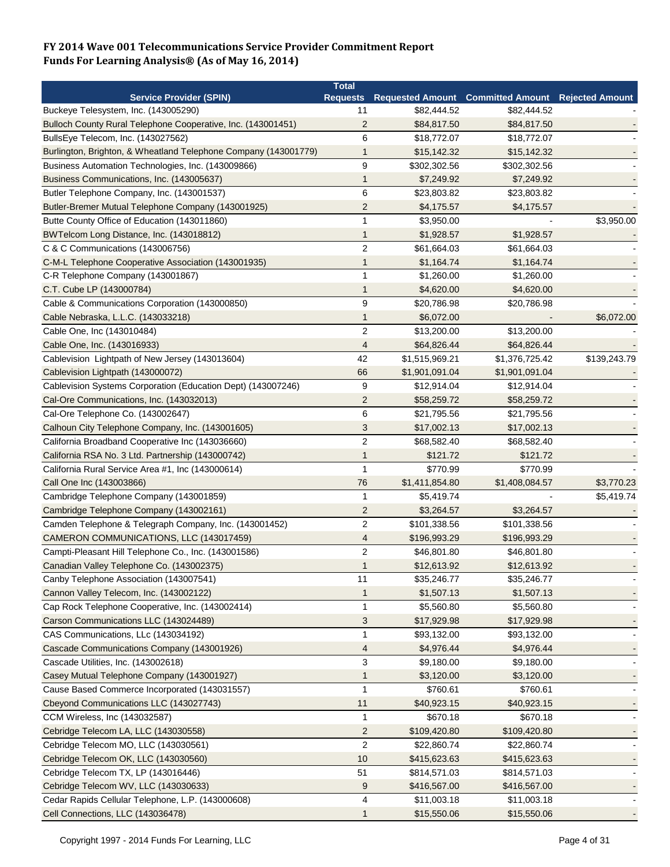|                                                                 | <b>Total</b>            |                                            |                |                        |
|-----------------------------------------------------------------|-------------------------|--------------------------------------------|----------------|------------------------|
| <b>Service Provider (SPIN)</b>                                  |                         | Requests Requested Amount Committed Amount |                | <b>Rejected Amount</b> |
| Buckeye Telesystem, Inc. (143005290)                            | 11                      | \$82,444.52                                | \$82,444.52    |                        |
| Bulloch County Rural Telephone Cooperative, Inc. (143001451)    | $\overline{2}$          | \$84,817.50                                | \$84,817.50    |                        |
| BullsEye Telecom, Inc. (143027562)                              | 6                       | \$18,772.07                                | \$18,772.07    |                        |
| Burlington, Brighton, & Wheatland Telephone Company (143001779) | $\mathbf{1}$            | \$15,142.32                                | \$15,142.32    |                        |
| Business Automation Technologies, Inc. (143009866)              | 9                       | \$302,302.56                               | \$302,302.56   |                        |
| Business Communications, Inc. (143005637)                       | $\mathbf 1$             | \$7,249.92                                 | \$7,249.92     |                        |
| Butler Telephone Company, Inc. (143001537)                      | 6                       | \$23,803.82                                | \$23,803.82    |                        |
| Butler-Bremer Mutual Telephone Company (143001925)              | $\overline{2}$          | \$4,175.57                                 | \$4,175.57     |                        |
| Butte County Office of Education (143011860)                    | 1                       | \$3,950.00                                 |                | \$3,950.00             |
| BWTelcom Long Distance, Inc. (143018812)                        | 1                       | \$1,928.57                                 | \$1,928.57     |                        |
| C & C Communications (143006756)                                | $\overline{2}$          | \$61,664.03                                | \$61,664.03    |                        |
| C-M-L Telephone Cooperative Association (143001935)             | 1                       | \$1,164.74                                 | \$1,164.74     |                        |
| C-R Telephone Company (143001867)                               | 1                       | \$1,260.00                                 | \$1,260.00     |                        |
| C.T. Cube LP (143000784)                                        | 1                       | \$4,620.00                                 | \$4,620.00     |                        |
| Cable & Communications Corporation (143000850)                  | 9                       | \$20,786.98                                | \$20,786.98    |                        |
| Cable Nebraska, L.L.C. (143033218)                              | 1                       | \$6,072.00                                 |                | \$6,072.00             |
| Cable One, Inc (143010484)                                      | $\overline{c}$          | \$13,200.00                                | \$13,200.00    |                        |
| Cable One, Inc. (143016933)                                     | 4                       | \$64,826.44                                | \$64,826.44    |                        |
| Cablevision Lightpath of New Jersey (143013604)                 | 42                      | \$1,515,969.21                             | \$1,376,725.42 | \$139,243.79           |
| Cablevision Lightpath (143000072)                               | 66                      | \$1,901,091.04                             | \$1,901,091.04 |                        |
| Cablevision Systems Corporation (Education Dept) (143007246)    | 9                       | \$12,914.04                                | \$12,914.04    |                        |
| Cal-Ore Communications, Inc. (143032013)                        | $\overline{2}$          | \$58,259.72                                | \$58,259.72    |                        |
| Cal-Ore Telephone Co. (143002647)                               | 6                       | \$21,795.56                                | \$21,795.56    |                        |
| Calhoun City Telephone Company, Inc. (143001605)                | 3                       | \$17,002.13                                | \$17,002.13    |                        |
| California Broadband Cooperative Inc (143036660)                | $\overline{2}$          | \$68,582.40                                | \$68,582.40    |                        |
|                                                                 | 1                       | \$121.72                                   | \$121.72       |                        |
| California RSA No. 3 Ltd. Partnership (143000742)               | $\mathbf{1}$            | \$770.99                                   | \$770.99       |                        |
| California Rural Service Area #1, Inc (143000614)               |                         |                                            |                |                        |
| Call One Inc (143003866)                                        | 76                      | \$1,411,854.80                             | \$1,408,084.57 | \$3,770.23             |
| Cambridge Telephone Company (143001859)                         | 1                       | \$5,419.74                                 |                | \$5,419.74             |
| Cambridge Telephone Company (143002161)                         | $\overline{\mathbf{c}}$ | \$3,264.57                                 | \$3,264.57     |                        |
| Camden Telephone & Telegraph Company, Inc. (143001452)          | $\overline{c}$          | \$101,338.56                               | \$101,338.56   |                        |
| CAMERON COMMUNICATIONS, LLC (143017459)                         | 4                       | \$196,993.29                               | \$196,993.29   |                        |
| Campti-Pleasant Hill Telephone Co., Inc. (143001586)            | $\overline{2}$          | \$46,801.80                                | \$46,801.80    |                        |
| Canadian Valley Telephone Co. (143002375)                       | $\mathbf{1}$            | \$12,613.92                                | \$12,613.92    |                        |
| Canby Telephone Association (143007541)                         | 11                      | \$35,246.77                                | \$35,246.77    |                        |
| Cannon Valley Telecom, Inc. (143002122)                         | 1                       | \$1,507.13                                 | \$1,507.13     |                        |
| Cap Rock Telephone Cooperative, Inc. (143002414)                | $\mathbf{1}$            | \$5,560.80                                 | \$5,560.80     |                        |
| Carson Communications LLC (143024489)                           | 3                       | \$17,929.98                                | \$17,929.98    |                        |
| CAS Communications, LLc (143034192)                             | 1                       | \$93,132.00                                | \$93,132.00    |                        |
| Cascade Communications Company (143001926)                      | 4                       | \$4,976.44                                 | \$4,976.44     |                        |
| Cascade Utilities, Inc. (143002618)                             | 3                       | \$9,180.00                                 | \$9,180.00     |                        |
| Casey Mutual Telephone Company (143001927)                      | $\mathbf{1}$            | \$3,120.00                                 | \$3,120.00     |                        |
| Cause Based Commerce Incorporated (143031557)                   | $\mathbf{1}$            | \$760.61                                   | \$760.61       |                        |
| Cbeyond Communications LLC (143027743)                          | 11                      | \$40,923.15                                | \$40,923.15    |                        |
| CCM Wireless, Inc (143032587)                                   | 1                       | \$670.18                                   | \$670.18       |                        |
| Cebridge Telecom LA, LLC (143030558)                            | $\overline{2}$          | \$109,420.80                               | \$109,420.80   |                        |
| Cebridge Telecom MO, LLC (143030561)                            | $\overline{c}$          | \$22,860.74                                | \$22,860.74    |                        |
| Cebridge Telecom OK, LLC (143030560)                            | 10                      | \$415,623.63                               | \$415,623.63   |                        |
| Cebridge Telecom TX, LP (143016446)                             | 51                      | \$814,571.03                               | \$814,571.03   |                        |
| Cebridge Telecom WV, LLC (143030633)                            | 9                       | \$416,567.00                               | \$416,567.00   |                        |
| Cedar Rapids Cellular Telephone, L.P. (143000608)               | 4                       | \$11,003.18                                | \$11,003.18    |                        |
| Cell Connections, LLC (143036478)                               | $\mathbf{1}$            | \$15,550.06                                | \$15,550.06    |                        |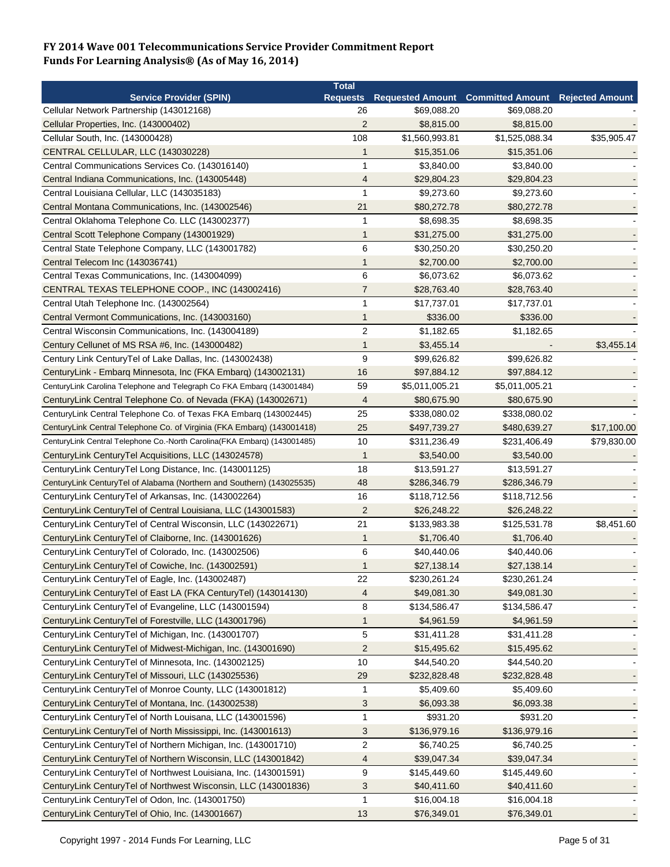|                                                                          | <b>Total</b>     |                |                                          |                        |
|--------------------------------------------------------------------------|------------------|----------------|------------------------------------------|------------------------|
| <b>Service Provider (SPIN)</b>                                           | <b>Requests</b>  |                | <b>Requested Amount Committed Amount</b> | <b>Rejected Amount</b> |
| Cellular Network Partnership (143012168)                                 | 26               | \$69,088.20    | \$69,088.20                              |                        |
| Cellular Properties, Inc. (143000402)                                    | $\overline{2}$   | \$8,815.00     | \$8,815.00                               |                        |
| Cellular South, Inc. (143000428)                                         | 108              | \$1,560,993.81 | \$1,525,088.34                           | \$35,905.47            |
| CENTRAL CELLULAR, LLC (143030228)                                        | 1                | \$15,351.06    | \$15,351.06                              |                        |
| Central Communications Services Co. (143016140)                          | 1                | \$3,840.00     | \$3,840.00                               |                        |
| Central Indiana Communications, Inc. (143005448)                         | 4                | \$29,804.23    | \$29,804.23                              |                        |
| Central Louisiana Cellular, LLC (143035183)                              | 1                | \$9,273.60     | \$9,273.60                               |                        |
| Central Montana Communications, Inc. (143002546)                         | 21               | \$80,272.78    | \$80,272.78                              |                        |
| Central Oklahoma Telephone Co. LLC (143002377)                           | 1                | \$8,698.35     | \$8,698.35                               |                        |
| Central Scott Telephone Company (143001929)                              | $\mathbf{1}$     | \$31,275.00    | \$31,275.00                              |                        |
| Central State Telephone Company, LLC (143001782)                         | 6                | \$30,250.20    | \$30,250.20                              |                        |
| Central Telecom Inc (143036741)                                          | 1                | \$2,700.00     | \$2,700.00                               |                        |
| Central Texas Communications, Inc. (143004099)                           | 6                | \$6,073.62     | \$6,073.62                               |                        |
| CENTRAL TEXAS TELEPHONE COOP., INC (143002416)                           | 7                | \$28,763.40    | \$28,763.40                              |                        |
| Central Utah Telephone Inc. (143002564)                                  | 1                | \$17,737.01    | \$17,737.01                              |                        |
| Central Vermont Communications, Inc. (143003160)                         | 1                | \$336.00       | \$336.00                                 |                        |
| Central Wisconsin Communications, Inc. (143004189)                       | $\overline{c}$   | \$1,182.65     | \$1,182.65                               |                        |
| Century Cellunet of MS RSA #6, Inc. (143000482)                          | 1                | \$3,455.14     |                                          | \$3,455.14             |
| Century Link Century Tel of Lake Dallas, Inc. (143002438)                | $\boldsymbol{9}$ | \$99,626.82    | \$99,626.82                              |                        |
| CenturyLink - Embarq Minnesota, Inc (FKA Embarq) (143002131)             | 16               | \$97,884.12    | \$97,884.12                              |                        |
| CenturyLink Carolina Telephone and Telegraph Co FKA Embarq (143001484)   | 59               | \$5,011,005.21 | \$5,011,005.21                           |                        |
| CenturyLink Central Telephone Co. of Nevada (FKA) (143002671)            | 4                | \$80,675.90    | \$80,675.90                              |                        |
|                                                                          |                  |                |                                          |                        |
| CenturyLink Central Telephone Co. of Texas FKA Embarq (143002445)        | 25               | \$338,080.02   | \$338,080.02                             |                        |
| CenturyLink Central Telephone Co. of Virginia (FKA Embarq) (143001418)   | 25               | \$497,739.27   | \$480,639.27                             | \$17,100.00            |
| CenturyLink Central Telephone Co.-North Carolina(FKA Embarq) (143001485) | 10               | \$311,236.49   | \$231,406.49                             | \$79,830.00            |
| CenturyLink CenturyTel Acquisitions, LLC (143024578)                     | $\mathbf{1}$     | \$3,540.00     | \$3,540.00                               |                        |
| CenturyLink CenturyTel Long Distance, Inc. (143001125)                   | 18               | \$13,591.27    | \$13,591.27                              |                        |
| CenturyLink CenturyTel of Alabama (Northern and Southern) (143025535)    | 48               | \$286,346.79   | \$286,346.79                             |                        |
| CenturyLink CenturyTel of Arkansas, Inc. (143002264)                     | 16               | \$118,712.56   | \$118,712.56                             |                        |
| CenturyLink CenturyTel of Central Louisiana, LLC (143001583)             | $\overline{2}$   | \$26,248.22    | \$26,248.22                              |                        |
| CenturyLink CenturyTel of Central Wisconsin, LLC (143022671)             | 21               | \$133,983.38   | \$125,531.78                             | \$8,451.60             |
| CenturyLink CenturyTel of Claiborne, Inc. (143001626)                    | $\mathbf{1}$     | \$1,706.40     | \$1,706.40                               |                        |
| CenturyLink CenturyTel of Colorado, Inc. (143002506)                     | 6                | \$40,440.06    | \$40,440.06                              |                        |
| CenturyLink CenturyTel of Cowiche, Inc. (143002591)                      | 1                | \$27,138.14    | \$27,138.14                              |                        |
| CenturyLink CenturyTel of Eagle, Inc. (143002487)                        | 22               | \$230,261.24   | \$230,261.24                             |                        |
| CenturyLink CenturyTel of East LA (FKA CenturyTel) (143014130)           | 4                | \$49,081.30    | \$49,081.30                              |                        |
| CenturyLink CenturyTel of Evangeline, LLC (143001594)                    | 8                | \$134,586.47   | \$134,586.47                             |                        |
| CenturyLink CenturyTel of Forestville, LLC (143001796)                   | $\mathbf{1}$     | \$4,961.59     | \$4,961.59                               |                        |
| CenturyLink CenturyTel of Michigan, Inc. (143001707)                     | 5                | \$31,411.28    | \$31,411.28                              |                        |
| CenturyLink CenturyTel of Midwest-Michigan, Inc. (143001690)             | $\overline{c}$   | \$15,495.62    | \$15,495.62                              |                        |
| CenturyLink CenturyTel of Minnesota, Inc. (143002125)                    | 10               | \$44,540.20    | \$44,540.20                              |                        |
| CenturyLink CenturyTel of Missouri, LLC (143025536)                      | 29               | \$232,828.48   | \$232,828.48                             |                        |
| CenturyLink CenturyTel of Monroe County, LLC (143001812)                 | $\mathbf 1$      | \$5,409.60     | \$5,409.60                               |                        |
| CenturyLink CenturyTel of Montana, Inc. (143002538)                      | 3                | \$6,093.38     | \$6,093.38                               |                        |
| CenturyLink CenturyTel of North Louisana, LLC (143001596)                | 1                | \$931.20       | \$931.20                                 |                        |
| CenturyLink CenturyTel of North Mississippi, Inc. (143001613)            | 3                | \$136,979.16   | \$136,979.16                             |                        |
| CenturyLink CenturyTel of Northern Michigan, Inc. (143001710)            | $\sqrt{2}$       | \$6,740.25     | \$6,740.25                               |                        |
| CenturyLink CenturyTel of Northern Wisconsin, LLC (143001842)            | 4                | \$39,047.34    | \$39,047.34                              |                        |
| CenturyLink CenturyTel of Northwest Louisiana, Inc. (143001591)          | 9                | \$145,449.60   | \$145,449.60                             |                        |
| CenturyLink CenturyTel of Northwest Wisconsin, LLC (143001836)           | 3                | \$40,411.60    | \$40,411.60                              |                        |
| CenturyLink CenturyTel of Odon, Inc. (143001750)                         | $\mathbf{1}$     | \$16,004.18    | \$16,004.18                              |                        |
| CenturyLink CenturyTel of Ohio, Inc. (143001667)                         | 13               | \$76,349.01    | \$76,349.01                              |                        |
|                                                                          |                  |                |                                          |                        |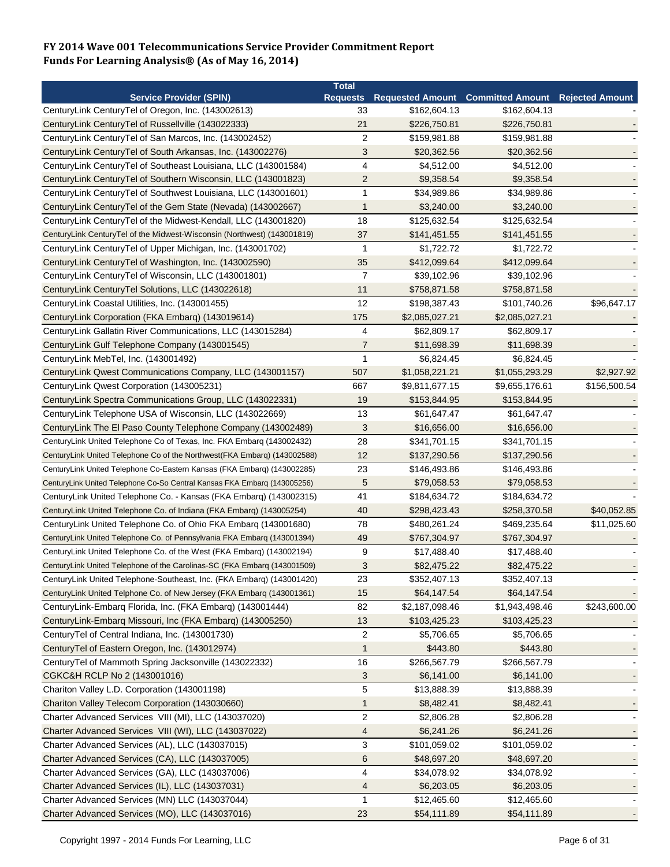| <b>Requested Amount Committed Amount</b><br><b>Service Provider (SPIN)</b><br><b>Rejected Amount</b><br><b>Requests</b><br>CenturyLink CenturyTel of Oregon, Inc. (143002613)<br>33<br>\$162,604.13<br>\$162,604.13<br>CenturyLink CenturyTel of Russellville (143022333)<br>21<br>\$226,750.81<br>\$226,750.81<br>$\overline{2}$<br>CenturyLink CenturyTel of San Marcos, Inc. (143002452)<br>\$159,981.88<br>\$159,981.88<br>3<br>CenturyLink CenturyTel of South Arkansas, Inc. (143002276)<br>\$20,362.56<br>\$20,362.56<br>4<br>CenturyLink CenturyTel of Southeast Louisiana, LLC (143001584)<br>\$4,512.00<br>\$4,512.00<br>$\overline{2}$<br>CenturyLink CenturyTel of Southern Wisconsin, LLC (143001823)<br>\$9,358.54<br>\$9,358.54<br>$\mathbf{1}$<br>CenturyLink CenturyTel of Southwest Louisiana, LLC (143001601)<br>\$34,989.86<br>\$34,989.86<br>CenturyLink CenturyTel of the Gem State (Nevada) (143002667)<br>$\mathbf{1}$<br>\$3,240.00<br>\$3,240.00<br>CenturyLink CenturyTel of the Midwest-Kendall, LLC (143001820)<br>18<br>\$125,632.54<br>\$125,632.54<br>37<br>CenturyLink CenturyTel of the Midwest-Wisconsin (Northwest) (143001819)<br>\$141,451.55<br>\$141,451.55<br>\$1,722.72<br>CenturyLink CenturyTel of Upper Michigan, Inc. (143001702)<br>$\mathbf{1}$<br>\$1,722.72<br>35<br>CenturyLink CenturyTel of Washington, Inc. (143002590)<br>\$412,099.64<br>\$412,099.64<br>$\overline{7}$<br>CenturyLink CenturyTel of Wisconsin, LLC (143001801)<br>\$39,102.96<br>\$39,102.96<br>11<br>\$758,871.58<br>CenturyLink CenturyTel Solutions, LLC (143022618)<br>\$758,871.58<br>12<br>CenturyLink Coastal Utilities, Inc. (143001455)<br>\$198,387.43<br>\$101,740.26<br>\$96,647.17<br>175<br>CenturyLink Corporation (FKA Embarg) (143019614)<br>\$2,085,027.21<br>\$2,085,027.21<br>4<br>CenturyLink Gallatin River Communications, LLC (143015284)<br>\$62,809.17<br>\$62,809.17<br>$\overline{7}$<br>CenturyLink Gulf Telephone Company (143001545)<br>\$11,698.39<br>\$11,698.39<br>1<br>CenturyLink MebTel, Inc. (143001492)<br>\$6,824.45<br>\$6,824.45<br>CenturyLink Qwest Communications Company, LLC (143001157)<br>507<br>\$1,058,221.21<br>\$2,927.92<br>\$1,055,293.29<br>667<br>CenturyLink Qwest Corporation (143005231)<br>\$9,811,677.15<br>\$9,655,176.61<br>\$156,500.54<br>CenturyLink Spectra Communications Group, LLC (143022331)<br>19<br>\$153,844.95<br>\$153,844.95<br>CenturyLink Telephone USA of Wisconsin, LLC (143022669)<br>13<br>\$61,647.47<br>\$61,647.47<br>3<br>CenturyLink The El Paso County Telephone Company (143002489)<br>\$16,656.00<br>\$16,656.00<br>28<br>\$341,701.15<br>\$341,701.15<br>CenturyLink United Telephone Co of Texas, Inc. FKA Embarg (143002432)<br>12<br>\$137,290.56<br>\$137,290.56<br>CenturyLink United Telephone Co of the Northwest (FKA Embarg) (143002588)<br>23<br>\$146,493.86<br>\$146,493.86<br>CenturyLink United Telephone Co-Eastern Kansas (FKA Embarq) (143002285)<br>5<br>\$79,058.53<br>CenturyLink United Telephone Co-So Central Kansas FKA Embarq (143005256)<br>\$79,058.53<br>CenturyLink United Telephone Co. - Kansas (FKA Embarq) (143002315)<br>41<br>\$184,634.72<br>\$184,634.72<br>40<br>\$40,052.85<br>CenturyLink United Telephone Co. of Indiana (FKA Embarg) (143005254)<br>\$298,423.43<br>\$258,370.58<br>CenturyLink United Telephone Co. of Ohio FKA Embarg (143001680)<br>78<br>\$480,261.24<br>\$469,235.64<br>\$11,025.60<br>49<br>CenturyLink United Telephone Co. of Pennsylvania FKA Embarq (143001394)<br>\$767,304.97<br>\$767,304.97<br>CenturyLink United Telephone Co. of the West (FKA Embarg) (143002194)<br>9<br>\$17,488.40<br>\$17,488.40<br>3<br>CenturyLink United Telephone of the Carolinas-SC (FKA Embarg (143001509)<br>\$82,475.22<br>\$82,475.22<br>CenturyLink United Telephone-Southeast, Inc. (FKA Embarg) (143001420)<br>23<br>\$352,407.13<br>\$352,407.13<br>15<br>\$64,147.54<br>CenturyLink United Telphone Co. of New Jersey (FKA Embarg (143001361)<br>\$64,147.54<br>82<br>\$243,600.00<br>CenturyLink-Embarq Florida, Inc. (FKA Embarq) (143001444)<br>\$2,187,098.46<br>\$1,943,498.46<br>CenturyLink-Embarq Missouri, Inc (FKA Embarq) (143005250)<br>13<br>\$103,425.23<br>\$103,425.23<br>CenturyTel of Central Indiana, Inc. (143001730)<br>\$5,706.65<br>\$5,706.65<br>2<br>CenturyTel of Eastern Oregon, Inc. (143012974)<br>\$443.80<br>\$443.80<br>$\mathbf{1}$<br>CenturyTel of Mammoth Spring Jacksonville (143022332)<br>16<br>\$266,567.79<br>\$266,567.79<br>CGKC&H RCLP No 2 (143001016)<br>3<br>\$6,141.00<br>\$6,141.00<br>Chariton Valley L.D. Corporation (143001198)<br>5<br>\$13,888.39<br>\$13,888.39<br>Chariton Valley Telecom Corporation (143030660)<br>\$8,482.41<br>\$8,482.41<br>$\mathbf{1}$<br>$\overline{c}$<br>Charter Advanced Services VIII (MI), LLC (143037020)<br>\$2,806.28<br>\$2,806.28<br>Charter Advanced Services VIII (WI), LLC (143037022)<br>\$6,241.26<br>\$6,241.26<br>4<br>3<br>Charter Advanced Services (AL), LLC (143037015)<br>\$101,059.02<br>\$101,059.02<br>Charter Advanced Services (CA), LLC (143037005)<br>6<br>\$48,697.20<br>\$48,697.20<br>Charter Advanced Services (GA), LLC (143037006)<br>4<br>\$34,078.92<br>\$34,078.92<br>Charter Advanced Services (IL), LLC (143037031)<br>\$6,203.05<br>\$6,203.05<br>4<br>$\mathbf{1}$<br>Charter Advanced Services (MN) LLC (143037044)<br>\$12,465.60<br>\$12,465.60 |                                                 | <b>Total</b> |             |             |  |
|--------------------------------------------------------------------------------------------------------------------------------------------------------------------------------------------------------------------------------------------------------------------------------------------------------------------------------------------------------------------------------------------------------------------------------------------------------------------------------------------------------------------------------------------------------------------------------------------------------------------------------------------------------------------------------------------------------------------------------------------------------------------------------------------------------------------------------------------------------------------------------------------------------------------------------------------------------------------------------------------------------------------------------------------------------------------------------------------------------------------------------------------------------------------------------------------------------------------------------------------------------------------------------------------------------------------------------------------------------------------------------------------------------------------------------------------------------------------------------------------------------------------------------------------------------------------------------------------------------------------------------------------------------------------------------------------------------------------------------------------------------------------------------------------------------------------------------------------------------------------------------------------------------------------------------------------------------------------------------------------------------------------------------------------------------------------------------------------------------------------------------------------------------------------------------------------------------------------------------------------------------------------------------------------------------------------------------------------------------------------------------------------------------------------------------------------------------------------------------------------------------------------------------------------------------------------------------------------------------------------------------------------------------------------------------------------------------------------------------------------------------------------------------------------------------------------------------------------------------------------------------------------------------------------------------------------------------------------------------------------------------------------------------------------------------------------------------------------------------------------------------------------------------------------------------------------------------------------------------------------------------------------------------------------------------------------------------------------------------------------------------------------------------------------------------------------------------------------------------------------------------------------------------------------------------------------------------------------------------------------------------------------------------------------------------------------------------------------------------------------------------------------------------------------------------------------------------------------------------------------------------------------------------------------------------------------------------------------------------------------------------------------------------------------------------------------------------------------------------------------------------------------------------------------------------------------------------------------------------------------------------------------------------------------------------------------------------------------------------------------------------------------------------------------------------------------------------------------------------------------------------------------------------------------------------------------------------------------------------------------------------------------------------------------------------------------------------------------------------------------------------------------------------------------------------------------------------------------------------------------------------------------------------------------------------------------------------------------------------------------------------------------------------------------------------------------------------------------------------------------------------------------------------------------------------------------------------------------------------------------------------------------------------------------------------------------------------------------------------------------------------------------------------------------------------------------------------------------|-------------------------------------------------|--------------|-------------|-------------|--|
|                                                                                                                                                                                                                                                                                                                                                                                                                                                                                                                                                                                                                                                                                                                                                                                                                                                                                                                                                                                                                                                                                                                                                                                                                                                                                                                                                                                                                                                                                                                                                                                                                                                                                                                                                                                                                                                                                                                                                                                                                                                                                                                                                                                                                                                                                                                                                                                                                                                                                                                                                                                                                                                                                                                                                                                                                                                                                                                                                                                                                                                                                                                                                                                                                                                                                                                                                                                                                                                                                                                                                                                                                                                                                                                                                                                                                                                                                                                                                                                                                                                                                                                                                                                                                                                                                                                                                                                                                                                                                                                                                                                                                                                                                                                                                                                                                                                                                                                                                                                                                                                                                                                                                                                                                                                                                                                                                                                                                                                                    |                                                 |              |             |             |  |
|                                                                                                                                                                                                                                                                                                                                                                                                                                                                                                                                                                                                                                                                                                                                                                                                                                                                                                                                                                                                                                                                                                                                                                                                                                                                                                                                                                                                                                                                                                                                                                                                                                                                                                                                                                                                                                                                                                                                                                                                                                                                                                                                                                                                                                                                                                                                                                                                                                                                                                                                                                                                                                                                                                                                                                                                                                                                                                                                                                                                                                                                                                                                                                                                                                                                                                                                                                                                                                                                                                                                                                                                                                                                                                                                                                                                                                                                                                                                                                                                                                                                                                                                                                                                                                                                                                                                                                                                                                                                                                                                                                                                                                                                                                                                                                                                                                                                                                                                                                                                                                                                                                                                                                                                                                                                                                                                                                                                                                                                    |                                                 |              |             |             |  |
|                                                                                                                                                                                                                                                                                                                                                                                                                                                                                                                                                                                                                                                                                                                                                                                                                                                                                                                                                                                                                                                                                                                                                                                                                                                                                                                                                                                                                                                                                                                                                                                                                                                                                                                                                                                                                                                                                                                                                                                                                                                                                                                                                                                                                                                                                                                                                                                                                                                                                                                                                                                                                                                                                                                                                                                                                                                                                                                                                                                                                                                                                                                                                                                                                                                                                                                                                                                                                                                                                                                                                                                                                                                                                                                                                                                                                                                                                                                                                                                                                                                                                                                                                                                                                                                                                                                                                                                                                                                                                                                                                                                                                                                                                                                                                                                                                                                                                                                                                                                                                                                                                                                                                                                                                                                                                                                                                                                                                                                                    |                                                 |              |             |             |  |
|                                                                                                                                                                                                                                                                                                                                                                                                                                                                                                                                                                                                                                                                                                                                                                                                                                                                                                                                                                                                                                                                                                                                                                                                                                                                                                                                                                                                                                                                                                                                                                                                                                                                                                                                                                                                                                                                                                                                                                                                                                                                                                                                                                                                                                                                                                                                                                                                                                                                                                                                                                                                                                                                                                                                                                                                                                                                                                                                                                                                                                                                                                                                                                                                                                                                                                                                                                                                                                                                                                                                                                                                                                                                                                                                                                                                                                                                                                                                                                                                                                                                                                                                                                                                                                                                                                                                                                                                                                                                                                                                                                                                                                                                                                                                                                                                                                                                                                                                                                                                                                                                                                                                                                                                                                                                                                                                                                                                                                                                    |                                                 |              |             |             |  |
|                                                                                                                                                                                                                                                                                                                                                                                                                                                                                                                                                                                                                                                                                                                                                                                                                                                                                                                                                                                                                                                                                                                                                                                                                                                                                                                                                                                                                                                                                                                                                                                                                                                                                                                                                                                                                                                                                                                                                                                                                                                                                                                                                                                                                                                                                                                                                                                                                                                                                                                                                                                                                                                                                                                                                                                                                                                                                                                                                                                                                                                                                                                                                                                                                                                                                                                                                                                                                                                                                                                                                                                                                                                                                                                                                                                                                                                                                                                                                                                                                                                                                                                                                                                                                                                                                                                                                                                                                                                                                                                                                                                                                                                                                                                                                                                                                                                                                                                                                                                                                                                                                                                                                                                                                                                                                                                                                                                                                                                                    |                                                 |              |             |             |  |
|                                                                                                                                                                                                                                                                                                                                                                                                                                                                                                                                                                                                                                                                                                                                                                                                                                                                                                                                                                                                                                                                                                                                                                                                                                                                                                                                                                                                                                                                                                                                                                                                                                                                                                                                                                                                                                                                                                                                                                                                                                                                                                                                                                                                                                                                                                                                                                                                                                                                                                                                                                                                                                                                                                                                                                                                                                                                                                                                                                                                                                                                                                                                                                                                                                                                                                                                                                                                                                                                                                                                                                                                                                                                                                                                                                                                                                                                                                                                                                                                                                                                                                                                                                                                                                                                                                                                                                                                                                                                                                                                                                                                                                                                                                                                                                                                                                                                                                                                                                                                                                                                                                                                                                                                                                                                                                                                                                                                                                                                    |                                                 |              |             |             |  |
|                                                                                                                                                                                                                                                                                                                                                                                                                                                                                                                                                                                                                                                                                                                                                                                                                                                                                                                                                                                                                                                                                                                                                                                                                                                                                                                                                                                                                                                                                                                                                                                                                                                                                                                                                                                                                                                                                                                                                                                                                                                                                                                                                                                                                                                                                                                                                                                                                                                                                                                                                                                                                                                                                                                                                                                                                                                                                                                                                                                                                                                                                                                                                                                                                                                                                                                                                                                                                                                                                                                                                                                                                                                                                                                                                                                                                                                                                                                                                                                                                                                                                                                                                                                                                                                                                                                                                                                                                                                                                                                                                                                                                                                                                                                                                                                                                                                                                                                                                                                                                                                                                                                                                                                                                                                                                                                                                                                                                                                                    |                                                 |              |             |             |  |
|                                                                                                                                                                                                                                                                                                                                                                                                                                                                                                                                                                                                                                                                                                                                                                                                                                                                                                                                                                                                                                                                                                                                                                                                                                                                                                                                                                                                                                                                                                                                                                                                                                                                                                                                                                                                                                                                                                                                                                                                                                                                                                                                                                                                                                                                                                                                                                                                                                                                                                                                                                                                                                                                                                                                                                                                                                                                                                                                                                                                                                                                                                                                                                                                                                                                                                                                                                                                                                                                                                                                                                                                                                                                                                                                                                                                                                                                                                                                                                                                                                                                                                                                                                                                                                                                                                                                                                                                                                                                                                                                                                                                                                                                                                                                                                                                                                                                                                                                                                                                                                                                                                                                                                                                                                                                                                                                                                                                                                                                    |                                                 |              |             |             |  |
|                                                                                                                                                                                                                                                                                                                                                                                                                                                                                                                                                                                                                                                                                                                                                                                                                                                                                                                                                                                                                                                                                                                                                                                                                                                                                                                                                                                                                                                                                                                                                                                                                                                                                                                                                                                                                                                                                                                                                                                                                                                                                                                                                                                                                                                                                                                                                                                                                                                                                                                                                                                                                                                                                                                                                                                                                                                                                                                                                                                                                                                                                                                                                                                                                                                                                                                                                                                                                                                                                                                                                                                                                                                                                                                                                                                                                                                                                                                                                                                                                                                                                                                                                                                                                                                                                                                                                                                                                                                                                                                                                                                                                                                                                                                                                                                                                                                                                                                                                                                                                                                                                                                                                                                                                                                                                                                                                                                                                                                                    |                                                 |              |             |             |  |
|                                                                                                                                                                                                                                                                                                                                                                                                                                                                                                                                                                                                                                                                                                                                                                                                                                                                                                                                                                                                                                                                                                                                                                                                                                                                                                                                                                                                                                                                                                                                                                                                                                                                                                                                                                                                                                                                                                                                                                                                                                                                                                                                                                                                                                                                                                                                                                                                                                                                                                                                                                                                                                                                                                                                                                                                                                                                                                                                                                                                                                                                                                                                                                                                                                                                                                                                                                                                                                                                                                                                                                                                                                                                                                                                                                                                                                                                                                                                                                                                                                                                                                                                                                                                                                                                                                                                                                                                                                                                                                                                                                                                                                                                                                                                                                                                                                                                                                                                                                                                                                                                                                                                                                                                                                                                                                                                                                                                                                                                    |                                                 |              |             |             |  |
|                                                                                                                                                                                                                                                                                                                                                                                                                                                                                                                                                                                                                                                                                                                                                                                                                                                                                                                                                                                                                                                                                                                                                                                                                                                                                                                                                                                                                                                                                                                                                                                                                                                                                                                                                                                                                                                                                                                                                                                                                                                                                                                                                                                                                                                                                                                                                                                                                                                                                                                                                                                                                                                                                                                                                                                                                                                                                                                                                                                                                                                                                                                                                                                                                                                                                                                                                                                                                                                                                                                                                                                                                                                                                                                                                                                                                                                                                                                                                                                                                                                                                                                                                                                                                                                                                                                                                                                                                                                                                                                                                                                                                                                                                                                                                                                                                                                                                                                                                                                                                                                                                                                                                                                                                                                                                                                                                                                                                                                                    |                                                 |              |             |             |  |
|                                                                                                                                                                                                                                                                                                                                                                                                                                                                                                                                                                                                                                                                                                                                                                                                                                                                                                                                                                                                                                                                                                                                                                                                                                                                                                                                                                                                                                                                                                                                                                                                                                                                                                                                                                                                                                                                                                                                                                                                                                                                                                                                                                                                                                                                                                                                                                                                                                                                                                                                                                                                                                                                                                                                                                                                                                                                                                                                                                                                                                                                                                                                                                                                                                                                                                                                                                                                                                                                                                                                                                                                                                                                                                                                                                                                                                                                                                                                                                                                                                                                                                                                                                                                                                                                                                                                                                                                                                                                                                                                                                                                                                                                                                                                                                                                                                                                                                                                                                                                                                                                                                                                                                                                                                                                                                                                                                                                                                                                    |                                                 |              |             |             |  |
|                                                                                                                                                                                                                                                                                                                                                                                                                                                                                                                                                                                                                                                                                                                                                                                                                                                                                                                                                                                                                                                                                                                                                                                                                                                                                                                                                                                                                                                                                                                                                                                                                                                                                                                                                                                                                                                                                                                                                                                                                                                                                                                                                                                                                                                                                                                                                                                                                                                                                                                                                                                                                                                                                                                                                                                                                                                                                                                                                                                                                                                                                                                                                                                                                                                                                                                                                                                                                                                                                                                                                                                                                                                                                                                                                                                                                                                                                                                                                                                                                                                                                                                                                                                                                                                                                                                                                                                                                                                                                                                                                                                                                                                                                                                                                                                                                                                                                                                                                                                                                                                                                                                                                                                                                                                                                                                                                                                                                                                                    |                                                 |              |             |             |  |
|                                                                                                                                                                                                                                                                                                                                                                                                                                                                                                                                                                                                                                                                                                                                                                                                                                                                                                                                                                                                                                                                                                                                                                                                                                                                                                                                                                                                                                                                                                                                                                                                                                                                                                                                                                                                                                                                                                                                                                                                                                                                                                                                                                                                                                                                                                                                                                                                                                                                                                                                                                                                                                                                                                                                                                                                                                                                                                                                                                                                                                                                                                                                                                                                                                                                                                                                                                                                                                                                                                                                                                                                                                                                                                                                                                                                                                                                                                                                                                                                                                                                                                                                                                                                                                                                                                                                                                                                                                                                                                                                                                                                                                                                                                                                                                                                                                                                                                                                                                                                                                                                                                                                                                                                                                                                                                                                                                                                                                                                    |                                                 |              |             |             |  |
|                                                                                                                                                                                                                                                                                                                                                                                                                                                                                                                                                                                                                                                                                                                                                                                                                                                                                                                                                                                                                                                                                                                                                                                                                                                                                                                                                                                                                                                                                                                                                                                                                                                                                                                                                                                                                                                                                                                                                                                                                                                                                                                                                                                                                                                                                                                                                                                                                                                                                                                                                                                                                                                                                                                                                                                                                                                                                                                                                                                                                                                                                                                                                                                                                                                                                                                                                                                                                                                                                                                                                                                                                                                                                                                                                                                                                                                                                                                                                                                                                                                                                                                                                                                                                                                                                                                                                                                                                                                                                                                                                                                                                                                                                                                                                                                                                                                                                                                                                                                                                                                                                                                                                                                                                                                                                                                                                                                                                                                                    |                                                 |              |             |             |  |
|                                                                                                                                                                                                                                                                                                                                                                                                                                                                                                                                                                                                                                                                                                                                                                                                                                                                                                                                                                                                                                                                                                                                                                                                                                                                                                                                                                                                                                                                                                                                                                                                                                                                                                                                                                                                                                                                                                                                                                                                                                                                                                                                                                                                                                                                                                                                                                                                                                                                                                                                                                                                                                                                                                                                                                                                                                                                                                                                                                                                                                                                                                                                                                                                                                                                                                                                                                                                                                                                                                                                                                                                                                                                                                                                                                                                                                                                                                                                                                                                                                                                                                                                                                                                                                                                                                                                                                                                                                                                                                                                                                                                                                                                                                                                                                                                                                                                                                                                                                                                                                                                                                                                                                                                                                                                                                                                                                                                                                                                    |                                                 |              |             |             |  |
|                                                                                                                                                                                                                                                                                                                                                                                                                                                                                                                                                                                                                                                                                                                                                                                                                                                                                                                                                                                                                                                                                                                                                                                                                                                                                                                                                                                                                                                                                                                                                                                                                                                                                                                                                                                                                                                                                                                                                                                                                                                                                                                                                                                                                                                                                                                                                                                                                                                                                                                                                                                                                                                                                                                                                                                                                                                                                                                                                                                                                                                                                                                                                                                                                                                                                                                                                                                                                                                                                                                                                                                                                                                                                                                                                                                                                                                                                                                                                                                                                                                                                                                                                                                                                                                                                                                                                                                                                                                                                                                                                                                                                                                                                                                                                                                                                                                                                                                                                                                                                                                                                                                                                                                                                                                                                                                                                                                                                                                                    |                                                 |              |             |             |  |
|                                                                                                                                                                                                                                                                                                                                                                                                                                                                                                                                                                                                                                                                                                                                                                                                                                                                                                                                                                                                                                                                                                                                                                                                                                                                                                                                                                                                                                                                                                                                                                                                                                                                                                                                                                                                                                                                                                                                                                                                                                                                                                                                                                                                                                                                                                                                                                                                                                                                                                                                                                                                                                                                                                                                                                                                                                                                                                                                                                                                                                                                                                                                                                                                                                                                                                                                                                                                                                                                                                                                                                                                                                                                                                                                                                                                                                                                                                                                                                                                                                                                                                                                                                                                                                                                                                                                                                                                                                                                                                                                                                                                                                                                                                                                                                                                                                                                                                                                                                                                                                                                                                                                                                                                                                                                                                                                                                                                                                                                    |                                                 |              |             |             |  |
|                                                                                                                                                                                                                                                                                                                                                                                                                                                                                                                                                                                                                                                                                                                                                                                                                                                                                                                                                                                                                                                                                                                                                                                                                                                                                                                                                                                                                                                                                                                                                                                                                                                                                                                                                                                                                                                                                                                                                                                                                                                                                                                                                                                                                                                                                                                                                                                                                                                                                                                                                                                                                                                                                                                                                                                                                                                                                                                                                                                                                                                                                                                                                                                                                                                                                                                                                                                                                                                                                                                                                                                                                                                                                                                                                                                                                                                                                                                                                                                                                                                                                                                                                                                                                                                                                                                                                                                                                                                                                                                                                                                                                                                                                                                                                                                                                                                                                                                                                                                                                                                                                                                                                                                                                                                                                                                                                                                                                                                                    |                                                 |              |             |             |  |
|                                                                                                                                                                                                                                                                                                                                                                                                                                                                                                                                                                                                                                                                                                                                                                                                                                                                                                                                                                                                                                                                                                                                                                                                                                                                                                                                                                                                                                                                                                                                                                                                                                                                                                                                                                                                                                                                                                                                                                                                                                                                                                                                                                                                                                                                                                                                                                                                                                                                                                                                                                                                                                                                                                                                                                                                                                                                                                                                                                                                                                                                                                                                                                                                                                                                                                                                                                                                                                                                                                                                                                                                                                                                                                                                                                                                                                                                                                                                                                                                                                                                                                                                                                                                                                                                                                                                                                                                                                                                                                                                                                                                                                                                                                                                                                                                                                                                                                                                                                                                                                                                                                                                                                                                                                                                                                                                                                                                                                                                    |                                                 |              |             |             |  |
|                                                                                                                                                                                                                                                                                                                                                                                                                                                                                                                                                                                                                                                                                                                                                                                                                                                                                                                                                                                                                                                                                                                                                                                                                                                                                                                                                                                                                                                                                                                                                                                                                                                                                                                                                                                                                                                                                                                                                                                                                                                                                                                                                                                                                                                                                                                                                                                                                                                                                                                                                                                                                                                                                                                                                                                                                                                                                                                                                                                                                                                                                                                                                                                                                                                                                                                                                                                                                                                                                                                                                                                                                                                                                                                                                                                                                                                                                                                                                                                                                                                                                                                                                                                                                                                                                                                                                                                                                                                                                                                                                                                                                                                                                                                                                                                                                                                                                                                                                                                                                                                                                                                                                                                                                                                                                                                                                                                                                                                                    |                                                 |              |             |             |  |
|                                                                                                                                                                                                                                                                                                                                                                                                                                                                                                                                                                                                                                                                                                                                                                                                                                                                                                                                                                                                                                                                                                                                                                                                                                                                                                                                                                                                                                                                                                                                                                                                                                                                                                                                                                                                                                                                                                                                                                                                                                                                                                                                                                                                                                                                                                                                                                                                                                                                                                                                                                                                                                                                                                                                                                                                                                                                                                                                                                                                                                                                                                                                                                                                                                                                                                                                                                                                                                                                                                                                                                                                                                                                                                                                                                                                                                                                                                                                                                                                                                                                                                                                                                                                                                                                                                                                                                                                                                                                                                                                                                                                                                                                                                                                                                                                                                                                                                                                                                                                                                                                                                                                                                                                                                                                                                                                                                                                                                                                    |                                                 |              |             |             |  |
|                                                                                                                                                                                                                                                                                                                                                                                                                                                                                                                                                                                                                                                                                                                                                                                                                                                                                                                                                                                                                                                                                                                                                                                                                                                                                                                                                                                                                                                                                                                                                                                                                                                                                                                                                                                                                                                                                                                                                                                                                                                                                                                                                                                                                                                                                                                                                                                                                                                                                                                                                                                                                                                                                                                                                                                                                                                                                                                                                                                                                                                                                                                                                                                                                                                                                                                                                                                                                                                                                                                                                                                                                                                                                                                                                                                                                                                                                                                                                                                                                                                                                                                                                                                                                                                                                                                                                                                                                                                                                                                                                                                                                                                                                                                                                                                                                                                                                                                                                                                                                                                                                                                                                                                                                                                                                                                                                                                                                                                                    |                                                 |              |             |             |  |
|                                                                                                                                                                                                                                                                                                                                                                                                                                                                                                                                                                                                                                                                                                                                                                                                                                                                                                                                                                                                                                                                                                                                                                                                                                                                                                                                                                                                                                                                                                                                                                                                                                                                                                                                                                                                                                                                                                                                                                                                                                                                                                                                                                                                                                                                                                                                                                                                                                                                                                                                                                                                                                                                                                                                                                                                                                                                                                                                                                                                                                                                                                                                                                                                                                                                                                                                                                                                                                                                                                                                                                                                                                                                                                                                                                                                                                                                                                                                                                                                                                                                                                                                                                                                                                                                                                                                                                                                                                                                                                                                                                                                                                                                                                                                                                                                                                                                                                                                                                                                                                                                                                                                                                                                                                                                                                                                                                                                                                                                    |                                                 |              |             |             |  |
|                                                                                                                                                                                                                                                                                                                                                                                                                                                                                                                                                                                                                                                                                                                                                                                                                                                                                                                                                                                                                                                                                                                                                                                                                                                                                                                                                                                                                                                                                                                                                                                                                                                                                                                                                                                                                                                                                                                                                                                                                                                                                                                                                                                                                                                                                                                                                                                                                                                                                                                                                                                                                                                                                                                                                                                                                                                                                                                                                                                                                                                                                                                                                                                                                                                                                                                                                                                                                                                                                                                                                                                                                                                                                                                                                                                                                                                                                                                                                                                                                                                                                                                                                                                                                                                                                                                                                                                                                                                                                                                                                                                                                                                                                                                                                                                                                                                                                                                                                                                                                                                                                                                                                                                                                                                                                                                                                                                                                                                                    |                                                 |              |             |             |  |
|                                                                                                                                                                                                                                                                                                                                                                                                                                                                                                                                                                                                                                                                                                                                                                                                                                                                                                                                                                                                                                                                                                                                                                                                                                                                                                                                                                                                                                                                                                                                                                                                                                                                                                                                                                                                                                                                                                                                                                                                                                                                                                                                                                                                                                                                                                                                                                                                                                                                                                                                                                                                                                                                                                                                                                                                                                                                                                                                                                                                                                                                                                                                                                                                                                                                                                                                                                                                                                                                                                                                                                                                                                                                                                                                                                                                                                                                                                                                                                                                                                                                                                                                                                                                                                                                                                                                                                                                                                                                                                                                                                                                                                                                                                                                                                                                                                                                                                                                                                                                                                                                                                                                                                                                                                                                                                                                                                                                                                                                    |                                                 |              |             |             |  |
|                                                                                                                                                                                                                                                                                                                                                                                                                                                                                                                                                                                                                                                                                                                                                                                                                                                                                                                                                                                                                                                                                                                                                                                                                                                                                                                                                                                                                                                                                                                                                                                                                                                                                                                                                                                                                                                                                                                                                                                                                                                                                                                                                                                                                                                                                                                                                                                                                                                                                                                                                                                                                                                                                                                                                                                                                                                                                                                                                                                                                                                                                                                                                                                                                                                                                                                                                                                                                                                                                                                                                                                                                                                                                                                                                                                                                                                                                                                                                                                                                                                                                                                                                                                                                                                                                                                                                                                                                                                                                                                                                                                                                                                                                                                                                                                                                                                                                                                                                                                                                                                                                                                                                                                                                                                                                                                                                                                                                                                                    |                                                 |              |             |             |  |
|                                                                                                                                                                                                                                                                                                                                                                                                                                                                                                                                                                                                                                                                                                                                                                                                                                                                                                                                                                                                                                                                                                                                                                                                                                                                                                                                                                                                                                                                                                                                                                                                                                                                                                                                                                                                                                                                                                                                                                                                                                                                                                                                                                                                                                                                                                                                                                                                                                                                                                                                                                                                                                                                                                                                                                                                                                                                                                                                                                                                                                                                                                                                                                                                                                                                                                                                                                                                                                                                                                                                                                                                                                                                                                                                                                                                                                                                                                                                                                                                                                                                                                                                                                                                                                                                                                                                                                                                                                                                                                                                                                                                                                                                                                                                                                                                                                                                                                                                                                                                                                                                                                                                                                                                                                                                                                                                                                                                                                                                    |                                                 |              |             |             |  |
|                                                                                                                                                                                                                                                                                                                                                                                                                                                                                                                                                                                                                                                                                                                                                                                                                                                                                                                                                                                                                                                                                                                                                                                                                                                                                                                                                                                                                                                                                                                                                                                                                                                                                                                                                                                                                                                                                                                                                                                                                                                                                                                                                                                                                                                                                                                                                                                                                                                                                                                                                                                                                                                                                                                                                                                                                                                                                                                                                                                                                                                                                                                                                                                                                                                                                                                                                                                                                                                                                                                                                                                                                                                                                                                                                                                                                                                                                                                                                                                                                                                                                                                                                                                                                                                                                                                                                                                                                                                                                                                                                                                                                                                                                                                                                                                                                                                                                                                                                                                                                                                                                                                                                                                                                                                                                                                                                                                                                                                                    |                                                 |              |             |             |  |
|                                                                                                                                                                                                                                                                                                                                                                                                                                                                                                                                                                                                                                                                                                                                                                                                                                                                                                                                                                                                                                                                                                                                                                                                                                                                                                                                                                                                                                                                                                                                                                                                                                                                                                                                                                                                                                                                                                                                                                                                                                                                                                                                                                                                                                                                                                                                                                                                                                                                                                                                                                                                                                                                                                                                                                                                                                                                                                                                                                                                                                                                                                                                                                                                                                                                                                                                                                                                                                                                                                                                                                                                                                                                                                                                                                                                                                                                                                                                                                                                                                                                                                                                                                                                                                                                                                                                                                                                                                                                                                                                                                                                                                                                                                                                                                                                                                                                                                                                                                                                                                                                                                                                                                                                                                                                                                                                                                                                                                                                    |                                                 |              |             |             |  |
|                                                                                                                                                                                                                                                                                                                                                                                                                                                                                                                                                                                                                                                                                                                                                                                                                                                                                                                                                                                                                                                                                                                                                                                                                                                                                                                                                                                                                                                                                                                                                                                                                                                                                                                                                                                                                                                                                                                                                                                                                                                                                                                                                                                                                                                                                                                                                                                                                                                                                                                                                                                                                                                                                                                                                                                                                                                                                                                                                                                                                                                                                                                                                                                                                                                                                                                                                                                                                                                                                                                                                                                                                                                                                                                                                                                                                                                                                                                                                                                                                                                                                                                                                                                                                                                                                                                                                                                                                                                                                                                                                                                                                                                                                                                                                                                                                                                                                                                                                                                                                                                                                                                                                                                                                                                                                                                                                                                                                                                                    |                                                 |              |             |             |  |
|                                                                                                                                                                                                                                                                                                                                                                                                                                                                                                                                                                                                                                                                                                                                                                                                                                                                                                                                                                                                                                                                                                                                                                                                                                                                                                                                                                                                                                                                                                                                                                                                                                                                                                                                                                                                                                                                                                                                                                                                                                                                                                                                                                                                                                                                                                                                                                                                                                                                                                                                                                                                                                                                                                                                                                                                                                                                                                                                                                                                                                                                                                                                                                                                                                                                                                                                                                                                                                                                                                                                                                                                                                                                                                                                                                                                                                                                                                                                                                                                                                                                                                                                                                                                                                                                                                                                                                                                                                                                                                                                                                                                                                                                                                                                                                                                                                                                                                                                                                                                                                                                                                                                                                                                                                                                                                                                                                                                                                                                    |                                                 |              |             |             |  |
|                                                                                                                                                                                                                                                                                                                                                                                                                                                                                                                                                                                                                                                                                                                                                                                                                                                                                                                                                                                                                                                                                                                                                                                                                                                                                                                                                                                                                                                                                                                                                                                                                                                                                                                                                                                                                                                                                                                                                                                                                                                                                                                                                                                                                                                                                                                                                                                                                                                                                                                                                                                                                                                                                                                                                                                                                                                                                                                                                                                                                                                                                                                                                                                                                                                                                                                                                                                                                                                                                                                                                                                                                                                                                                                                                                                                                                                                                                                                                                                                                                                                                                                                                                                                                                                                                                                                                                                                                                                                                                                                                                                                                                                                                                                                                                                                                                                                                                                                                                                                                                                                                                                                                                                                                                                                                                                                                                                                                                                                    |                                                 |              |             |             |  |
|                                                                                                                                                                                                                                                                                                                                                                                                                                                                                                                                                                                                                                                                                                                                                                                                                                                                                                                                                                                                                                                                                                                                                                                                                                                                                                                                                                                                                                                                                                                                                                                                                                                                                                                                                                                                                                                                                                                                                                                                                                                                                                                                                                                                                                                                                                                                                                                                                                                                                                                                                                                                                                                                                                                                                                                                                                                                                                                                                                                                                                                                                                                                                                                                                                                                                                                                                                                                                                                                                                                                                                                                                                                                                                                                                                                                                                                                                                                                                                                                                                                                                                                                                                                                                                                                                                                                                                                                                                                                                                                                                                                                                                                                                                                                                                                                                                                                                                                                                                                                                                                                                                                                                                                                                                                                                                                                                                                                                                                                    |                                                 |              |             |             |  |
|                                                                                                                                                                                                                                                                                                                                                                                                                                                                                                                                                                                                                                                                                                                                                                                                                                                                                                                                                                                                                                                                                                                                                                                                                                                                                                                                                                                                                                                                                                                                                                                                                                                                                                                                                                                                                                                                                                                                                                                                                                                                                                                                                                                                                                                                                                                                                                                                                                                                                                                                                                                                                                                                                                                                                                                                                                                                                                                                                                                                                                                                                                                                                                                                                                                                                                                                                                                                                                                                                                                                                                                                                                                                                                                                                                                                                                                                                                                                                                                                                                                                                                                                                                                                                                                                                                                                                                                                                                                                                                                                                                                                                                                                                                                                                                                                                                                                                                                                                                                                                                                                                                                                                                                                                                                                                                                                                                                                                                                                    |                                                 |              |             |             |  |
|                                                                                                                                                                                                                                                                                                                                                                                                                                                                                                                                                                                                                                                                                                                                                                                                                                                                                                                                                                                                                                                                                                                                                                                                                                                                                                                                                                                                                                                                                                                                                                                                                                                                                                                                                                                                                                                                                                                                                                                                                                                                                                                                                                                                                                                                                                                                                                                                                                                                                                                                                                                                                                                                                                                                                                                                                                                                                                                                                                                                                                                                                                                                                                                                                                                                                                                                                                                                                                                                                                                                                                                                                                                                                                                                                                                                                                                                                                                                                                                                                                                                                                                                                                                                                                                                                                                                                                                                                                                                                                                                                                                                                                                                                                                                                                                                                                                                                                                                                                                                                                                                                                                                                                                                                                                                                                                                                                                                                                                                    |                                                 |              |             |             |  |
|                                                                                                                                                                                                                                                                                                                                                                                                                                                                                                                                                                                                                                                                                                                                                                                                                                                                                                                                                                                                                                                                                                                                                                                                                                                                                                                                                                                                                                                                                                                                                                                                                                                                                                                                                                                                                                                                                                                                                                                                                                                                                                                                                                                                                                                                                                                                                                                                                                                                                                                                                                                                                                                                                                                                                                                                                                                                                                                                                                                                                                                                                                                                                                                                                                                                                                                                                                                                                                                                                                                                                                                                                                                                                                                                                                                                                                                                                                                                                                                                                                                                                                                                                                                                                                                                                                                                                                                                                                                                                                                                                                                                                                                                                                                                                                                                                                                                                                                                                                                                                                                                                                                                                                                                                                                                                                                                                                                                                                                                    |                                                 |              |             |             |  |
|                                                                                                                                                                                                                                                                                                                                                                                                                                                                                                                                                                                                                                                                                                                                                                                                                                                                                                                                                                                                                                                                                                                                                                                                                                                                                                                                                                                                                                                                                                                                                                                                                                                                                                                                                                                                                                                                                                                                                                                                                                                                                                                                                                                                                                                                                                                                                                                                                                                                                                                                                                                                                                                                                                                                                                                                                                                                                                                                                                                                                                                                                                                                                                                                                                                                                                                                                                                                                                                                                                                                                                                                                                                                                                                                                                                                                                                                                                                                                                                                                                                                                                                                                                                                                                                                                                                                                                                                                                                                                                                                                                                                                                                                                                                                                                                                                                                                                                                                                                                                                                                                                                                                                                                                                                                                                                                                                                                                                                                                    |                                                 |              |             |             |  |
|                                                                                                                                                                                                                                                                                                                                                                                                                                                                                                                                                                                                                                                                                                                                                                                                                                                                                                                                                                                                                                                                                                                                                                                                                                                                                                                                                                                                                                                                                                                                                                                                                                                                                                                                                                                                                                                                                                                                                                                                                                                                                                                                                                                                                                                                                                                                                                                                                                                                                                                                                                                                                                                                                                                                                                                                                                                                                                                                                                                                                                                                                                                                                                                                                                                                                                                                                                                                                                                                                                                                                                                                                                                                                                                                                                                                                                                                                                                                                                                                                                                                                                                                                                                                                                                                                                                                                                                                                                                                                                                                                                                                                                                                                                                                                                                                                                                                                                                                                                                                                                                                                                                                                                                                                                                                                                                                                                                                                                                                    |                                                 |              |             |             |  |
|                                                                                                                                                                                                                                                                                                                                                                                                                                                                                                                                                                                                                                                                                                                                                                                                                                                                                                                                                                                                                                                                                                                                                                                                                                                                                                                                                                                                                                                                                                                                                                                                                                                                                                                                                                                                                                                                                                                                                                                                                                                                                                                                                                                                                                                                                                                                                                                                                                                                                                                                                                                                                                                                                                                                                                                                                                                                                                                                                                                                                                                                                                                                                                                                                                                                                                                                                                                                                                                                                                                                                                                                                                                                                                                                                                                                                                                                                                                                                                                                                                                                                                                                                                                                                                                                                                                                                                                                                                                                                                                                                                                                                                                                                                                                                                                                                                                                                                                                                                                                                                                                                                                                                                                                                                                                                                                                                                                                                                                                    |                                                 |              |             |             |  |
|                                                                                                                                                                                                                                                                                                                                                                                                                                                                                                                                                                                                                                                                                                                                                                                                                                                                                                                                                                                                                                                                                                                                                                                                                                                                                                                                                                                                                                                                                                                                                                                                                                                                                                                                                                                                                                                                                                                                                                                                                                                                                                                                                                                                                                                                                                                                                                                                                                                                                                                                                                                                                                                                                                                                                                                                                                                                                                                                                                                                                                                                                                                                                                                                                                                                                                                                                                                                                                                                                                                                                                                                                                                                                                                                                                                                                                                                                                                                                                                                                                                                                                                                                                                                                                                                                                                                                                                                                                                                                                                                                                                                                                                                                                                                                                                                                                                                                                                                                                                                                                                                                                                                                                                                                                                                                                                                                                                                                                                                    |                                                 |              |             |             |  |
|                                                                                                                                                                                                                                                                                                                                                                                                                                                                                                                                                                                                                                                                                                                                                                                                                                                                                                                                                                                                                                                                                                                                                                                                                                                                                                                                                                                                                                                                                                                                                                                                                                                                                                                                                                                                                                                                                                                                                                                                                                                                                                                                                                                                                                                                                                                                                                                                                                                                                                                                                                                                                                                                                                                                                                                                                                                                                                                                                                                                                                                                                                                                                                                                                                                                                                                                                                                                                                                                                                                                                                                                                                                                                                                                                                                                                                                                                                                                                                                                                                                                                                                                                                                                                                                                                                                                                                                                                                                                                                                                                                                                                                                                                                                                                                                                                                                                                                                                                                                                                                                                                                                                                                                                                                                                                                                                                                                                                                                                    |                                                 |              |             |             |  |
|                                                                                                                                                                                                                                                                                                                                                                                                                                                                                                                                                                                                                                                                                                                                                                                                                                                                                                                                                                                                                                                                                                                                                                                                                                                                                                                                                                                                                                                                                                                                                                                                                                                                                                                                                                                                                                                                                                                                                                                                                                                                                                                                                                                                                                                                                                                                                                                                                                                                                                                                                                                                                                                                                                                                                                                                                                                                                                                                                                                                                                                                                                                                                                                                                                                                                                                                                                                                                                                                                                                                                                                                                                                                                                                                                                                                                                                                                                                                                                                                                                                                                                                                                                                                                                                                                                                                                                                                                                                                                                                                                                                                                                                                                                                                                                                                                                                                                                                                                                                                                                                                                                                                                                                                                                                                                                                                                                                                                                                                    |                                                 |              |             |             |  |
|                                                                                                                                                                                                                                                                                                                                                                                                                                                                                                                                                                                                                                                                                                                                                                                                                                                                                                                                                                                                                                                                                                                                                                                                                                                                                                                                                                                                                                                                                                                                                                                                                                                                                                                                                                                                                                                                                                                                                                                                                                                                                                                                                                                                                                                                                                                                                                                                                                                                                                                                                                                                                                                                                                                                                                                                                                                                                                                                                                                                                                                                                                                                                                                                                                                                                                                                                                                                                                                                                                                                                                                                                                                                                                                                                                                                                                                                                                                                                                                                                                                                                                                                                                                                                                                                                                                                                                                                                                                                                                                                                                                                                                                                                                                                                                                                                                                                                                                                                                                                                                                                                                                                                                                                                                                                                                                                                                                                                                                                    |                                                 |              |             |             |  |
|                                                                                                                                                                                                                                                                                                                                                                                                                                                                                                                                                                                                                                                                                                                                                                                                                                                                                                                                                                                                                                                                                                                                                                                                                                                                                                                                                                                                                                                                                                                                                                                                                                                                                                                                                                                                                                                                                                                                                                                                                                                                                                                                                                                                                                                                                                                                                                                                                                                                                                                                                                                                                                                                                                                                                                                                                                                                                                                                                                                                                                                                                                                                                                                                                                                                                                                                                                                                                                                                                                                                                                                                                                                                                                                                                                                                                                                                                                                                                                                                                                                                                                                                                                                                                                                                                                                                                                                                                                                                                                                                                                                                                                                                                                                                                                                                                                                                                                                                                                                                                                                                                                                                                                                                                                                                                                                                                                                                                                                                    |                                                 |              |             |             |  |
|                                                                                                                                                                                                                                                                                                                                                                                                                                                                                                                                                                                                                                                                                                                                                                                                                                                                                                                                                                                                                                                                                                                                                                                                                                                                                                                                                                                                                                                                                                                                                                                                                                                                                                                                                                                                                                                                                                                                                                                                                                                                                                                                                                                                                                                                                                                                                                                                                                                                                                                                                                                                                                                                                                                                                                                                                                                                                                                                                                                                                                                                                                                                                                                                                                                                                                                                                                                                                                                                                                                                                                                                                                                                                                                                                                                                                                                                                                                                                                                                                                                                                                                                                                                                                                                                                                                                                                                                                                                                                                                                                                                                                                                                                                                                                                                                                                                                                                                                                                                                                                                                                                                                                                                                                                                                                                                                                                                                                                                                    |                                                 |              |             |             |  |
|                                                                                                                                                                                                                                                                                                                                                                                                                                                                                                                                                                                                                                                                                                                                                                                                                                                                                                                                                                                                                                                                                                                                                                                                                                                                                                                                                                                                                                                                                                                                                                                                                                                                                                                                                                                                                                                                                                                                                                                                                                                                                                                                                                                                                                                                                                                                                                                                                                                                                                                                                                                                                                                                                                                                                                                                                                                                                                                                                                                                                                                                                                                                                                                                                                                                                                                                                                                                                                                                                                                                                                                                                                                                                                                                                                                                                                                                                                                                                                                                                                                                                                                                                                                                                                                                                                                                                                                                                                                                                                                                                                                                                                                                                                                                                                                                                                                                                                                                                                                                                                                                                                                                                                                                                                                                                                                                                                                                                                                                    |                                                 |              |             |             |  |
|                                                                                                                                                                                                                                                                                                                                                                                                                                                                                                                                                                                                                                                                                                                                                                                                                                                                                                                                                                                                                                                                                                                                                                                                                                                                                                                                                                                                                                                                                                                                                                                                                                                                                                                                                                                                                                                                                                                                                                                                                                                                                                                                                                                                                                                                                                                                                                                                                                                                                                                                                                                                                                                                                                                                                                                                                                                                                                                                                                                                                                                                                                                                                                                                                                                                                                                                                                                                                                                                                                                                                                                                                                                                                                                                                                                                                                                                                                                                                                                                                                                                                                                                                                                                                                                                                                                                                                                                                                                                                                                                                                                                                                                                                                                                                                                                                                                                                                                                                                                                                                                                                                                                                                                                                                                                                                                                                                                                                                                                    |                                                 |              |             |             |  |
|                                                                                                                                                                                                                                                                                                                                                                                                                                                                                                                                                                                                                                                                                                                                                                                                                                                                                                                                                                                                                                                                                                                                                                                                                                                                                                                                                                                                                                                                                                                                                                                                                                                                                                                                                                                                                                                                                                                                                                                                                                                                                                                                                                                                                                                                                                                                                                                                                                                                                                                                                                                                                                                                                                                                                                                                                                                                                                                                                                                                                                                                                                                                                                                                                                                                                                                                                                                                                                                                                                                                                                                                                                                                                                                                                                                                                                                                                                                                                                                                                                                                                                                                                                                                                                                                                                                                                                                                                                                                                                                                                                                                                                                                                                                                                                                                                                                                                                                                                                                                                                                                                                                                                                                                                                                                                                                                                                                                                                                                    |                                                 |              |             |             |  |
|                                                                                                                                                                                                                                                                                                                                                                                                                                                                                                                                                                                                                                                                                                                                                                                                                                                                                                                                                                                                                                                                                                                                                                                                                                                                                                                                                                                                                                                                                                                                                                                                                                                                                                                                                                                                                                                                                                                                                                                                                                                                                                                                                                                                                                                                                                                                                                                                                                                                                                                                                                                                                                                                                                                                                                                                                                                                                                                                                                                                                                                                                                                                                                                                                                                                                                                                                                                                                                                                                                                                                                                                                                                                                                                                                                                                                                                                                                                                                                                                                                                                                                                                                                                                                                                                                                                                                                                                                                                                                                                                                                                                                                                                                                                                                                                                                                                                                                                                                                                                                                                                                                                                                                                                                                                                                                                                                                                                                                                                    |                                                 |              |             |             |  |
|                                                                                                                                                                                                                                                                                                                                                                                                                                                                                                                                                                                                                                                                                                                                                                                                                                                                                                                                                                                                                                                                                                                                                                                                                                                                                                                                                                                                                                                                                                                                                                                                                                                                                                                                                                                                                                                                                                                                                                                                                                                                                                                                                                                                                                                                                                                                                                                                                                                                                                                                                                                                                                                                                                                                                                                                                                                                                                                                                                                                                                                                                                                                                                                                                                                                                                                                                                                                                                                                                                                                                                                                                                                                                                                                                                                                                                                                                                                                                                                                                                                                                                                                                                                                                                                                                                                                                                                                                                                                                                                                                                                                                                                                                                                                                                                                                                                                                                                                                                                                                                                                                                                                                                                                                                                                                                                                                                                                                                                                    |                                                 |              |             |             |  |
|                                                                                                                                                                                                                                                                                                                                                                                                                                                                                                                                                                                                                                                                                                                                                                                                                                                                                                                                                                                                                                                                                                                                                                                                                                                                                                                                                                                                                                                                                                                                                                                                                                                                                                                                                                                                                                                                                                                                                                                                                                                                                                                                                                                                                                                                                                                                                                                                                                                                                                                                                                                                                                                                                                                                                                                                                                                                                                                                                                                                                                                                                                                                                                                                                                                                                                                                                                                                                                                                                                                                                                                                                                                                                                                                                                                                                                                                                                                                                                                                                                                                                                                                                                                                                                                                                                                                                                                                                                                                                                                                                                                                                                                                                                                                                                                                                                                                                                                                                                                                                                                                                                                                                                                                                                                                                                                                                                                                                                                                    |                                                 |              |             |             |  |
|                                                                                                                                                                                                                                                                                                                                                                                                                                                                                                                                                                                                                                                                                                                                                                                                                                                                                                                                                                                                                                                                                                                                                                                                                                                                                                                                                                                                                                                                                                                                                                                                                                                                                                                                                                                                                                                                                                                                                                                                                                                                                                                                                                                                                                                                                                                                                                                                                                                                                                                                                                                                                                                                                                                                                                                                                                                                                                                                                                                                                                                                                                                                                                                                                                                                                                                                                                                                                                                                                                                                                                                                                                                                                                                                                                                                                                                                                                                                                                                                                                                                                                                                                                                                                                                                                                                                                                                                                                                                                                                                                                                                                                                                                                                                                                                                                                                                                                                                                                                                                                                                                                                                                                                                                                                                                                                                                                                                                                                                    |                                                 |              |             |             |  |
|                                                                                                                                                                                                                                                                                                                                                                                                                                                                                                                                                                                                                                                                                                                                                                                                                                                                                                                                                                                                                                                                                                                                                                                                                                                                                                                                                                                                                                                                                                                                                                                                                                                                                                                                                                                                                                                                                                                                                                                                                                                                                                                                                                                                                                                                                                                                                                                                                                                                                                                                                                                                                                                                                                                                                                                                                                                                                                                                                                                                                                                                                                                                                                                                                                                                                                                                                                                                                                                                                                                                                                                                                                                                                                                                                                                                                                                                                                                                                                                                                                                                                                                                                                                                                                                                                                                                                                                                                                                                                                                                                                                                                                                                                                                                                                                                                                                                                                                                                                                                                                                                                                                                                                                                                                                                                                                                                                                                                                                                    | Charter Advanced Services (MO), LLC (143037016) | 23           | \$54,111.89 | \$54,111.89 |  |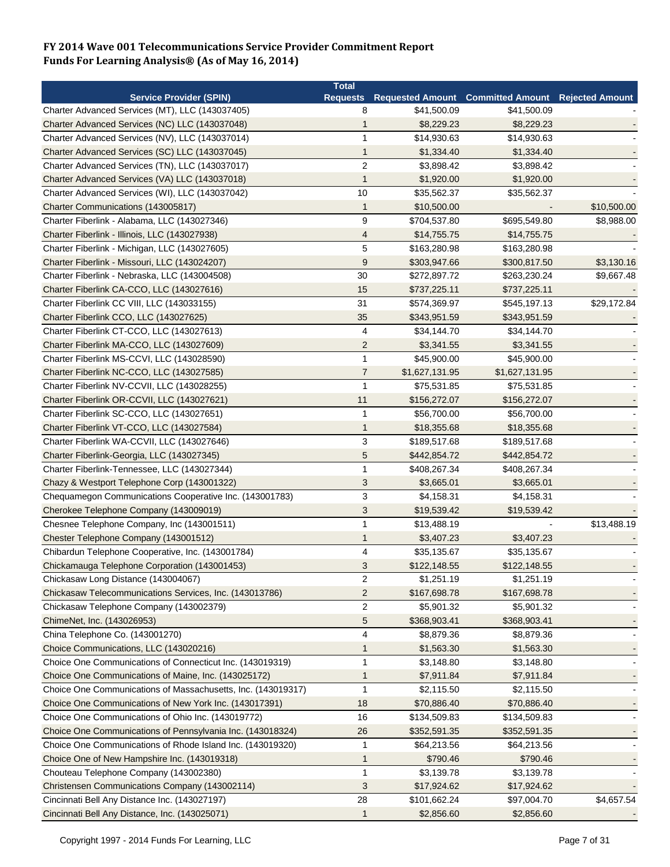|                                                                                            | <b>Total</b>    |                |                                                   |             |
|--------------------------------------------------------------------------------------------|-----------------|----------------|---------------------------------------------------|-------------|
| <b>Service Provider (SPIN)</b>                                                             | <b>Requests</b> |                | Requested Amount Committed Amount Rejected Amount |             |
| Charter Advanced Services (MT), LLC (143037405)                                            | 8               | \$41,500.09    | \$41,500.09                                       |             |
| Charter Advanced Services (NC) LLC (143037048)                                             | 1               | \$8,229.23     | \$8,229.23                                        |             |
| Charter Advanced Services (NV), LLC (143037014)                                            | $\mathbf{1}$    | \$14,930.63    | \$14,930.63                                       |             |
| Charter Advanced Services (SC) LLC (143037045)                                             | $\mathbf 1$     | \$1,334.40     | \$1,334.40                                        |             |
| Charter Advanced Services (TN), LLC (143037017)                                            | $\overline{2}$  | \$3,898.42     | \$3,898.42                                        |             |
| Charter Advanced Services (VA) LLC (143037018)                                             | $\mathbf{1}$    | \$1,920.00     | \$1,920.00                                        |             |
| Charter Advanced Services (WI), LLC (143037042)                                            | 10              | \$35,562.37    | \$35,562.37                                       |             |
| Charter Communications (143005817)                                                         | $\mathbf{1}$    | \$10,500.00    |                                                   | \$10,500.00 |
| Charter Fiberlink - Alabama, LLC (143027346)                                               | 9               | \$704,537.80   | \$695,549.80                                      | \$8,988.00  |
| Charter Fiberlink - Illinois, LLC (143027938)                                              | $\overline{4}$  | \$14,755.75    | \$14,755.75                                       |             |
| Charter Fiberlink - Michigan, LLC (143027605)                                              | 5               | \$163,280.98   | \$163,280.98                                      |             |
| Charter Fiberlink - Missouri, LLC (143024207)                                              | 9               | \$303,947.66   | \$300,817.50                                      | \$3,130.16  |
| Charter Fiberlink - Nebraska, LLC (143004508)                                              | 30              | \$272,897.72   | \$263,230.24                                      | \$9,667.48  |
| Charter Fiberlink CA-CCO, LLC (143027616)                                                  | 15              | \$737,225.11   | \$737,225.11                                      |             |
| Charter Fiberlink CC VIII, LLC (143033155)                                                 | 31              | \$574,369.97   | \$545,197.13                                      | \$29,172.84 |
| Charter Fiberlink CCO, LLC (143027625)                                                     | 35              | \$343,951.59   | \$343,951.59                                      |             |
| Charter Fiberlink CT-CCO, LLC (143027613)                                                  | 4               | \$34,144.70    | \$34,144.70                                       |             |
| Charter Fiberlink MA-CCO, LLC (143027609)                                                  | $\overline{2}$  | \$3,341.55     | \$3,341.55                                        |             |
| Charter Fiberlink MS-CCVI, LLC (143028590)                                                 | $\mathbf{1}$    | \$45,900.00    | \$45,900.00                                       |             |
| Charter Fiberlink NC-CCO, LLC (143027585)                                                  | $\overline{7}$  | \$1,627,131.95 | \$1,627,131.95                                    |             |
| Charter Fiberlink NV-CCVII, LLC (143028255)                                                | $\mathbf{1}$    | \$75,531.85    | \$75,531.85                                       |             |
| Charter Fiberlink OR-CCVII, LLC (143027621)                                                | 11              | \$156,272.07   | \$156,272.07                                      |             |
| Charter Fiberlink SC-CCO, LLC (143027651)                                                  | $\mathbf{1}$    | \$56,700.00    | \$56,700.00                                       |             |
| Charter Fiberlink VT-CCO, LLC (143027584)                                                  | $\mathbf{1}$    | \$18,355.68    | \$18,355.68                                       |             |
| Charter Fiberlink WA-CCVII, LLC (143027646)                                                | 3               | \$189,517.68   | \$189,517.68                                      |             |
|                                                                                            | $\sqrt{5}$      | \$442,854.72   | \$442,854.72                                      |             |
| Charter Fiberlink-Georgia, LLC (143027345)<br>Charter Fiberlink-Tennessee, LLC (143027344) | 1               | \$408,267.34   | \$408,267.34                                      |             |
|                                                                                            |                 |                |                                                   |             |
| Chazy & Westport Telephone Corp (143001322)                                                | 3               | \$3,665.01     | \$3,665.01                                        |             |
| Chequamegon Communications Cooperative Inc. (143001783)                                    | $\mathbf{3}$    | \$4,158.31     | \$4,158.31                                        |             |
| Cherokee Telephone Company (143009019)                                                     | 3               | \$19,539.42    | \$19,539.42                                       |             |
| Chesnee Telephone Company, Inc (143001511)                                                 | $\mathbf{1}$    | \$13,488.19    |                                                   | \$13,488.19 |
| Chester Telephone Company (143001512)                                                      | $\mathbf{1}$    | \$3,407.23     | \$3,407.23                                        |             |
| Chibardun Telephone Cooperative, Inc. (143001784)                                          | 4               | \$35,135.67    | \$35,135.67                                       |             |
| Chickamauga Telephone Corporation (143001453)                                              | 3               | \$122,148.55   | \$122,148.55                                      |             |
| Chickasaw Long Distance (143004067)                                                        | 2               | \$1,251.19     | \$1,251.19                                        |             |
| Chickasaw Telecommunications Services, Inc. (143013786)                                    | $\overline{2}$  | \$167,698.78   | \$167,698.78                                      |             |
| Chickasaw Telephone Company (143002379)                                                    | $\overline{c}$  | \$5,901.32     | \$5,901.32                                        |             |
| ChimeNet, Inc. (143026953)                                                                 | $\sqrt{5}$      | \$368,903.41   | \$368,903.41                                      |             |
| China Telephone Co. (143001270)                                                            | 4               | \$8,879.36     | \$8,879.36                                        |             |
| Choice Communications, LLC (143020216)                                                     | 1               | \$1,563.30     | \$1,563.30                                        |             |
| Choice One Communications of Connecticut Inc. (143019319)                                  | $\mathbf 1$     | \$3,148.80     | \$3,148.80                                        |             |
| Choice One Communications of Maine, Inc. (143025172)                                       | 1               | \$7,911.84     | \$7,911.84                                        |             |
| Choice One Communications of Massachusetts, Inc. (143019317)                               | $\mathbf 1$     | \$2,115.50     | \$2,115.50                                        |             |
| Choice One Communications of New York Inc. (143017391)                                     | 18              | \$70,886.40    | \$70,886.40                                       |             |
| Choice One Communications of Ohio Inc. (143019772)                                         | 16              | \$134,509.83   | \$134,509.83                                      |             |
| Choice One Communications of Pennsylvania Inc. (143018324)                                 | 26              | \$352,591.35   | \$352,591.35                                      |             |
| Choice One Communications of Rhode Island Inc. (143019320)                                 | 1               | \$64,213.56    | \$64,213.56                                       |             |
| Choice One of New Hampshire Inc. (143019318)                                               | $\mathbf 1$     | \$790.46       | \$790.46                                          |             |
| Chouteau Telephone Company (143002380)                                                     | $\mathbf{1}$    | \$3,139.78     | \$3,139.78                                        |             |
| Christensen Communications Company (143002114)                                             | 3               | \$17,924.62    | \$17,924.62                                       |             |
| Cincinnati Bell Any Distance Inc. (143027197)                                              | 28              | \$101,662.24   | \$97,004.70                                       | \$4,657.54  |
| Cincinnati Bell Any Distance, Inc. (143025071)                                             | $\mathbf{1}$    | \$2,856.60     | \$2,856.60                                        |             |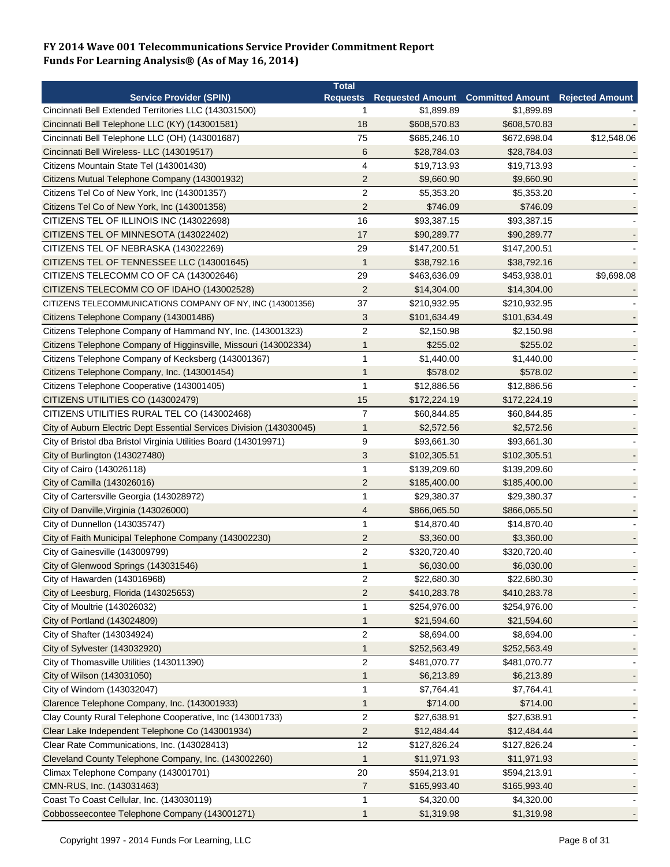|                                                                      | <b>Total</b>         |              |                                            |                        |
|----------------------------------------------------------------------|----------------------|--------------|--------------------------------------------|------------------------|
| <b>Service Provider (SPIN)</b>                                       |                      |              | Requests Requested Amount Committed Amount | <b>Rejected Amount</b> |
| Cincinnati Bell Extended Territories LLC (143031500)                 | 1                    | \$1,899.89   | \$1,899.89                                 |                        |
| Cincinnati Bell Telephone LLC (KY) (143001581)                       | 18                   | \$608,570.83 | \$608,570.83                               |                        |
| Cincinnati Bell Telephone LLC (OH) (143001687)                       | 75                   | \$685,246.10 | \$672,698.04                               | \$12,548.06            |
| Cincinnati Bell Wireless- LLC (143019517)                            | $6\phantom{1}6$      | \$28,784.03  | \$28,784.03                                |                        |
| Citizens Mountain State Tel (143001430)                              | $\overline{4}$       | \$19,713.93  | \$19,713.93                                |                        |
| Citizens Mutual Telephone Company (143001932)                        | $\overline{2}$       | \$9,660.90   | \$9,660.90                                 |                        |
| Citizens Tel Co of New York, Inc (143001357)                         | $\overline{c}$       | \$5,353.20   | \$5,353.20                                 |                        |
| Citizens Tel Co of New York, Inc (143001358)                         | $\overline{2}$       | \$746.09     | \$746.09                                   |                        |
| CITIZENS TEL OF ILLINOIS INC (143022698)                             | 16                   | \$93,387.15  | \$93,387.15                                |                        |
| CITIZENS TEL OF MINNESOTA (143022402)                                | 17                   | \$90,289.77  | \$90,289.77                                |                        |
| CITIZENS TEL OF NEBRASKA (143022269)                                 | 29                   | \$147,200.51 | \$147,200.51                               |                        |
| CITIZENS TEL OF TENNESSEE LLC (143001645)                            | $\mathbf{1}$         | \$38,792.16  | \$38,792.16                                |                        |
| CITIZENS TELECOMM CO OF CA (143002646)                               | 29                   | \$463,636.09 | \$453,938.01                               | \$9,698.08             |
| CITIZENS TELECOMM CO OF IDAHO (143002528)                            | $\overline{2}$       | \$14,304.00  | \$14,304.00                                |                        |
| CITIZENS TELECOMMUNICATIONS COMPANY OF NY, INC (143001356)           | 37                   | \$210,932.95 | \$210,932.95                               |                        |
| Citizens Telephone Company (143001486)                               | 3                    | \$101,634.49 | \$101,634.49                               |                        |
| Citizens Telephone Company of Hammand NY, Inc. (143001323)           | $\overline{c}$       | \$2,150.98   | \$2,150.98                                 |                        |
| Citizens Telephone Company of Higginsville, Missouri (143002334)     | $\mathbf{1}$         | \$255.02     | \$255.02                                   |                        |
| Citizens Telephone Company of Kecksberg (143001367)                  | $\mathbf{1}$         | \$1,440.00   | \$1,440.00                                 |                        |
| Citizens Telephone Company, Inc. (143001454)                         | $\mathbf{1}$         | \$578.02     | \$578.02                                   |                        |
| Citizens Telephone Cooperative (143001405)                           | $\mathbf{1}$         | \$12,886.56  | \$12,886.56                                |                        |
|                                                                      |                      |              |                                            |                        |
| CITIZENS UTILITIES CO (143002479)                                    | 15<br>$\overline{7}$ | \$172,224.19 | \$172,224.19                               |                        |
| CITIZENS UTILITIES RURAL TEL CO (143002468)                          |                      | \$60,844.85  | \$60,844.85                                |                        |
| City of Auburn Electric Dept Essential Services Division (143030045) | $\mathbf 1$          | \$2,572.56   | \$2,572.56                                 |                        |
| City of Bristol dba Bristol Virginia Utilities Board (143019971)     | 9                    | \$93,661.30  | \$93,661.30                                |                        |
| City of Burlington (143027480)                                       | 3                    | \$102,305.51 | \$102,305.51                               |                        |
| City of Cairo (143026118)                                            | $\mathbf{1}$         | \$139,209.60 | \$139,209.60                               |                        |
| City of Camilla (143026016)                                          | $\overline{2}$       | \$185,400.00 | \$185,400.00                               |                        |
| City of Cartersville Georgia (143028972)                             | 1                    | \$29,380.37  | \$29,380.37                                |                        |
| City of Danville, Virginia (143026000)                               | 4                    | \$866,065.50 | \$866,065.50                               |                        |
| City of Dunnellon (143035747)                                        | $\mathbf{1}$         | \$14,870.40  | \$14,870.40                                |                        |
| City of Faith Municipal Telephone Company (143002230)                | $\overline{2}$       | \$3,360.00   | \$3,360.00                                 |                        |
| City of Gainesville (143009799)                                      | $\overline{2}$       | \$320,720.40 | \$320,720.40                               |                        |
| City of Glenwood Springs (143031546)                                 | $\mathbf{1}$         | \$6,030.00   | \$6,030.00                                 |                        |
| City of Hawarden (143016968)                                         | $\overline{2}$       | \$22,680.30  | \$22,680.30                                |                        |
| City of Leesburg, Florida (143025653)                                | $\overline{2}$       | \$410,283.78 | \$410,283.78                               |                        |
| City of Moultrie (143026032)                                         | $\mathbf{1}$         | \$254,976.00 | \$254,976.00                               |                        |
| City of Portland (143024809)                                         | $\mathbf{1}$         | \$21,594.60  | \$21,594.60                                |                        |
| City of Shafter (143034924)                                          | 2                    | \$8,694.00   | \$8,694.00                                 |                        |
| City of Sylvester (143032920)                                        | $\mathbf{1}$         | \$252,563.49 | \$252,563.49                               |                        |
| City of Thomasville Utilities (143011390)                            | $\overline{2}$       | \$481,070.77 | \$481,070.77                               |                        |
| City of Wilson (143031050)                                           | $\mathbf{1}$         | \$6,213.89   | \$6,213.89                                 |                        |
| City of Windom (143032047)                                           | 1                    | \$7,764.41   | \$7,764.41                                 |                        |
| Clarence Telephone Company, Inc. (143001933)                         | 1                    | \$714.00     | \$714.00                                   |                        |
| Clay County Rural Telephone Cooperative, Inc (143001733)             | $\boldsymbol{2}$     | \$27,638.91  | \$27,638.91                                |                        |
| Clear Lake Independent Telephone Co (143001934)                      | $\overline{2}$       | \$12,484.44  | \$12,484.44                                |                        |
| Clear Rate Communications, Inc. (143028413)                          | 12                   | \$127,826.24 | \$127,826.24                               |                        |
| Cleveland County Telephone Company, Inc. (143002260)                 | $\mathbf{1}$         | \$11,971.93  | \$11,971.93                                |                        |
| Climax Telephone Company (143001701)                                 | 20                   | \$594,213.91 | \$594,213.91                               |                        |
| CMN-RUS, Inc. (143031463)                                            | $\overline{7}$       | \$165,993.40 | \$165,993.40                               |                        |
| Coast To Coast Cellular, Inc. (143030119)                            | $\mathbf{1}$         | \$4,320.00   | \$4,320.00                                 |                        |
| Cobbosseecontee Telephone Company (143001271)                        | 1                    | \$1,319.98   | \$1,319.98                                 |                        |
|                                                                      |                      |              |                                            |                        |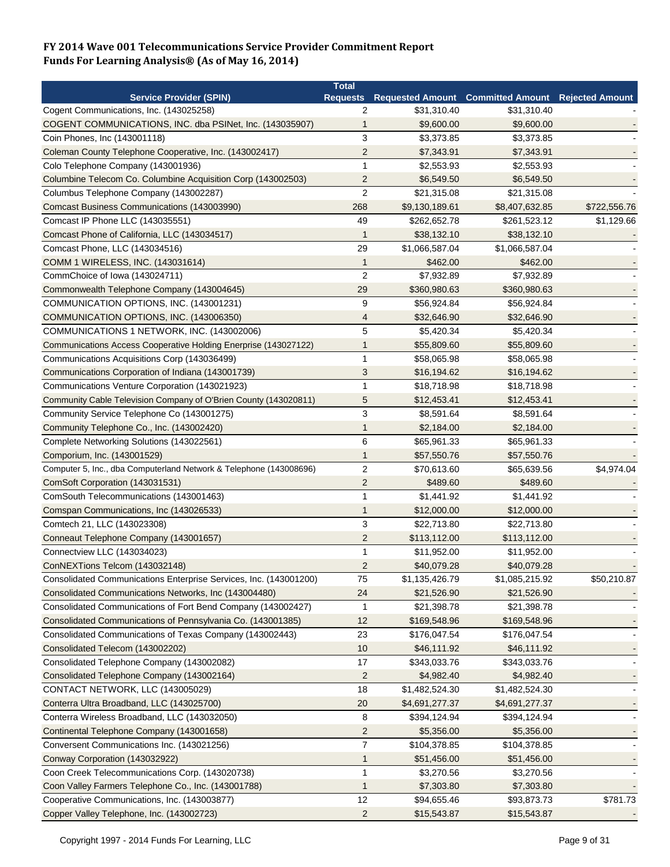|                                                                    | <b>Total</b>   |                            |                                                            |              |
|--------------------------------------------------------------------|----------------|----------------------------|------------------------------------------------------------|--------------|
| <b>Service Provider (SPIN)</b>                                     |                |                            | Requests Requested Amount Committed Amount Rejected Amount |              |
| Cogent Communications, Inc. (143025258)                            | 2              | \$31,310.40                | \$31,310.40                                                |              |
| COGENT COMMUNICATIONS, INC. dba PSINet, Inc. (143035907)           | $\mathbf{1}$   | \$9,600.00                 | \$9,600.00                                                 |              |
| Coin Phones, Inc (143001118)                                       | 3              | \$3,373.85                 | \$3,373.85                                                 |              |
| Coleman County Telephone Cooperative, Inc. (143002417)             | $\overline{c}$ | \$7,343.91                 | \$7,343.91                                                 |              |
| Colo Telephone Company (143001936)                                 | $\mathbf{1}$   | \$2,553.93                 | \$2,553.93                                                 |              |
| Columbine Telecom Co. Columbine Acquisition Corp (143002503)       | $\overline{2}$ | \$6,549.50                 | \$6,549.50                                                 |              |
| Columbus Telephone Company (143002287)                             | $\overline{2}$ | \$21,315.08                | \$21,315.08                                                |              |
| Comcast Business Communications (143003990)                        | 268            | \$9,130,189.61             | \$8,407,632.85                                             | \$722,556.76 |
| Comcast IP Phone LLC (143035551)                                   | 49             | \$262,652.78               | \$261,523.12                                               | \$1,129.66   |
| Comcast Phone of California, LLC (143034517)                       | $\mathbf 1$    | \$38,132.10                | \$38,132.10                                                |              |
| Comcast Phone, LLC (143034516)                                     | 29             | \$1,066,587.04             | \$1,066,587.04                                             |              |
| COMM 1 WIRELESS, INC. (143031614)                                  | $\mathbf{1}$   | \$462.00                   | \$462.00                                                   |              |
| CommChoice of Iowa (143024711)                                     | $\overline{2}$ | \$7,932.89                 | \$7,932.89                                                 |              |
| Commonwealth Telephone Company (143004645)                         | 29             | \$360,980.63               | \$360,980.63                                               |              |
| COMMUNICATION OPTIONS, INC. (143001231)                            | 9              | \$56,924.84                | \$56,924.84                                                |              |
| COMMUNICATION OPTIONS, INC. (143006350)                            | 4              | \$32,646.90                | \$32,646.90                                                |              |
| COMMUNICATIONS 1 NETWORK, INC. (143002006)                         | 5              | \$5,420.34                 | \$5,420.34                                                 |              |
| Communications Access Cooperative Holding Enerprise (143027122)    | 1              | \$55,809.60                | \$55,809.60                                                |              |
| Communications Acquisitions Corp (143036499)                       | $\mathbf{1}$   | \$58,065.98                | \$58,065.98                                                |              |
|                                                                    | 3              |                            |                                                            |              |
| Communications Corporation of Indiana (143001739)                  |                | \$16,194.62<br>\$18,718.98 | \$16,194.62                                                |              |
| Communications Venture Corporation (143021923)                     | 1              |                            | \$18,718.98                                                |              |
| Community Cable Television Company of O'Brien County (143020811)   | 5              | \$12,453.41                | \$12,453.41                                                |              |
| Community Service Telephone Co (143001275)                         | 3              | \$8,591.64                 | \$8,591.64                                                 |              |
| Community Telephone Co., Inc. (143002420)                          | $\mathbf 1$    | \$2,184.00                 | \$2,184.00                                                 |              |
| Complete Networking Solutions (143022561)                          | 6              | \$65,961.33                | \$65,961.33                                                |              |
| Comporium, Inc. (143001529)                                        | $\mathbf{1}$   | \$57,550.76                | \$57,550.76                                                |              |
| Computer 5, Inc., dba Computerland Network & Telephone (143008696) | $\overline{2}$ | \$70,613.60                | \$65,639.56                                                | \$4,974.04   |
| ComSoft Corporation (143031531)                                    | $\overline{2}$ | \$489.60                   | \$489.60                                                   |              |
| ComSouth Telecommunications (143001463)                            | $\mathbf{1}$   | \$1,441.92                 | \$1,441.92                                                 |              |
| Comspan Communications, Inc (143026533)                            | $\mathbf{1}$   | \$12,000.00                | \$12,000.00                                                |              |
| Comtech 21, LLC (143023308)                                        | 3              | \$22,713.80                | \$22,713.80                                                |              |
| Conneaut Telephone Company (143001657)                             | $\overline{c}$ | \$113,112.00               | \$113,112.00                                               |              |
| Connectview LLC (143034023)                                        | 1              | \$11,952.00                | \$11,952.00                                                |              |
| ConNEXTions Telcom (143032148)                                     | $\overline{2}$ | \$40,079.28                | \$40,079.28                                                |              |
| Consolidated Communications Enterprise Services, Inc. (143001200)  | 75             | \$1,135,426.79             | \$1,085,215.92                                             | \$50,210.87  |
| Consolidated Communications Networks, Inc (143004480)              | 24             | \$21,526.90                | \$21,526.90                                                |              |
| Consolidated Communications of Fort Bend Company (143002427)       | 1              | \$21,398.78                | \$21,398.78                                                |              |
| Consolidated Communications of Pennsylvania Co. (143001385)        | 12             | \$169,548.96               | \$169,548.96                                               |              |
| Consolidated Communications of Texas Company (143002443)           | 23             | \$176,047.54               | \$176,047.54                                               |              |
| Consolidated Telecom (143002202)                                   | 10             | \$46,111.92                | \$46,111.92                                                |              |
| Consolidated Telephone Company (143002082)                         | 17             | \$343,033.76               | \$343,033.76                                               |              |
| Consolidated Telephone Company (143002164)                         | $\overline{2}$ | \$4,982.40                 | \$4,982.40                                                 |              |
| CONTACT NETWORK, LLC (143005029)                                   | 18             | \$1,482,524.30             | \$1,482,524.30                                             |              |
| Conterra Ultra Broadband, LLC (143025700)                          | 20             | \$4,691,277.37             | \$4,691,277.37                                             |              |
| Conterra Wireless Broadband, LLC (143032050)                       | 8              | \$394,124.94               | \$394,124.94                                               |              |
| Continental Telephone Company (143001658)                          | $\overline{c}$ | \$5,356.00                 | \$5,356.00                                                 |              |
| Conversent Communications Inc. (143021256)                         | $\overline{7}$ | \$104,378.85               | \$104,378.85                                               |              |
| Conway Corporation (143032922)                                     | 1              | \$51,456.00                | \$51,456.00                                                |              |
| Coon Creek Telecommunications Corp. (143020738)                    | $\mathbf{1}$   | \$3,270.56                 | \$3,270.56                                                 |              |
| Coon Valley Farmers Telephone Co., Inc. (143001788)                | $\mathbf{1}$   | \$7,303.80                 | \$7,303.80                                                 |              |
| Cooperative Communications, Inc. (143003877)                       | 12             | \$94,655.46                | \$93,873.73                                                | \$781.73     |
| Copper Valley Telephone, Inc. (143002723)                          | $\overline{c}$ | \$15,543.87                | \$15,543.87                                                |              |
|                                                                    |                |                            |                                                            |              |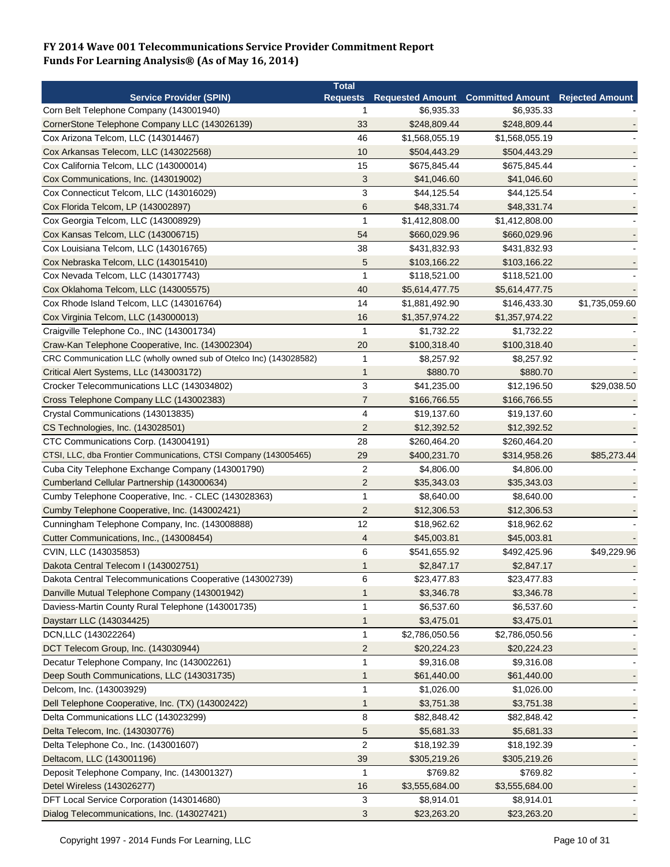|                                                                    | <b>Total</b>   |                |                                                            |                |
|--------------------------------------------------------------------|----------------|----------------|------------------------------------------------------------|----------------|
| <b>Service Provider (SPIN)</b>                                     |                |                | Requests Requested Amount Committed Amount Rejected Amount |                |
| Corn Belt Telephone Company (143001940)                            | 1              | \$6,935.33     | \$6,935.33                                                 |                |
| CornerStone Telephone Company LLC (143026139)                      | 33             | \$248,809.44   | \$248,809.44                                               |                |
| Cox Arizona Telcom, LLC (143014467)                                | 46             | \$1,568,055.19 | \$1,568,055.19                                             |                |
| Cox Arkansas Telecom, LLC (143022568)                              | 10             | \$504,443.29   | \$504,443.29                                               |                |
| Cox California Telcom, LLC (143000014)                             | 15             | \$675,845.44   | \$675,845.44                                               |                |
| Cox Communications, Inc. (143019002)                               | 3              | \$41,046.60    | \$41,046.60                                                |                |
| Cox Connecticut Telcom, LLC (143016029)                            | 3              | \$44,125.54    | \$44,125.54                                                |                |
| Cox Florida Telcom, LP (143002897)                                 | 6              | \$48,331.74    | \$48,331.74                                                |                |
| Cox Georgia Telcom, LLC (143008929)                                | 1              | \$1,412,808.00 | \$1,412,808.00                                             |                |
| Cox Kansas Telcom, LLC (143006715)                                 | 54             | \$660,029.96   | \$660,029.96                                               |                |
| Cox Louisiana Telcom, LLC (143016765)                              | 38             | \$431,832.93   | \$431,832.93                                               |                |
| Cox Nebraska Telcom, LLC (143015410)                               | 5              | \$103,166.22   | \$103,166.22                                               |                |
| Cox Nevada Telcom, LLC (143017743)                                 | $\mathbf{1}$   | \$118,521.00   | \$118,521.00                                               |                |
| Cox Oklahoma Telcom, LLC (143005575)                               | 40             | \$5,614,477.75 | \$5,614,477.75                                             |                |
| Cox Rhode Island Telcom, LLC (143016764)                           | 14             | \$1,881,492.90 | \$146,433.30                                               | \$1,735,059.60 |
| Cox Virginia Telcom, LLC (143000013)                               | 16             | \$1,357,974.22 | \$1,357,974.22                                             |                |
| Craigville Telephone Co., INC (143001734)                          | $\mathbf{1}$   | \$1,732.22     | \$1,732.22                                                 |                |
| Craw-Kan Telephone Cooperative, Inc. (143002304)                   | 20             | \$100,318.40   | \$100,318.40                                               |                |
| CRC Communication LLC (wholly owned sub of Otelco Inc) (143028582) | $\mathbf{1}$   | \$8,257.92     | \$8,257.92                                                 |                |
| Critical Alert Systems, LLc (143003172)                            | 1              | \$880.70       | \$880.70                                                   |                |
| Crocker Telecommunications LLC (143034802)                         | 3              | \$41,235.00    | \$12,196.50                                                | \$29,038.50    |
| Cross Telephone Company LLC (143002383)                            | $\overline{7}$ | \$166,766.55   | \$166,766.55                                               |                |
| Crystal Communications (143013835)                                 | 4              |                |                                                            |                |
|                                                                    |                | \$19,137.60    | \$19,137.60                                                |                |
| CS Technologies, Inc. (143028501)                                  | $\overline{2}$ | \$12,392.52    | \$12,392.52                                                |                |
| CTC Communications Corp. (143004191)                               | 28             | \$260,464.20   | \$260,464.20                                               |                |
| CTSI, LLC, dba Frontier Communications, CTSI Company (143005465)   | 29             | \$400,231.70   | \$314,958.26                                               | \$85,273.44    |
| Cuba City Telephone Exchange Company (143001790)                   | $\overline{2}$ | \$4,806.00     | \$4,806.00                                                 |                |
| Cumberland Cellular Partnership (143000634)                        | $\overline{2}$ | \$35,343.03    | \$35,343.03                                                |                |
| Cumby Telephone Cooperative, Inc. - CLEC (143028363)               | 1              | \$8,640.00     | \$8,640.00                                                 |                |
| Cumby Telephone Cooperative, Inc. (143002421)                      | 2              | \$12,306.53    | \$12,306.53                                                |                |
| Cunningham Telephone Company, Inc. (143008888)                     | 12             | \$18,962.62    | \$18,962.62                                                |                |
| Cutter Communications, Inc., (143008454)                           | 4              | \$45,003.81    | \$45,003.81                                                |                |
| CVIN, LLC (143035853)                                              | 6              | \$541,655.92   | \$492,425.96                                               | \$49,229.96    |
| Dakota Central Telecom I (143002751)                               | 1              | \$2,847.17     | \$2,847.17                                                 |                |
| Dakota Central Telecommunications Cooperative (143002739)          | 6              | \$23,477.83    | \$23,477.83                                                |                |
| Danville Mutual Telephone Company (143001942)                      | 1              | \$3,346.78     | \$3,346.78                                                 |                |
| Daviess-Martin County Rural Telephone (143001735)                  | 1              | \$6,537.60     | \$6,537.60                                                 |                |
| Daystarr LLC (143034425)                                           | 1              | \$3,475.01     | \$3,475.01                                                 |                |
| DCN, LLC (143022264)                                               | 1              | \$2,786,050.56 | \$2,786,050.56                                             |                |
| DCT Telecom Group, Inc. (143030944)                                | 2              | \$20,224.23    | \$20,224.23                                                |                |
| Decatur Telephone Company, Inc (143002261)                         | 1              | \$9,316.08     | \$9,316.08                                                 |                |
| Deep South Communications, LLC (143031735)                         | 1              | \$61,440.00    | \$61,440.00                                                |                |
| Delcom, Inc. (143003929)                                           | 1              | \$1,026.00     | \$1,026.00                                                 |                |
| Dell Telephone Cooperative, Inc. (TX) (143002422)                  | 1              | \$3,751.38     | \$3,751.38                                                 |                |
| Delta Communications LLC (143023299)                               | 8              | \$82,848.42    | \$82,848.42                                                |                |
| Delta Telecom, Inc. (143030776)                                    | 5              | \$5,681.33     | \$5,681.33                                                 |                |
| Delta Telephone Co., Inc. (143001607)                              | $\overline{c}$ | \$18,192.39    | \$18,192.39                                                |                |
| Deltacom, LLC (143001196)                                          | 39             | \$305,219.26   | \$305,219.26                                               |                |
| Deposit Telephone Company, Inc. (143001327)                        | $\mathbf 1$    | \$769.82       | \$769.82                                                   |                |
| Detel Wireless (143026277)                                         | 16             | \$3,555,684.00 | \$3,555,684.00                                             |                |
| DFT Local Service Corporation (143014680)                          | 3              | \$8,914.01     | \$8,914.01                                                 |                |
| Dialog Telecommunications, Inc. (143027421)                        | 3              | \$23,263.20    | \$23,263.20                                                |                |
|                                                                    |                |                |                                                            |                |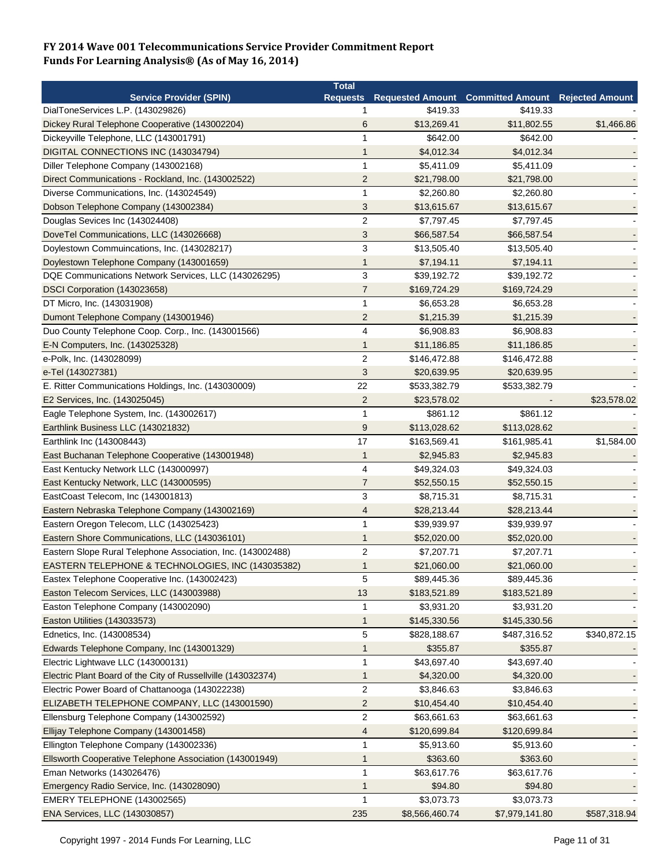|                                                              | <b>Total</b>   |                |                                                   |              |
|--------------------------------------------------------------|----------------|----------------|---------------------------------------------------|--------------|
| <b>Service Provider (SPIN)</b>                               | Requests       |                | Requested Amount Committed Amount Rejected Amount |              |
| DialToneServices L.P. (143029826)                            | 1              | \$419.33       | \$419.33                                          |              |
| Dickey Rural Telephone Cooperative (143002204)               | 6              | \$13,269.41    | \$11,802.55                                       | \$1,466.86   |
| Dickeyville Telephone, LLC (143001791)                       | 1              | \$642.00       | \$642.00                                          |              |
| DIGITAL CONNECTIONS INC (143034794)                          | $\mathbf{1}$   | \$4,012.34     | \$4,012.34                                        |              |
| Diller Telephone Company (143002168)                         | $\mathbf{1}$   | \$5,411.09     | \$5,411.09                                        |              |
| Direct Communications - Rockland, Inc. (143002522)           | $\overline{2}$ | \$21,798.00    | \$21,798.00                                       |              |
| Diverse Communications, Inc. (143024549)                     | $\mathbf{1}$   | \$2,260.80     | \$2,260.80                                        |              |
| Dobson Telephone Company (143002384)                         | 3              | \$13,615.67    | \$13,615.67                                       |              |
| Douglas Sevices Inc (143024408)                              | $\overline{2}$ | \$7,797.45     | \$7,797.45                                        |              |
| DoveTel Communications, LLC (143026668)                      | 3              | \$66,587.54    | \$66,587.54                                       |              |
| Doylestown Commuincations, Inc. (143028217)                  | 3              | \$13,505.40    | \$13,505.40                                       |              |
| Doylestown Telephone Company (143001659)                     | 1              | \$7,194.11     | \$7,194.11                                        |              |
| DQE Communications Network Services, LLC (143026295)         | 3              | \$39,192.72    | \$39,192.72                                       |              |
| DSCI Corporation (143023658)                                 | 7              | \$169,724.29   | \$169,724.29                                      |              |
| DT Micro, Inc. (143031908)                                   | 1              | \$6,653.28     | \$6,653.28                                        |              |
| Dumont Telephone Company (143001946)                         | $\overline{2}$ | \$1,215.39     | \$1,215.39                                        |              |
| Duo County Telephone Coop. Corp., Inc. (143001566)           | $\overline{4}$ | \$6,908.83     | \$6,908.83                                        |              |
| E-N Computers, Inc. (143025328)                              | 1              | \$11,186.85    | \$11,186.85                                       |              |
| e-Polk, Inc. (143028099)                                     | $\overline{c}$ | \$146,472.88   | \$146,472.88                                      |              |
| e-Tel (143027381)                                            | 3              | \$20,639.95    | \$20,639.95                                       |              |
| E. Ritter Communications Holdings, Inc. (143030009)          | 22             | \$533,382.79   | \$533,382.79                                      |              |
| E2 Services, Inc. (143025045)                                | $\overline{2}$ | \$23,578.02    |                                                   | \$23,578.02  |
| Eagle Telephone System, Inc. (143002617)                     | 1              | \$861.12       | \$861.12                                          |              |
| Earthlink Business LLC (143021832)                           | 9              | \$113,028.62   | \$113,028.62                                      |              |
| Earthlink Inc (143008443)                                    | 17             | \$163,569.41   | \$161,985.41                                      | \$1,584.00   |
| East Buchanan Telephone Cooperative (143001948)              | $\mathbf{1}$   | \$2,945.83     | \$2,945.83                                        |              |
| East Kentucky Network LLC (143000997)                        | 4              | \$49,324.03    | \$49,324.03                                       |              |
|                                                              | $\overline{7}$ |                |                                                   |              |
| East Kentucky Network, LLC (143000595)                       | 3              | \$52,550.15    | \$52,550.15                                       |              |
| EastCoast Telecom, Inc (143001813)                           |                | \$8,715.31     | \$8,715.31                                        |              |
| Eastern Nebraska Telephone Company (143002169)               | 4              | \$28,213.44    | \$28,213.44                                       |              |
| Eastern Oregon Telecom, LLC (143025423)                      | 1              | \$39,939.97    | \$39,939.97                                       |              |
| Eastern Shore Communications, LLC (143036101)                | 1              | \$52,020.00    | \$52,020.00                                       |              |
| Eastern Slope Rural Telephone Association, Inc. (143002488)  | $\overline{2}$ | \$7,207.71     | \$7,207.71                                        |              |
| EASTERN TELEPHONE & TECHNOLOGIES, INC (143035382)            | 1              | \$21,060.00    | \$21,060.00                                       |              |
| Eastex Telephone Cooperative Inc. (143002423)                | 5              | \$89,445.36    | \$89,445.36                                       |              |
| Easton Telecom Services, LLC (143003988)                     | 13             | \$183,521.89   | \$183,521.89                                      |              |
| Easton Telephone Company (143002090)                         | 1              | \$3,931.20     | \$3,931.20                                        |              |
| Easton Utilities (143033573)                                 | $\mathbf{1}$   | \$145,330.56   | \$145,330.56                                      |              |
| Ednetics, Inc. (143008534)                                   | 5              | \$828,188.67   | \$487,316.52                                      | \$340,872.15 |
| Edwards Telephone Company, Inc (143001329)                   | 1              | \$355.87       | \$355.87                                          |              |
| Electric Lightwave LLC (143000131)                           | 1              | \$43,697.40    | \$43,697.40                                       |              |
| Electric Plant Board of the City of Russellville (143032374) | $\mathbf 1$    | \$4,320.00     | \$4,320.00                                        |              |
| Electric Power Board of Chattanooga (143022238)              | $\overline{2}$ | \$3,846.63     | \$3,846.63                                        |              |
| ELIZABETH TELEPHONE COMPANY, LLC (143001590)                 | $\overline{2}$ | \$10,454.40    | \$10,454.40                                       |              |
| Ellensburg Telephone Company (143002592)                     | $\overline{2}$ | \$63,661.63    | \$63,661.63                                       |              |
| Ellijay Telephone Company (143001458)                        | 4              | \$120,699.84   | \$120,699.84                                      |              |
| Ellington Telephone Company (143002336)                      | $\mathbf{1}$   | \$5,913.60     | \$5,913.60                                        |              |
| Ellsworth Cooperative Telephone Association (143001949)      | $\mathbf 1$    | \$363.60       | \$363.60                                          |              |
| Eman Networks (143026476)                                    | $\mathbf{1}$   | \$63,617.76    | \$63,617.76                                       |              |
| Emergency Radio Service, Inc. (143028090)                    | $\mathbf 1$    | \$94.80        | \$94.80                                           |              |
| EMERY TELEPHONE (143002565)                                  | $\mathbf{1}$   | \$3,073.73     | \$3,073.73                                        |              |
| ENA Services, LLC (143030857)                                | 235            | \$8,566,460.74 | \$7,979,141.80                                    | \$587,318.94 |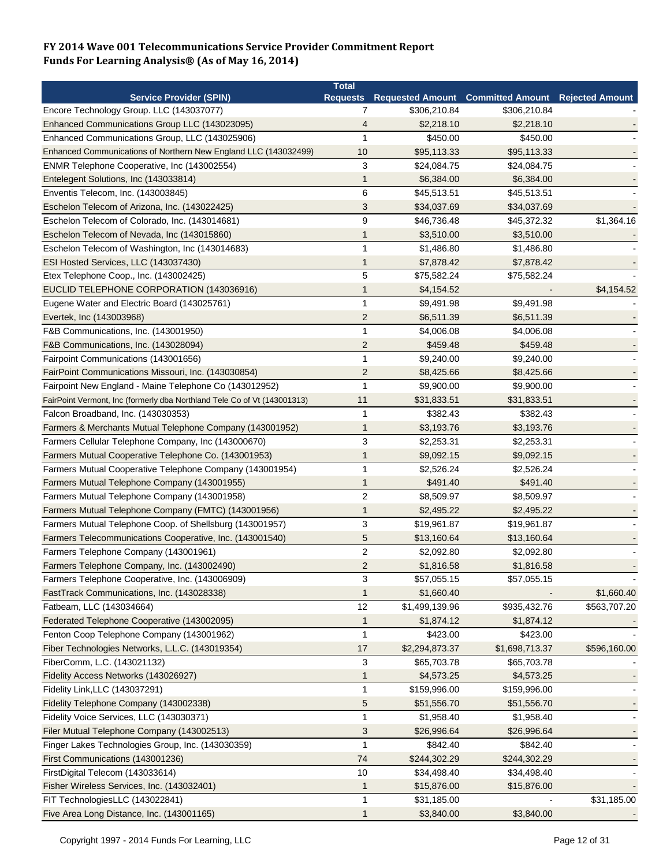|                                                                          | <b>Total</b>            |                |                                            |                        |
|--------------------------------------------------------------------------|-------------------------|----------------|--------------------------------------------|------------------------|
| <b>Service Provider (SPIN)</b>                                           |                         |                | Requests Requested Amount Committed Amount | <b>Rejected Amount</b> |
| Encore Technology Group. LLC (143037077)                                 | $\overline{7}$          | \$306,210.84   | \$306,210.84                               |                        |
| Enhanced Communications Group LLC (143023095)                            | 4                       | \$2,218.10     | \$2,218.10                                 |                        |
| Enhanced Communications Group, LLC (143025906)                           | $\mathbf{1}$            | \$450.00       | \$450.00                                   |                        |
| Enhanced Communications of Northern New England LLC (143032499)          | 10                      | \$95,113.33    | \$95,113.33                                |                        |
| ENMR Telephone Cooperative, Inc (143002554)                              | 3                       | \$24,084.75    | \$24,084.75                                |                        |
| Entelegent Solutions, Inc (143033814)                                    | 1                       | \$6,384.00     | \$6,384.00                                 |                        |
| Enventis Telecom, Inc. (143003845)                                       | 6                       | \$45,513.51    | \$45,513.51                                |                        |
| Eschelon Telecom of Arizona, Inc. (143022425)                            | 3                       | \$34,037.69    | \$34,037.69                                |                        |
| Eschelon Telecom of Colorado, Inc. (143014681)                           | 9                       | \$46,736.48    | \$45,372.32                                | \$1,364.16             |
| Eschelon Telecom of Nevada, Inc (143015860)                              | 1                       | \$3,510.00     | \$3,510.00                                 |                        |
| Eschelon Telecom of Washington, Inc (143014683)                          | $\mathbf{1}$            | \$1,486.80     | \$1,486.80                                 |                        |
| ESI Hosted Services, LLC (143037430)                                     | $\mathbf 1$             | \$7,878.42     | \$7,878.42                                 |                        |
| Etex Telephone Coop., Inc. (143002425)                                   | 5                       | \$75,582.24    | \$75,582.24                                |                        |
| EUCLID TELEPHONE CORPORATION (143036916)                                 | 1                       | \$4,154.52     |                                            | \$4,154.52             |
| Eugene Water and Electric Board (143025761)                              | $\mathbf{1}$            | \$9,491.98     | \$9,491.98                                 |                        |
| Evertek, Inc (143003968)                                                 | $\overline{2}$          | \$6,511.39     | \$6,511.39                                 |                        |
| F&B Communications, Inc. (143001950)                                     | $\mathbf{1}$            | \$4,006.08     | \$4,006.08                                 |                        |
| F&B Communications, Inc. (143028094)                                     | $\overline{2}$          | \$459.48       | \$459.48                                   |                        |
| Fairpoint Communications (143001656)                                     | $\mathbf{1}$            | \$9,240.00     | \$9,240.00                                 |                        |
| FairPoint Communications Missouri, Inc. (143030854)                      | $\overline{\mathbf{c}}$ | \$8,425.66     | \$8,425.66                                 |                        |
| Fairpoint New England - Maine Telephone Co (143012952)                   | $\mathbf{1}$            | \$9,900.00     | \$9,900.00                                 |                        |
| FairPoint Vermont, Inc (formerly dba Northland Tele Co of Vt (143001313) | 11                      | \$31,833.51    | \$31,833.51                                |                        |
| Falcon Broadband, Inc. (143030353)                                       | $\mathbf{1}$            | \$382.43       | \$382.43                                   |                        |
|                                                                          |                         |                |                                            |                        |
| Farmers & Merchants Mutual Telephone Company (143001952)                 | $\mathbf 1$             | \$3,193.76     | \$3,193.76                                 |                        |
| Farmers Cellular Telephone Company, Inc (143000670)                      | 3                       | \$2,253.31     | \$2,253.31                                 |                        |
| Farmers Mutual Cooperative Telephone Co. (143001953)                     | 1                       | \$9,092.15     | \$9,092.15                                 |                        |
| Farmers Mutual Cooperative Telephone Company (143001954)                 | 1                       | \$2,526.24     | \$2,526.24                                 |                        |
| Farmers Mutual Telephone Company (143001955)                             | 1                       | \$491.40       | \$491.40                                   |                        |
| Farmers Mutual Telephone Company (143001958)                             | $\overline{2}$          | \$8,509.97     | \$8,509.97                                 |                        |
| Farmers Mutual Telephone Company (FMTC) (143001956)                      | 1                       | \$2,495.22     | \$2,495.22                                 |                        |
| Farmers Mutual Telephone Coop. of Shellsburg (143001957)                 | 3                       | \$19,961.87    | \$19,961.87                                |                        |
| Farmers Telecommunications Cooperative, Inc. (143001540)                 | 5                       | \$13,160.64    | \$13,160.64                                |                        |
| Farmers Telephone Company (143001961)                                    | $\overline{2}$          | \$2,092.80     | \$2,092.80                                 |                        |
| Farmers Telephone Company, Inc. (143002490)                              | $\overline{2}$          | \$1,816.58     | \$1,816.58                                 |                        |
| Farmers Telephone Cooperative, Inc. (143006909)                          | 3                       | \$57,055.15    | \$57,055.15                                |                        |
| FastTrack Communications, Inc. (143028338)                               | $\mathbf{1}$            | \$1,660.40     |                                            | \$1,660.40             |
| Fatbeam, LLC (143034664)                                                 | 12                      | \$1,499,139.96 | \$935,432.76                               | \$563,707.20           |
| Federated Telephone Cooperative (143002095)                              | $\mathbf{1}$            | \$1,874.12     | \$1,874.12                                 |                        |
| Fenton Coop Telephone Company (143001962)                                | 1                       | \$423.00       | \$423.00                                   |                        |
| Fiber Technologies Networks, L.L.C. (143019354)                          | 17                      | \$2,294,873.37 | \$1,698,713.37                             | \$596,160.00           |
| FiberComm, L.C. (143021132)                                              | 3                       | \$65,703.78    | \$65,703.78                                |                        |
| Fidelity Access Networks (143026927)                                     | $\mathbf 1$             | \$4,573.25     | \$4,573.25                                 |                        |
| Fidelity Link, LLC (143037291)                                           | $\mathbf{1}$            | \$159,996.00   | \$159,996.00                               |                        |
| Fidelity Telephone Company (143002338)                                   | 5                       | \$51,556.70    | \$51,556.70                                |                        |
| Fidelity Voice Services, LLC (143030371)                                 | 1                       | \$1,958.40     | \$1,958.40                                 |                        |
| Filer Mutual Telephone Company (143002513)                               | 3                       | \$26,996.64    | \$26,996.64                                |                        |
| Finger Lakes Technologies Group, Inc. (143030359)                        | $\mathbf{1}$            | \$842.40       | \$842.40                                   |                        |
| First Communications (143001236)                                         | 74                      | \$244,302.29   | \$244,302.29                               |                        |
| FirstDigital Telecom (143033614)                                         | 10                      | \$34,498.40    | \$34,498.40                                |                        |
| Fisher Wireless Services, Inc. (143032401)                               | $\mathbf{1}$            | \$15,876.00    | \$15,876.00                                |                        |
| FIT TechnologiesLLC (143022841)                                          | $\mathbf{1}$            | \$31,185.00    |                                            | \$31,185.00            |
| Five Area Long Distance, Inc. (143001165)                                | $\mathbf{1}$            | \$3,840.00     | \$3,840.00                                 |                        |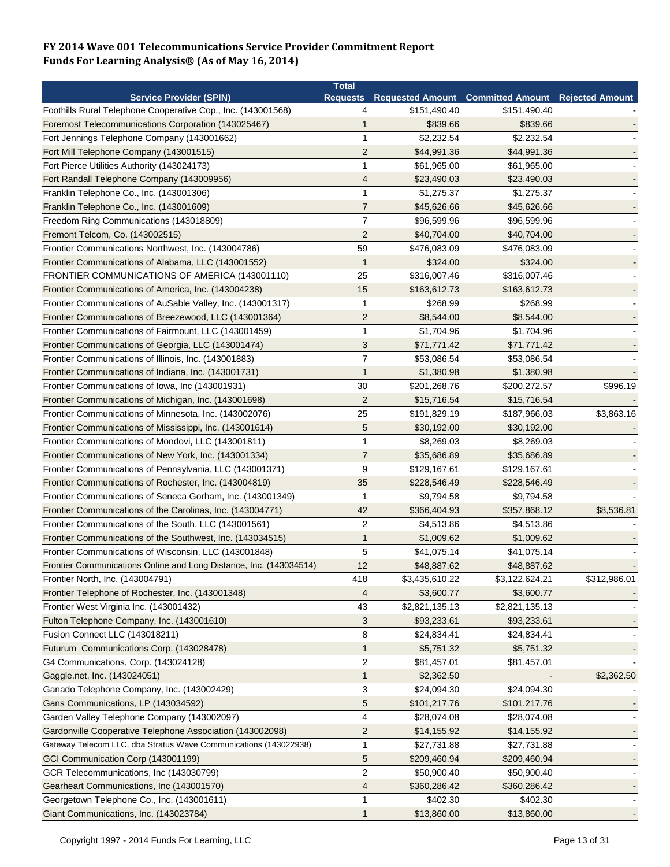|                                                                    | <b>Total</b>   |                |                                                            |              |
|--------------------------------------------------------------------|----------------|----------------|------------------------------------------------------------|--------------|
| <b>Service Provider (SPIN)</b>                                     |                |                | Requests Requested Amount Committed Amount Rejected Amount |              |
| Foothills Rural Telephone Cooperative Cop., Inc. (143001568)       | 4              | \$151,490.40   | \$151,490.40                                               |              |
| Foremost Telecommunications Corporation (143025467)                | 1              | \$839.66       | \$839.66                                                   |              |
| Fort Jennings Telephone Company (143001662)                        | 1              | \$2,232.54     | \$2,232.54                                                 |              |
| Fort Mill Telephone Company (143001515)                            | $\overline{2}$ | \$44,991.36    | \$44,991.36                                                |              |
| Fort Pierce Utilities Authority (143024173)                        | 1              | \$61,965.00    | \$61,965.00                                                |              |
| Fort Randall Telephone Company (143009956)                         | 4              | \$23,490.03    | \$23,490.03                                                |              |
| Franklin Telephone Co., Inc. (143001306)                           | 1              | \$1,275.37     | \$1,275.37                                                 |              |
| Franklin Telephone Co., Inc. (143001609)                           | $\overline{7}$ | \$45,626.66    | \$45,626.66                                                |              |
| Freedom Ring Communications (143018809)                            | $\overline{7}$ | \$96,599.96    | \$96,599.96                                                |              |
| Fremont Telcom, Co. (143002515)                                    | $\overline{2}$ | \$40,704.00    | \$40,704.00                                                |              |
| Frontier Communications Northwest, Inc. (143004786)                | 59             | \$476,083.09   | \$476,083.09                                               |              |
| Frontier Communications of Alabama, LLC (143001552)                | $\mathbf{1}$   | \$324.00       | \$324.00                                                   |              |
| FRONTIER COMMUNICATIONS OF AMERICA (143001110)                     | 25             | \$316,007.46   | \$316,007.46                                               |              |
| Frontier Communications of America, Inc. (143004238)               | 15             | \$163,612.73   | \$163,612.73                                               |              |
| Frontier Communications of AuSable Valley, Inc. (143001317)        | 1              | \$268.99       | \$268.99                                                   |              |
| Frontier Communications of Breezewood, LLC (143001364)             | $\overline{2}$ | \$8,544.00     | \$8,544.00                                                 |              |
| Frontier Communications of Fairmount, LLC (143001459)              | 1              | \$1,704.96     | \$1,704.96                                                 |              |
| Frontier Communications of Georgia, LLC (143001474)                | 3              | \$71,771.42    | \$71,771.42                                                |              |
|                                                                    | $\overline{7}$ | \$53,086.54    | \$53,086.54                                                |              |
| Frontier Communications of Illinois, Inc. (143001883)              |                |                |                                                            |              |
| Frontier Communications of Indiana, Inc. (143001731)               | 1              | \$1,380.98     | \$1,380.98                                                 |              |
| Frontier Communications of Iowa, Inc (143001931)                   | 30             | \$201,268.76   | \$200,272.57                                               | \$996.19     |
| Frontier Communications of Michigan, Inc. (143001698)              | $\overline{2}$ | \$15,716.54    | \$15,716.54                                                |              |
| Frontier Communications of Minnesota, Inc. (143002076)             | 25             | \$191,829.19   | \$187,966.03                                               | \$3,863.16   |
| Frontier Communications of Mississippi, Inc. (143001614)           | 5              | \$30,192.00    | \$30,192.00                                                |              |
| Frontier Communications of Mondovi, LLC (143001811)                | 1              | \$8,269.03     | \$8,269.03                                                 |              |
| Frontier Communications of New York, Inc. (143001334)              | $\overline{7}$ | \$35,686.89    | \$35,686.89                                                |              |
| Frontier Communications of Pennsylvania, LLC (143001371)           | 9              | \$129,167.61   | \$129,167.61                                               |              |
| Frontier Communications of Rochester, Inc. (143004819)             | 35             | \$228,546.49   | \$228,546.49                                               |              |
| Frontier Communications of Seneca Gorham, Inc. (143001349)         | $\mathbf{1}$   | \$9,794.58     | \$9,794.58                                                 |              |
| Frontier Communications of the Carolinas, Inc. (143004771)         | 42             | \$366,404.93   | \$357,868.12                                               | \$8,536.81   |
| Frontier Communications of the South, LLC (143001561)              | $\overline{2}$ | \$4,513.86     | \$4,513.86                                                 |              |
| Frontier Communications of the Southwest, Inc. (143034515)         | 1              | \$1,009.62     | \$1,009.62                                                 |              |
| Frontier Communications of Wisconsin, LLC (143001848)              | 5              | \$41,075.14    | \$41,075.14                                                |              |
| Frontier Communications Online and Long Distance, Inc. (143034514) | 12             | \$48,887.62    | \$48,887.62                                                |              |
| Frontier North, Inc. (143004791)                                   | 418            | \$3,435,610.22 | \$3,122,624.21                                             | \$312,986.01 |
| Frontier Telephone of Rochester, Inc. (143001348)                  | 4              | \$3,600.77     | \$3,600.77                                                 |              |
| Frontier West Virginia Inc. (143001432)                            | 43             | \$2,821,135.13 | \$2,821,135.13                                             |              |
| Fulton Telephone Company, Inc. (143001610)                         | 3              | \$93,233.61    | \$93,233.61                                                |              |
| Fusion Connect LLC (143018211)                                     | 8              | \$24,834.41    | \$24,834.41                                                |              |
| Futurum Communications Corp. (143028478)                           | 1              | \$5,751.32     | \$5,751.32                                                 |              |
| G4 Communications, Corp. (143024128)                               | $\overline{2}$ | \$81,457.01    | \$81,457.01                                                |              |
| Gaggle.net, Inc. (143024051)                                       | 1              | \$2,362.50     |                                                            | \$2,362.50   |
| Ganado Telephone Company, Inc. (143002429)                         | 3              | \$24,094.30    | \$24,094.30                                                |              |
| Gans Communications, LP (143034592)                                | 5              | \$101,217.76   | \$101,217.76                                               |              |
| Garden Valley Telephone Company (143002097)                        | 4              | \$28,074.08    | \$28,074.08                                                |              |
| Gardonville Cooperative Telephone Association (143002098)          | $\overline{c}$ | \$14,155.92    |                                                            |              |
|                                                                    |                |                | \$14,155.92                                                |              |
| Gateway Telecom LLC, dba Stratus Wave Communications (143022938)   | 1              | \$27,731.88    | \$27,731.88                                                |              |
| GCI Communication Corp (143001199)                                 | 5              | \$209,460.94   | \$209,460.94                                               |              |
| GCR Telecommunications, Inc (143030799)                            | $\sqrt{2}$     | \$50,900.40    | \$50,900.40                                                |              |
| Gearheart Communications, Inc (143001570)                          | 4              | \$360,286.42   | \$360,286.42                                               |              |
| Georgetown Telephone Co., Inc. (143001611)                         | 1              | \$402.30       | \$402.30                                                   |              |
| Giant Communications, Inc. (143023784)                             | 1              | \$13,860.00    | \$13,860.00                                                |              |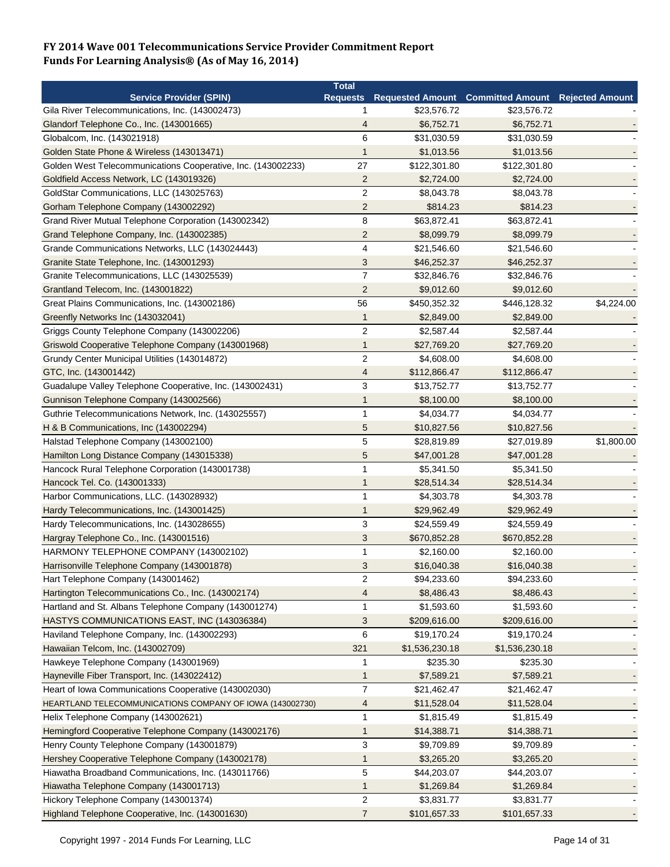|                                                              | <b>Total</b>    |                |                                                          |            |
|--------------------------------------------------------------|-----------------|----------------|----------------------------------------------------------|------------|
| <b>Service Provider (SPIN)</b>                               | <b>Requests</b> |                | <b>Requested Amount Committed Amount Rejected Amount</b> |            |
| Gila River Telecommunications, Inc. (143002473)              | 1               | \$23,576.72    | \$23,576.72                                              |            |
| Glandorf Telephone Co., Inc. (143001665)                     | 4               | \$6,752.71     | \$6,752.71                                               |            |
| Globalcom, Inc. (143021918)                                  | 6               | \$31,030.59    | \$31,030.59                                              |            |
| Golden State Phone & Wireless (143013471)                    | $\mathbf 1$     | \$1,013.56     | \$1,013.56                                               |            |
| Golden West Telecommunications Cooperative, Inc. (143002233) | 27              | \$122,301.80   | \$122,301.80                                             |            |
| Goldfield Access Network, LC (143019326)                     | $\overline{c}$  | \$2,724.00     | \$2,724.00                                               |            |
| GoldStar Communications, LLC (143025763)                     | $\overline{c}$  | \$8,043.78     | \$8,043.78                                               |            |
| Gorham Telephone Company (143002292)                         | $\overline{2}$  | \$814.23       | \$814.23                                                 |            |
| Grand River Mutual Telephone Corporation (143002342)         | 8               | \$63,872.41    | \$63,872.41                                              |            |
| Grand Telephone Company, Inc. (143002385)                    | $\overline{2}$  | \$8,099.79     | \$8,099.79                                               |            |
| Grande Communications Networks, LLC (143024443)              | $\overline{4}$  | \$21,546.60    | \$21,546.60                                              |            |
| Granite State Telephone, Inc. (143001293)                    | 3               | \$46,252.37    | \$46,252.37                                              |            |
| Granite Telecommunications, LLC (143025539)                  | $\overline{7}$  | \$32,846.76    | \$32,846.76                                              |            |
| Grantland Telecom, Inc. (143001822)                          | $\overline{2}$  | \$9,012.60     | \$9,012.60                                               |            |
| Great Plains Communications, Inc. (143002186)                | 56              | \$450,352.32   | \$446,128.32                                             | \$4,224.00 |
| Greenfly Networks Inc (143032041)                            | 1               | \$2,849.00     | \$2,849.00                                               |            |
| Griggs County Telephone Company (143002206)                  | $\overline{c}$  | \$2,587.44     | \$2,587.44                                               |            |
| Griswold Cooperative Telephone Company (143001968)           | 1               | \$27,769.20    | \$27,769.20                                              |            |
| Grundy Center Municipal Utilities (143014872)                | $\overline{c}$  | \$4,608.00     | \$4,608.00                                               |            |
| GTC, Inc. (143001442)                                        | 4               | \$112,866.47   | \$112,866.47                                             |            |
| Guadalupe Valley Telephone Cooperative, Inc. (143002431)     | 3               | \$13,752.77    | \$13,752.77                                              |            |
| Gunnison Telephone Company (143002566)                       | 1               | \$8,100.00     | \$8,100.00                                               |            |
| Guthrie Telecommunications Network, Inc. (143025557)         | $\mathbf{1}$    | \$4,034.77     | \$4,034.77                                               |            |
| H & B Communications, Inc (143002294)                        | 5               | \$10,827.56    | \$10,827.56                                              |            |
| Halstad Telephone Company (143002100)                        | 5               | \$28,819.89    | \$27,019.89                                              | \$1,800.00 |
|                                                              | 5               | \$47,001.28    |                                                          |            |
| Hamilton Long Distance Company (143015338)                   | 1               | \$5,341.50     | \$47,001.28<br>\$5,341.50                                |            |
| Hancock Rural Telephone Corporation (143001738)              |                 |                |                                                          |            |
| Hancock Tel. Co. (143001333)                                 | 1<br>1          | \$28,514.34    | \$28,514.34                                              |            |
| Harbor Communications, LLC. (143028932)                      |                 | \$4,303.78     | \$4,303.78                                               |            |
| Hardy Telecommunications, Inc. (143001425)                   | 1               | \$29,962.49    | \$29,962.49                                              |            |
| Hardy Telecommunications, Inc. (143028655)                   | 3               | \$24,559.49    | \$24,559.49                                              |            |
| Hargray Telephone Co., Inc. (143001516)                      | 3               | \$670,852.28   | \$670,852.28                                             |            |
| HARMONY TELEPHONE COMPANY (143002102)                        | 1               | \$2,160.00     | \$2,160.00                                               |            |
| Harrisonville Telephone Company (143001878)                  | 3               | \$16,040.38    | \$16,040.38                                              |            |
| Hart Telephone Company (143001462)                           | $\overline{2}$  | \$94,233.60    | \$94,233.60                                              |            |
| Hartington Telecommunications Co., Inc. (143002174)          | 4               | \$8,486.43     | \$8,486.43                                               |            |
| Hartland and St. Albans Telephone Company (143001274)        | 1               | \$1,593.60     | \$1,593.60                                               |            |
| HASTYS COMMUNICATIONS EAST, INC (143036384)                  | 3               | \$209,616.00   | \$209,616.00                                             |            |
| Haviland Telephone Company, Inc. (143002293)                 | 6               | \$19,170.24    | \$19,170.24                                              |            |
| Hawaiian Telcom, Inc. (143002709)                            | 321             | \$1,536,230.18 | \$1,536,230.18                                           |            |
| Hawkeye Telephone Company (143001969)                        | 1               | \$235.30       | \$235.30                                                 |            |
| Hayneville Fiber Transport, Inc. (143022412)                 | 1               | \$7,589.21     | \$7,589.21                                               |            |
| Heart of Iowa Communications Cooperative (143002030)         | $\overline{7}$  | \$21,462.47    | \$21,462.47                                              |            |
| HEARTLAND TELECOMMUNICATIONS COMPANY OF IOWA (143002730)     | 4               | \$11,528.04    | \$11,528.04                                              |            |
| Helix Telephone Company (143002621)                          | 1               | \$1,815.49     | \$1,815.49                                               |            |
| Hemingford Cooperative Telephone Company (143002176)         | 1               | \$14,388.71    | \$14,388.71                                              |            |
| Henry County Telephone Company (143001879)                   | 3               | \$9,709.89     | \$9,709.89                                               |            |
| Hershey Cooperative Telephone Company (143002178)            | 1               | \$3,265.20     | \$3,265.20                                               |            |
| Hiawatha Broadband Communications, Inc. (143011766)          | $\overline{5}$  | \$44,203.07    | \$44,203.07                                              |            |
| Hiawatha Telephone Company (143001713)                       | 1               | \$1,269.84     | \$1,269.84                                               |            |
| Hickory Telephone Company (143001374)                        | $\overline{c}$  | \$3,831.77     | \$3,831.77                                               |            |
| Highland Telephone Cooperative, Inc. (143001630)             | 7               | \$101,657.33   | \$101,657.33                                             |            |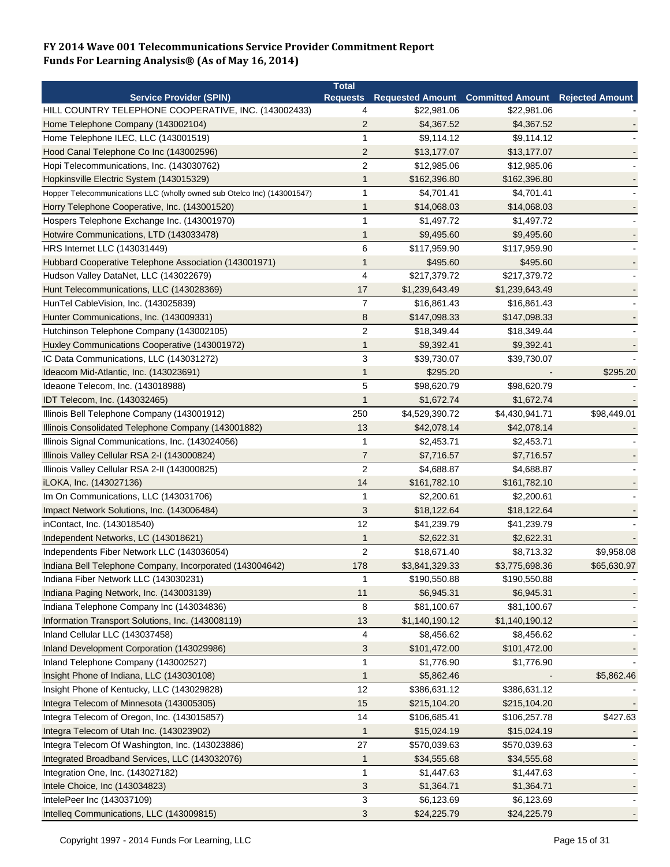|                                                                                                         | <b>Total</b>                     |                                                            |                |             |
|---------------------------------------------------------------------------------------------------------|----------------------------------|------------------------------------------------------------|----------------|-------------|
| <b>Service Provider (SPIN)</b>                                                                          |                                  | Requests Requested Amount Committed Amount Rejected Amount |                |             |
| HILL COUNTRY TELEPHONE COOPERATIVE, INC. (143002433)                                                    | 4                                | \$22,981.06                                                | \$22,981.06    |             |
| Home Telephone Company (143002104)                                                                      | $\overline{2}$                   | \$4,367.52                                                 | \$4,367.52     |             |
| Home Telephone ILEC, LLC (143001519)                                                                    | 1                                | \$9,114.12                                                 | \$9,114.12     |             |
| Hood Canal Telephone Co Inc (143002596)                                                                 | $\overline{2}$                   | \$13,177.07                                                | \$13,177.07    |             |
| Hopi Telecommunications, Inc. (143030762)                                                               | $\overline{2}$                   | \$12,985.06                                                | \$12,985.06    |             |
| Hopkinsville Electric System (143015329)                                                                | 1                                | \$162,396.80                                               | \$162,396.80   |             |
| Hopper Telecommunications LLC (wholly owned sub Otelco Inc) (143001547)                                 | 1                                | \$4,701.41                                                 | \$4,701.41     |             |
| Horry Telephone Cooperative, Inc. (143001520)                                                           | 1                                | \$14,068.03                                                | \$14,068.03    |             |
| Hospers Telephone Exchange Inc. (143001970)                                                             | 1                                | \$1,497.72                                                 | \$1,497.72     |             |
| Hotwire Communications, LTD (143033478)                                                                 | 1                                | \$9,495.60                                                 | \$9,495.60     |             |
| HRS Internet LLC (143031449)                                                                            | 6                                | \$117,959.90                                               | \$117,959.90   |             |
| Hubbard Cooperative Telephone Association (143001971)                                                   | 1                                | \$495.60                                                   | \$495.60       |             |
| Hudson Valley DataNet, LLC (143022679)                                                                  | 4                                | \$217,379.72                                               | \$217,379.72   |             |
| Hunt Telecommunications, LLC (143028369)                                                                | 17                               | \$1,239,643.49                                             | \$1,239,643.49 |             |
| HunTel CableVision, Inc. (143025839)                                                                    | $\overline{7}$                   | \$16,861.43                                                | \$16,861.43    |             |
| Hunter Communications, Inc. (143009331)                                                                 | 8                                | \$147,098.33                                               | \$147,098.33   |             |
| Hutchinson Telephone Company (143002105)                                                                | $\overline{c}$                   | \$18,349.44                                                | \$18,349.44    |             |
| Huxley Communications Cooperative (143001972)                                                           | 1                                | \$9,392.41                                                 | \$9,392.41     |             |
| IC Data Communications, LLC (143031272)                                                                 | 3                                | \$39,730.07                                                | \$39,730.07    |             |
| Ideacom Mid-Atlantic, Inc. (143023691)                                                                  | 1                                | \$295.20                                                   |                | \$295.20    |
| Ideaone Telecom, Inc. (143018988)                                                                       | 5                                | \$98,620.79                                                | \$98,620.79    |             |
| IDT Telecom, Inc. (143032465)                                                                           | 1                                | \$1,672.74                                                 | \$1,672.74     |             |
| Illinois Bell Telephone Company (143001912)                                                             | 250                              | \$4,529,390.72                                             | \$4,430,941.71 | \$98,449.01 |
|                                                                                                         | 13                               | \$42,078.14                                                | \$42,078.14    |             |
| Illinois Consolidated Telephone Company (143001882)<br>Illinois Signal Communications, Inc. (143024056) | 1                                | \$2,453.71                                                 |                |             |
|                                                                                                         |                                  |                                                            | \$2,453.71     |             |
| Illinois Valley Cellular RSA 2-1 (143000824)                                                            | $\overline{7}$<br>$\overline{2}$ | \$7,716.57                                                 | \$7,716.57     |             |
| Illinois Valley Cellular RSA 2-II (143000825)                                                           |                                  | \$4,688.87                                                 | \$4,688.87     |             |
| iLOKA, Inc. (143027136)                                                                                 | 14                               | \$161,782.10                                               | \$161,782.10   |             |
| Im On Communications, LLC (143031706)                                                                   | 1                                | \$2,200.61                                                 | \$2,200.61     |             |
| Impact Network Solutions, Inc. (143006484)                                                              | 3                                | \$18,122.64                                                | \$18,122.64    |             |
| inContact, Inc. (143018540)                                                                             | 12                               | \$41,239.79                                                | \$41,239.79    |             |
| Independent Networks, LC (143018621)                                                                    | 1                                | \$2,622.31                                                 | \$2,622.31     |             |
| Independents Fiber Network LLC (143036054)                                                              | $\overline{2}$                   | \$18,671.40                                                | \$8,713.32     | \$9,958.08  |
| Indiana Bell Telephone Company, Incorporated (143004642)                                                | 178                              | \$3,841,329.33                                             | \$3,775,698.36 | \$65,630.97 |
| Indiana Fiber Network LLC (143030231)                                                                   | 1                                | \$190,550.88                                               | \$190,550.88   |             |
| Indiana Paging Network, Inc. (143003139)                                                                | 11                               | \$6,945.31                                                 | \$6,945.31     |             |
| Indiana Telephone Company Inc (143034836)                                                               | 8                                | \$81,100.67                                                | \$81,100.67    |             |
| Information Transport Solutions, Inc. (143008119)                                                       | 13                               | \$1,140,190.12                                             | \$1,140,190.12 |             |
| Inland Cellular LLC (143037458)                                                                         | 4                                | \$8,456.62                                                 | \$8,456.62     |             |
| Inland Development Corporation (143029986)                                                              | 3                                | \$101,472.00                                               | \$101,472.00   |             |
| Inland Telephone Company (143002527)                                                                    | 1                                | \$1,776.90                                                 | \$1,776.90     |             |
| Insight Phone of Indiana, LLC (143030108)                                                               | $\mathbf 1$                      | \$5,862.46                                                 |                | \$5,862.46  |
| Insight Phone of Kentucky, LLC (143029828)                                                              | 12                               | \$386,631.12                                               | \$386,631.12   |             |
| Integra Telecom of Minnesota (143005305)                                                                | 15                               | \$215,104.20                                               | \$215,104.20   |             |
| Integra Telecom of Oregon, Inc. (143015857)                                                             | 14                               | \$106,685.41                                               | \$106,257.78   | \$427.63    |
| Integra Telecom of Utah Inc. (143023902)                                                                | 1                                | \$15,024.19                                                | \$15,024.19    |             |
| Integra Telecom Of Washington, Inc. (143023886)                                                         | 27                               | \$570,039.63                                               | \$570,039.63   |             |
| Integrated Broadband Services, LLC (143032076)                                                          | $\mathbf{1}$                     | \$34,555.68                                                | \$34,555.68    |             |
| Integration One, Inc. (143027182)                                                                       | 1                                | \$1,447.63                                                 | \$1,447.63     |             |
| Intele Choice, Inc (143034823)                                                                          | 3                                | \$1,364.71                                                 | \$1,364.71     |             |
| IntelePeer Inc (143037109)                                                                              | 3                                | \$6,123.69                                                 | \$6,123.69     |             |
| Intelleq Communications, LLC (143009815)                                                                | 3                                | \$24,225.79                                                | \$24,225.79    |             |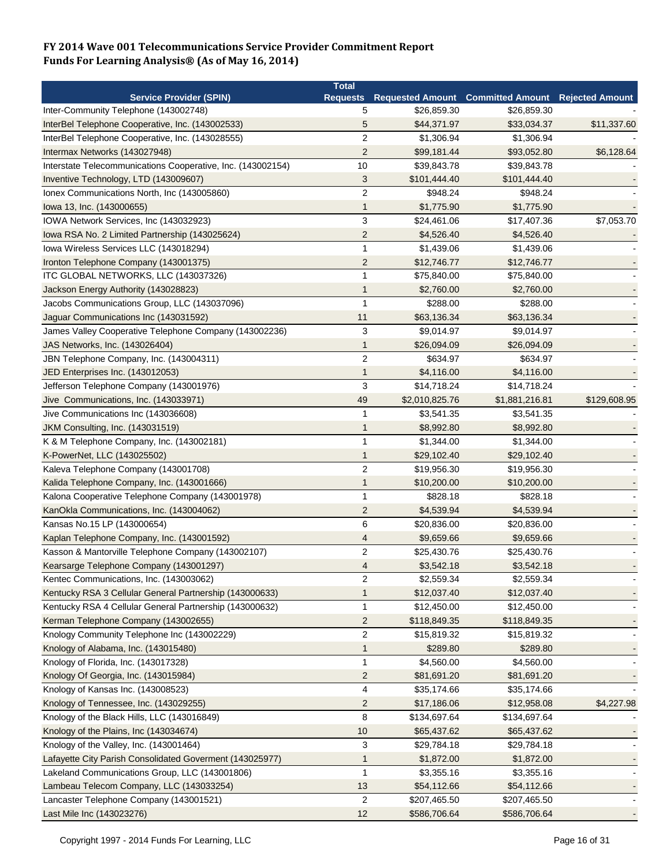|                                                             | <b>Total</b>    |                |                                                   |              |
|-------------------------------------------------------------|-----------------|----------------|---------------------------------------------------|--------------|
| <b>Service Provider (SPIN)</b>                              | <b>Requests</b> |                | Requested Amount Committed Amount Rejected Amount |              |
| Inter-Community Telephone (143002748)                       | 5               | \$26,859.30    | \$26,859.30                                       |              |
| InterBel Telephone Cooperative, Inc. (143002533)            | 5               | \$44,371.97    | \$33,034.37                                       | \$11,337.60  |
| InterBel Telephone Cooperative, Inc. (143028555)            | $\overline{2}$  | \$1,306.94     | \$1,306.94                                        |              |
| Intermax Networks (143027948)                               | $\overline{2}$  | \$99,181.44    | \$93,052.80                                       | \$6,128.64   |
| Interstate Telecommunications Cooperative, Inc. (143002154) | 10              | \$39,843.78    | \$39,843.78                                       |              |
| Inventive Technology, LTD (143009607)                       | $\sqrt{3}$      | \$101,444.40   | \$101,444.40                                      |              |
| Ionex Communications North, Inc (143005860)                 | $\overline{c}$  | \$948.24       | \$948.24                                          |              |
| lowa 13, Inc. (143000655)                                   | $\mathbf{1}$    | \$1,775.90     | \$1,775.90                                        |              |
| IOWA Network Services, Inc (143032923)                      | 3               | \$24,461.06    | \$17,407.36                                       | \$7,053.70   |
| Iowa RSA No. 2 Limited Partnership (143025624)              | $\overline{2}$  | \$4,526.40     | \$4,526.40                                        |              |
| Iowa Wireless Services LLC (143018294)                      | $\mathbf{1}$    | \$1,439.06     | \$1,439.06                                        |              |
| Ironton Telephone Company (143001375)                       | $\overline{c}$  | \$12,746.77    | \$12,746.77                                       |              |
| ITC GLOBAL NETWORKS, LLC (143037326)                        | $\mathbf 1$     | \$75,840.00    | \$75,840.00                                       |              |
| Jackson Energy Authority (143028823)                        | 1               | \$2,760.00     | \$2,760.00                                        |              |
| Jacobs Communications Group, LLC (143037096)                | 1               | \$288.00       | \$288.00                                          |              |
| Jaguar Communications Inc (143031592)                       | 11              | \$63,136.34    | \$63,136.34                                       |              |
| James Valley Cooperative Telephone Company (143002236)      | 3               | \$9,014.97     | \$9,014.97                                        |              |
| JAS Networks, Inc. (143026404)                              | 1               | \$26,094.09    | \$26,094.09                                       |              |
| JBN Telephone Company, Inc. (143004311)                     | $\overline{2}$  | \$634.97       | \$634.97                                          |              |
| JED Enterprises Inc. (143012053)                            | $\mathbf{1}$    | \$4,116.00     | \$4,116.00                                        |              |
| Jefferson Telephone Company (143001976)                     | $\sqrt{3}$      | \$14,718.24    | \$14,718.24                                       |              |
| Jive Communications, Inc. (143033971)                       | 49              | \$2,010,825.76 | \$1,881,216.81                                    | \$129,608.95 |
| Jive Communications Inc (143036608)                         | $\mathbf{1}$    | \$3,541.35     | \$3,541.35                                        |              |
|                                                             |                 |                |                                                   |              |
| JKM Consulting, Inc. (143031519)                            | 1<br>1          | \$8,992.80     | \$8,992.80                                        |              |
| K & M Telephone Company, Inc. (143002181)                   |                 | \$1,344.00     | \$1,344.00                                        |              |
| K-PowerNet, LLC (143025502)                                 | 1               | \$29,102.40    | \$29,102.40                                       |              |
| Kaleva Telephone Company (143001708)                        | $\overline{c}$  | \$19,956.30    | \$19,956.30                                       |              |
| Kalida Telephone Company, Inc. (143001666)                  | 1               | \$10,200.00    | \$10,200.00                                       |              |
| Kalona Cooperative Telephone Company (143001978)            | 1               | \$828.18       | \$828.18                                          |              |
| KanOkla Communications, Inc. (143004062)                    | $\overline{2}$  | \$4,539.94     | \$4,539.94                                        |              |
| Kansas No.15 LP (143000654)                                 | 6               | \$20,836.00    | \$20,836.00                                       |              |
| Kaplan Telephone Company, Inc. (143001592)                  | 4               | \$9,659.66     | \$9,659.66                                        |              |
| Kasson & Mantorville Telephone Company (143002107)          | $\overline{2}$  | \$25,430.76    | \$25,430.76                                       |              |
| Kearsarge Telephone Company (143001297)                     | 4               | \$3,542.18     | \$3,542.18                                        |              |
| Kentec Communications, Inc. (143003062)                     | 2               | \$2,559.34     | \$2,559.34                                        |              |
| Kentucky RSA 3 Cellular General Partnership (143000633)     | 1               | \$12,037.40    | \$12,037.40                                       |              |
| Kentucky RSA 4 Cellular General Partnership (143000632)     | $\mathbf{1}$    | \$12,450.00    | \$12,450.00                                       |              |
| Kerman Telephone Company (143002655)                        | $\overline{c}$  | \$118,849.35   | \$118,849.35                                      |              |
| Knology Community Telephone Inc (143002229)                 | $\overline{2}$  | \$15,819.32    | \$15,819.32                                       |              |
| Knology of Alabama, Inc. (143015480)                        | $\mathbf{1}$    | \$289.80       | \$289.80                                          |              |
| Knology of Florida, Inc. (143017328)                        | 1               | \$4,560.00     | \$4,560.00                                        |              |
| Knology Of Georgia, Inc. (143015984)                        | $\overline{2}$  | \$81,691.20    | \$81,691.20                                       |              |
| Knology of Kansas Inc. (143008523)                          | 4               | \$35,174.66    | \$35,174.66                                       |              |
| Knology of Tennessee, Inc. (143029255)                      | $\overline{2}$  | \$17,186.06    | \$12,958.08                                       | \$4,227.98   |
| Knology of the Black Hills, LLC (143016849)                 | 8               | \$134,697.64   | \$134,697.64                                      |              |
| Knology of the Plains, Inc (143034674)                      | 10              | \$65,437.62    | \$65,437.62                                       |              |
| Knology of the Valley, Inc. (143001464)                     | 3               | \$29,784.18    | \$29,784.18                                       |              |
| Lafayette City Parish Consolidated Goverment (143025977)    | 1               | \$1,872.00     | \$1,872.00                                        |              |
| Lakeland Communications Group, LLC (143001806)              | $\mathbf{1}$    | \$3,355.16     | \$3,355.16                                        |              |
| Lambeau Telecom Company, LLC (143033254)                    | 13              | \$54,112.66    | \$54,112.66                                       |              |
| Lancaster Telephone Company (143001521)                     | $\overline{2}$  | \$207,465.50   | \$207,465.50                                      |              |
| Last Mile Inc (143023276)                                   | 12              | \$586,706.64   | \$586,706.64                                      |              |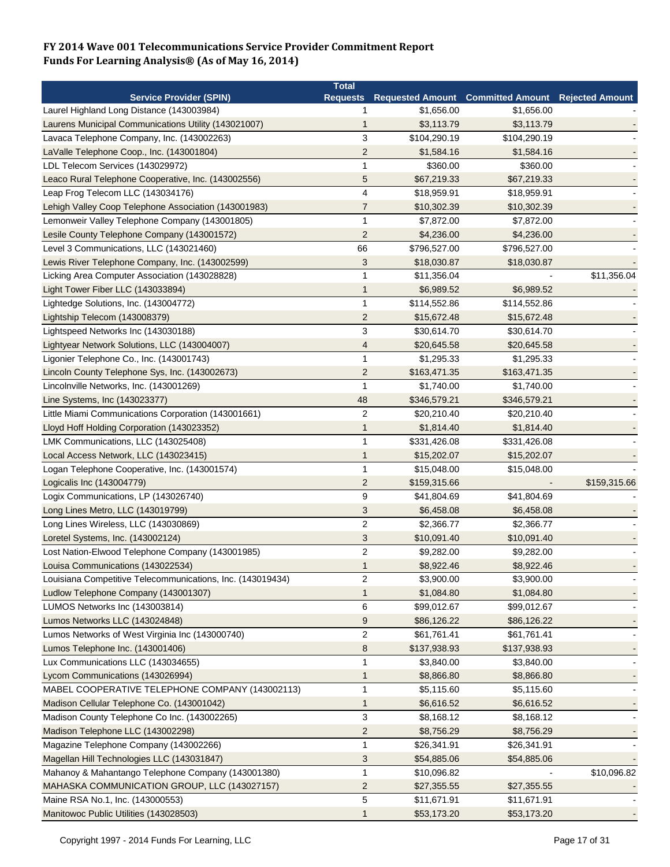|                                                            | <b>Total</b>     |                            |                                                            |              |
|------------------------------------------------------------|------------------|----------------------------|------------------------------------------------------------|--------------|
| <b>Service Provider (SPIN)</b>                             |                  |                            | Requests Requested Amount Committed Amount Rejected Amount |              |
| Laurel Highland Long Distance (143003984)                  | 1                | \$1,656.00                 | \$1,656.00                                                 |              |
| Laurens Municipal Communications Utility (143021007)       | 1                | \$3,113.79                 | \$3,113.79                                                 |              |
| Lavaca Telephone Company, Inc. (143002263)                 | 3                | \$104,290.19               | \$104,290.19                                               |              |
| LaValle Telephone Coop., Inc. (143001804)                  | $\overline{2}$   | \$1,584.16                 | \$1,584.16                                                 |              |
| LDL Telecom Services (143029972)                           | 1                | \$360.00                   | \$360.00                                                   |              |
| Leaco Rural Telephone Cooperative, Inc. (143002556)        | 5                | \$67,219.33                | \$67,219.33                                                |              |
| Leap Frog Telecom LLC (143034176)                          | 4                | \$18,959.91                | \$18,959.91                                                |              |
| Lehigh Valley Coop Telephone Association (143001983)       | $\overline{7}$   | \$10,302.39                | \$10,302.39                                                |              |
| Lemonweir Valley Telephone Company (143001805)             | 1                | \$7,872.00                 | \$7,872.00                                                 |              |
| Lesile County Telephone Company (143001572)                | $\overline{2}$   | \$4,236.00                 | \$4,236.00                                                 |              |
| Level 3 Communications, LLC (143021460)                    | 66               | \$796,527.00               | \$796,527.00                                               |              |
| Lewis River Telephone Company, Inc. (143002599)            | 3                | \$18,030.87                | \$18,030.87                                                |              |
| Licking Area Computer Association (143028828)              | 1                | \$11,356.04                |                                                            | \$11,356.04  |
| Light Tower Fiber LLC (143033894)                          | 1                | \$6,989.52                 | \$6,989.52                                                 |              |
| Lightedge Solutions, Inc. (143004772)                      | 1                | \$114,552.86               | \$114,552.86                                               |              |
| Lightship Telecom (143008379)                              | $\overline{2}$   | \$15,672.48                | \$15,672.48                                                |              |
| Lightspeed Networks Inc (143030188)                        | 3                | \$30,614.70                | \$30,614.70                                                |              |
| Lightyear Network Solutions, LLC (143004007)               | 4                | \$20,645.58                | \$20,645.58                                                |              |
| Ligonier Telephone Co., Inc. (143001743)                   | 1                | \$1,295.33                 | \$1,295.33                                                 |              |
| Lincoln County Telephone Sys, Inc. (143002673)             | $\overline{c}$   |                            |                                                            |              |
|                                                            | 1                | \$163,471.35<br>\$1,740.00 | \$163,471.35                                               |              |
| Lincolnville Networks, Inc. (143001269)                    |                  |                            | \$1,740.00                                                 |              |
| Line Systems, Inc (143023377)                              | 48               | \$346,579.21               | \$346,579.21                                               |              |
| Little Miami Communications Corporation (143001661)        | $\overline{c}$   | \$20,210.40                | \$20,210.40                                                |              |
| Lloyd Hoff Holding Corporation (143023352)                 | 1                | \$1,814.40                 | \$1,814.40                                                 |              |
| LMK Communications, LLC (143025408)                        | 1                | \$331,426.08               | \$331,426.08                                               |              |
| Local Access Network, LLC (143023415)                      | 1                | \$15,202.07                | \$15,202.07                                                |              |
| Logan Telephone Cooperative, Inc. (143001574)              | 1                | \$15,048.00                | \$15,048.00                                                |              |
| Logicalis Inc (143004779)                                  | $\overline{2}$   | \$159,315.66               |                                                            | \$159,315.66 |
| Logix Communications, LP (143026740)                       | 9                | \$41,804.69                | \$41,804.69                                                |              |
| Long Lines Metro, LLC (143019799)                          | 3                | \$6,458.08                 | \$6,458.08                                                 |              |
| Long Lines Wireless, LLC (143030869)                       | $\overline{2}$   | \$2,366.77                 | \$2,366.77                                                 |              |
| Loretel Systems, Inc. (143002124)                          | 3                | \$10,091.40                | \$10,091.40                                                |              |
| Lost Nation-Elwood Telephone Company (143001985)           | $\overline{c}$   | \$9,282.00                 | \$9,282.00                                                 |              |
| Louisa Communications (143022534)                          | 1                | \$8,922.46                 | \$8,922.46                                                 |              |
| Louisiana Competitive Telecommunications, Inc. (143019434) | 2                | \$3,900.00                 | \$3,900.00                                                 |              |
| Ludlow Telephone Company (143001307)                       | 1                | \$1,084.80                 | \$1,084.80                                                 |              |
| LUMOS Networks Inc (143003814)                             | 6                | \$99,012.67                | \$99,012.67                                                |              |
| Lumos Networks LLC (143024848)                             | 9                | \$86,126.22                | \$86,126.22                                                |              |
| Lumos Networks of West Virginia Inc (143000740)            | $\mathbf{2}$     | \$61,761.41                | \$61,761.41                                                |              |
| Lumos Telephone Inc. (143001406)                           | $\boldsymbol{8}$ | \$137,938.93               | \$137,938.93                                               |              |
| Lux Communications LLC (143034655)                         | 1                | \$3,840.00                 | \$3,840.00                                                 |              |
| Lycom Communications (143026994)                           | 1                | \$8,866.80                 | \$8,866.80                                                 |              |
| MABEL COOPERATIVE TELEPHONE COMPANY (143002113)            | 1                | \$5,115.60                 | \$5,115.60                                                 |              |
| Madison Cellular Telephone Co. (143001042)                 | 1                | \$6,616.52                 | \$6,616.52                                                 |              |
| Madison County Telephone Co Inc. (143002265)               | 3                | \$8,168.12                 | \$8,168.12                                                 |              |
| Madison Telephone LLC (143002298)                          | $\overline{2}$   | \$8,756.29                 | \$8,756.29                                                 |              |
| Magazine Telephone Company (143002266)                     | 1                | \$26,341.91                | \$26,341.91                                                |              |
| Magellan Hill Technologies LLC (143031847)                 | 3                | \$54,885.06                | \$54,885.06                                                |              |
| Mahanoy & Mahantango Telephone Company (143001380)         | $\mathbf{1}$     | \$10,096.82                |                                                            | \$10,096.82  |
| MAHASKA COMMUNICATION GROUP, LLC (143027157)               | 2                | \$27,355.55                | \$27,355.55                                                |              |
| Maine RSA No.1, Inc. (143000553)                           | 5                | \$11,671.91                | \$11,671.91                                                |              |
| Manitowoc Public Utilities (143028503)                     | 1                | \$53,173.20                | \$53,173.20                                                |              |
|                                                            |                  |                            |                                                            |              |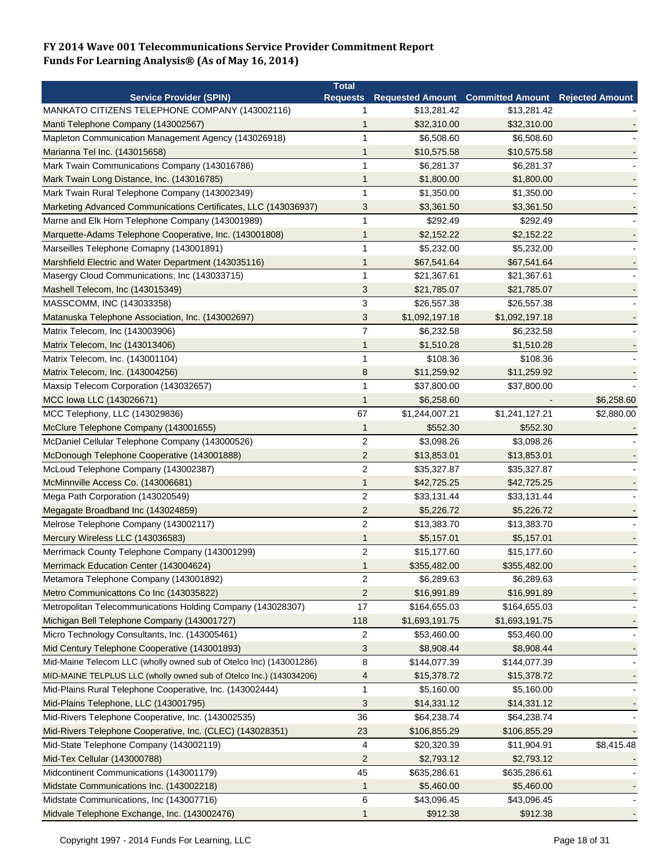|                                                                     | <b>Total</b>   |                |                                                            |            |
|---------------------------------------------------------------------|----------------|----------------|------------------------------------------------------------|------------|
| <b>Service Provider (SPIN)</b>                                      |                |                | Requests Requested Amount Committed Amount Rejected Amount |            |
| MANKATO CITIZENS TELEPHONE COMPANY (143002116)                      | 1              | \$13,281.42    | \$13,281.42                                                |            |
| Manti Telephone Company (143002567)                                 | 1              | \$32,310.00    | \$32,310.00                                                |            |
| Mapleton Communication Management Agency (143026918)                | 1              | \$6,508.60     | \$6,508.60                                                 |            |
| Marianna Tel Inc. (143015658)                                       | 1              | \$10,575.58    | \$10,575.58                                                |            |
| Mark Twain Communications Company (143016786)                       | 1              | \$6,281.37     | \$6,281.37                                                 |            |
| Mark Twain Long Distance, Inc. (143016785)                          | 1              | \$1,800.00     | \$1,800.00                                                 |            |
| Mark Twain Rural Telephone Company (143002349)                      | 1              | \$1,350.00     | \$1,350.00                                                 |            |
| Marketing Advanced Communications Certificates, LLC (143036937)     | 3              | \$3,361.50     | \$3,361.50                                                 |            |
| Marne and Elk Horn Telephone Company (143001989)                    | 1              | \$292.49       | \$292.49                                                   |            |
| Marquette-Adams Telephone Cooperative, Inc. (143001808)             | 1              | \$2,152.22     | \$2,152.22                                                 |            |
| Marseilles Telephone Comapny (143001891)                            | 1              | \$5,232.00     | \$5,232.00                                                 |            |
| Marshfield Electric and Water Department (143035116)                | 1              | \$67,541.64    | \$67,541.64                                                |            |
| Masergy Cloud Communications, Inc (143033715)                       | 1              | \$21,367.61    | \$21,367.61                                                |            |
| Mashell Telecom, Inc (143015349)                                    | 3              | \$21,785.07    | \$21,785.07                                                |            |
| MASSCOMM, INC (143033358)                                           | 3              | \$26,557.38    | \$26,557.38                                                |            |
| Matanuska Telephone Association, Inc. (143002697)                   | 3              | \$1,092,197.18 | \$1,092,197.18                                             |            |
| Matrix Telecom, Inc (143003906)                                     | $\overline{7}$ | \$6,232.58     | \$6,232.58                                                 |            |
| Matrix Telecom, Inc (143013406)                                     | 1              | \$1,510.28     | \$1,510.28                                                 |            |
| Matrix Telecom, Inc. (143001104)                                    | $\mathbf{1}$   | \$108.36       | \$108.36                                                   |            |
| Matrix Telecom, Inc. (143004256)                                    | 8              | \$11,259.92    | \$11,259.92                                                |            |
| Maxsip Telecom Corporation (143032657)                              | 1              | \$37,800.00    | \$37,800.00                                                |            |
| MCC Iowa LLC (143026671)                                            | 1              | \$6,258.60     |                                                            | \$6,258.60 |
| MCC Telephony, LLC (143029836)                                      | 67             | \$1,244,007.21 | \$1,241,127.21                                             | \$2,880.00 |
|                                                                     |                |                |                                                            |            |
| McClure Telephone Company (143001655)                               | $\mathbf{1}$   | \$552.30       | \$552.30                                                   |            |
| McDaniel Cellular Telephone Company (143000526)                     | $\overline{2}$ | \$3,098.26     | \$3,098.26                                                 |            |
| McDonough Telephone Cooperative (143001888)                         | $\overline{2}$ | \$13,853.01    | \$13,853.01                                                |            |
| McLoud Telephone Company (143002387)                                | $\overline{c}$ | \$35,327.87    | \$35,327.87                                                |            |
| McMinnville Access Co. (143006681)                                  | 1              | \$42,725.25    | \$42,725.25                                                |            |
| Mega Path Corporation (143020549)                                   | $\overline{c}$ | \$33,131.44    | \$33,131.44                                                |            |
| Megagate Broadband Inc (143024859)                                  | $\overline{c}$ | \$5,226.72     | \$5,226.72                                                 |            |
| Melrose Telephone Company (143002117)                               | $\overline{2}$ | \$13,383.70    | \$13,383.70                                                |            |
| Mercury Wireless LLC (143036583)                                    | 1              | \$5,157.01     | \$5,157.01                                                 |            |
| Merrimack County Telephone Company (143001299)                      | $\overline{c}$ | \$15,177.60    | \$15,177.60                                                |            |
| Merrimack Education Center (143004624)                              | 1              | \$355,482.00   | \$355,482.00                                               |            |
| Metamora Telephone Company (143001892)                              | $\overline{c}$ | \$6,289.63     | \$6,289.63                                                 |            |
| Metro Communicattons Co Inc (143035822)                             | $\overline{2}$ | \$16,991.89    | \$16,991.89                                                |            |
| Metropolitan Telecommunications Holding Company (143028307)         | 17             | \$164,655.03   | \$164,655.03                                               |            |
| Michigan Bell Telephone Company (143001727)                         | 118            | \$1,693,191.75 | \$1,693,191.75                                             |            |
| Micro Technology Consultants, Inc. (143005461)                      | 2              | \$53,460.00    | \$53,460.00                                                |            |
| Mid Century Telephone Cooperative (143001893)                       | 3              | \$8,908.44     | \$8,908.44                                                 |            |
| Mid-Maine Telecom LLC (wholly owned sub of Otelco Inc) (143001286)  | 8              | \$144,077.39   | \$144,077.39                                               |            |
| MID-MAINE TELPLUS LLC (wholly owned sub of Otelco Inc.) (143034206) | 4              | \$15,378.72    | \$15,378.72                                                |            |
| Mid-Plains Rural Telephone Cooperative, Inc. (143002444)            | 1              | \$5,160.00     | \$5,160.00                                                 |            |
| Mid-Plains Telephone, LLC (143001795)                               | 3              | \$14,331.12    | \$14,331.12                                                |            |
| Mid-Rivers Telephone Cooperative, Inc. (143002535)                  | 36             | \$64,238.74    | \$64,238.74                                                |            |
| Mid-Rivers Telephone Cooperative, Inc. (CLEC) (143028351)           | 23             | \$106,855.29   | \$106,855.29                                               |            |
| Mid-State Telephone Company (143002119)                             | 4              | \$20,320.39    | \$11,904.91                                                | \$8,415.48 |
| Mid-Tex Cellular (143000788)                                        | 2              | \$2,793.12     | \$2,793.12                                                 |            |
| Midcontinent Communications (143001179)                             | 45             | \$635,286.61   | \$635,286.61                                               |            |
| Midstate Communications Inc. (143002218)                            | 1              | \$5,460.00     | \$5,460.00                                                 |            |
| Midstate Communications, Inc (143007716)                            | 6              | \$43,096.45    | \$43,096.45                                                |            |
| Midvale Telephone Exchange, Inc. (143002476)                        | 1              | \$912.38       | \$912.38                                                   |            |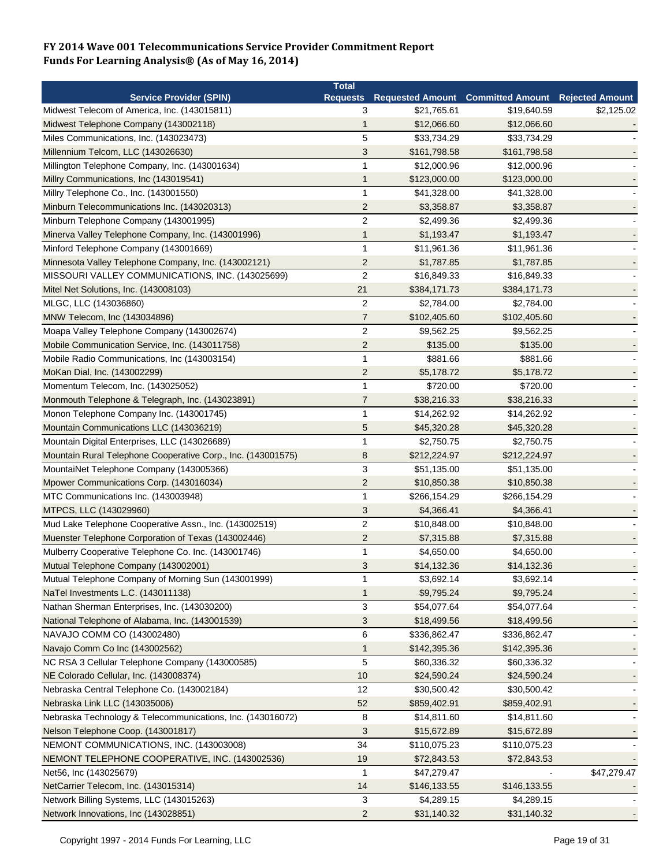|                                                              | <b>Total</b>            |              |                                                   |             |
|--------------------------------------------------------------|-------------------------|--------------|---------------------------------------------------|-------------|
| <b>Service Provider (SPIN)</b>                               | <b>Requests</b>         |              | Requested Amount Committed Amount Rejected Amount |             |
| Midwest Telecom of America, Inc. (143015811)                 | 3                       | \$21,765.61  | \$19,640.59                                       | \$2,125.02  |
| Midwest Telephone Company (143002118)                        | 1                       | \$12,066.60  | \$12,066.60                                       |             |
| Miles Communications, Inc. (143023473)                       | 5                       | \$33,734.29  | \$33,734.29                                       |             |
| Millennium Telcom, LLC (143026630)                           | 3                       | \$161,798.58 | \$161,798.58                                      |             |
| Millington Telephone Company, Inc. (143001634)               | 1                       | \$12,000.96  | \$12,000.96                                       |             |
| Millry Communications, Inc (143019541)                       | 1                       | \$123,000.00 | \$123,000.00                                      |             |
| Millry Telephone Co., Inc. (143001550)                       | 1                       | \$41,328.00  | \$41,328.00                                       |             |
| Minburn Telecommunications Inc. (143020313)                  | $\overline{2}$          | \$3,358.87   | \$3,358.87                                        |             |
| Minburn Telephone Company (143001995)                        | $\overline{2}$          | \$2,499.36   | \$2,499.36                                        |             |
| Minerva Valley Telephone Company, Inc. (143001996)           | 1                       | \$1,193.47   | \$1,193.47                                        |             |
| Minford Telephone Company (143001669)                        | 1                       | \$11,961.36  | \$11,961.36                                       |             |
| Minnesota Valley Telephone Company, Inc. (143002121)         | 2                       | \$1,787.85   | \$1,787.85                                        |             |
| MISSOURI VALLEY COMMUNICATIONS, INC. (143025699)             | 2                       | \$16,849.33  | \$16,849.33                                       |             |
| Mitel Net Solutions, Inc. (143008103)                        | 21                      | \$384,171.73 | \$384,171.73                                      |             |
| MLGC, LLC (143036860)                                        | $\overline{2}$          | \$2,784.00   | \$2,784.00                                        |             |
| MNW Telecom, Inc (143034896)                                 | $\overline{7}$          | \$102,405.60 | \$102,405.60                                      |             |
| Moapa Valley Telephone Company (143002674)                   | $\overline{2}$          | \$9,562.25   | \$9,562.25                                        |             |
| Mobile Communication Service, Inc. (143011758)               | $\overline{2}$          | \$135.00     | \$135.00                                          |             |
| Mobile Radio Communications, Inc (143003154)                 | $\mathbf{1}$            | \$881.66     | \$881.66                                          |             |
| MoKan Dial, Inc. (143002299)                                 | $\overline{2}$          | \$5,178.72   | \$5,178.72                                        |             |
| Momentum Telecom, Inc. (143025052)                           | 1                       | \$720.00     | \$720.00                                          |             |
| Monmouth Telephone & Telegraph, Inc. (143023891)             | $\overline{7}$          | \$38,216.33  | \$38,216.33                                       |             |
|                                                              | 1                       |              |                                                   |             |
| Monon Telephone Company Inc. (143001745)                     |                         | \$14,262.92  | \$14,262.92                                       |             |
| Mountain Communications LLC (143036219)                      | 5                       | \$45,320.28  | \$45,320.28                                       |             |
| Mountain Digital Enterprises, LLC (143026689)                | 1                       | \$2,750.75   | \$2,750.75                                        |             |
| Mountain Rural Telephone Cooperative Corp., Inc. (143001575) | 8                       | \$212,224.97 | \$212,224.97                                      |             |
| MountaiNet Telephone Company (143005366)                     | 3                       | \$51,135.00  | \$51,135.00                                       |             |
| Mpower Communications Corp. (143016034)                      | $\overline{2}$          | \$10,850.38  | \$10,850.38                                       |             |
| MTC Communications Inc. (143003948)                          | 1                       | \$266,154.29 | \$266,154.29                                      |             |
| MTPCS, LLC (143029960)                                       | 3                       | \$4,366.41   | \$4,366.41                                        |             |
| Mud Lake Telephone Cooperative Assn., Inc. (143002519)       | $\overline{\mathbf{c}}$ | \$10,848.00  | \$10,848.00                                       |             |
| Muenster Telephone Corporation of Texas (143002446)          | 2                       | \$7,315.88   | \$7,315.88                                        |             |
| Mulberry Cooperative Telephone Co. Inc. (143001746)          | 1                       | \$4,650.00   | \$4,650.00                                        |             |
| Mutual Telephone Company (143002001)                         | 3                       | \$14,132.36  | \$14,132.36                                       |             |
| Mutual Telephone Company of Morning Sun (143001999)          | 1                       | \$3,692.14   | \$3,692.14                                        |             |
| NaTel Investments L.C. (143011138)                           | 1                       | \$9,795.24   | \$9,795.24                                        |             |
| Nathan Sherman Enterprises, Inc. (143030200)                 | 3                       | \$54,077.64  | \$54,077.64                                       |             |
| National Telephone of Alabama, Inc. (143001539)              | 3                       | \$18,499.56  | \$18,499.56                                       |             |
| NAVAJO COMM CO (143002480)                                   | 6                       | \$336,862.47 | \$336,862.47                                      |             |
| Navajo Comm Co Inc (143002562)                               | $\mathbf{1}$            | \$142,395.36 | \$142,395.36                                      |             |
| NC RSA 3 Cellular Telephone Company (143000585)              | 5                       | \$60,336.32  | \$60,336.32                                       |             |
| NE Colorado Cellular, Inc. (143008374)                       | 10                      | \$24,590.24  | \$24,590.24                                       |             |
| Nebraska Central Telephone Co. (143002184)                   | 12                      | \$30,500.42  | \$30,500.42                                       |             |
| Nebraska Link LLC (143035006)                                | 52                      | \$859,402.91 | \$859,402.91                                      |             |
| Nebraska Technology & Telecommunications, Inc. (143016072)   | 8                       | \$14,811.60  | \$14,811.60                                       |             |
| Nelson Telephone Coop. (143001817)                           | 3                       | \$15,672.89  | \$15,672.89                                       |             |
| NEMONT COMMUNICATIONS, INC. (143003008)                      | 34                      | \$110,075.23 | \$110,075.23                                      |             |
| NEMONT TELEPHONE COOPERATIVE, INC. (143002536)               | 19                      | \$72,843.53  | \$72,843.53                                       |             |
| Net56, Inc (143025679)                                       | 1                       | \$47,279.47  |                                                   | \$47,279.47 |
| NetCarrier Telecom, Inc. (143015314)                         | 14                      | \$146,133.55 | \$146,133.55                                      |             |
| Network Billing Systems, LLC (143015263)                     | 3                       | \$4,289.15   | \$4,289.15                                        |             |
| Network Innovations, Inc (143028851)                         | 2                       | \$31,140.32  | \$31,140.32                                       |             |
|                                                              |                         |              |                                                   |             |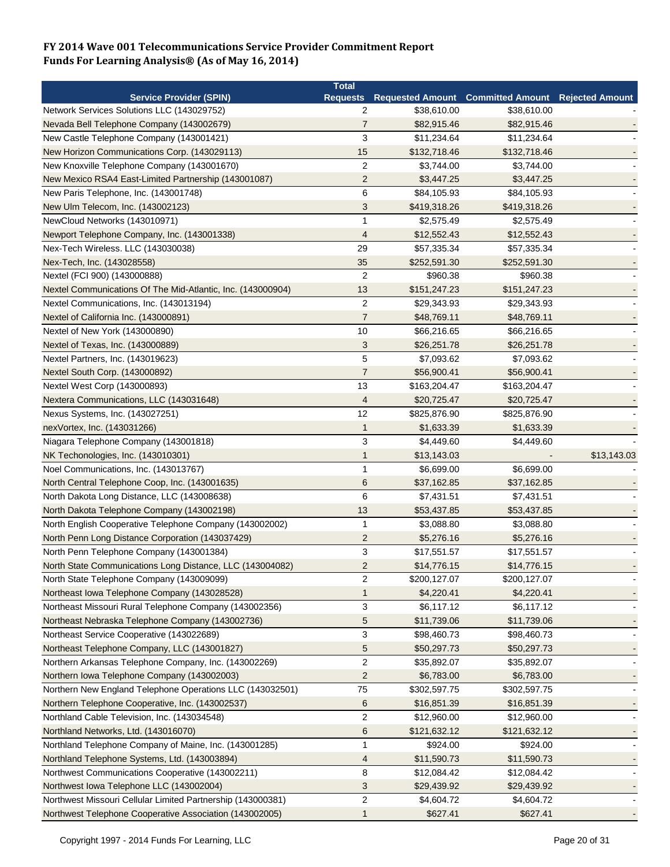|                                                             | <b>Total</b>      |              |                                                            |             |
|-------------------------------------------------------------|-------------------|--------------|------------------------------------------------------------|-------------|
| <b>Service Provider (SPIN)</b>                              |                   |              | Requests Requested Amount Committed Amount Rejected Amount |             |
| Network Services Solutions LLC (143029752)                  | 2                 | \$38,610.00  | \$38,610.00                                                |             |
| Nevada Bell Telephone Company (143002679)                   | 7                 | \$82,915.46  | \$82,915.46                                                |             |
| New Castle Telephone Company (143001421)                    | 3                 | \$11,234.64  | \$11,234.64                                                |             |
| New Horizon Communications Corp. (143029113)                | 15                | \$132,718.46 | \$132,718.46                                               |             |
| New Knoxville Telephone Company (143001670)                 | $\overline{2}$    | \$3,744.00   | \$3,744.00                                                 |             |
| New Mexico RSA4 East-Limited Partnership (143001087)        | $\overline{2}$    | \$3,447.25   | \$3,447.25                                                 |             |
| New Paris Telephone, Inc. (143001748)                       | 6                 | \$84,105.93  | \$84,105.93                                                |             |
| New Ulm Telecom, Inc. (143002123)                           | 3                 | \$419,318.26 | \$419,318.26                                               |             |
| NewCloud Networks (143010971)                               | 1                 | \$2,575.49   | \$2,575.49                                                 |             |
| Newport Telephone Company, Inc. (143001338)                 | 4                 | \$12,552.43  | \$12,552.43                                                |             |
| Nex-Tech Wireless. LLC (143030038)                          | 29                | \$57,335.34  | \$57,335.34                                                |             |
| Nex-Tech, Inc. (143028558)                                  | 35                | \$252,591.30 | \$252,591.30                                               |             |
| Nextel (FCI 900) (143000888)                                | $\overline{2}$    | \$960.38     | \$960.38                                                   |             |
| Nextel Communications Of The Mid-Atlantic, Inc. (143000904) | 13                | \$151,247.23 | \$151,247.23                                               |             |
| Nextel Communications, Inc. (143013194)                     | $\overline{2}$    | \$29,343.93  | \$29,343.93                                                |             |
| Nextel of California Inc. (143000891)                       | $\overline{7}$    | \$48,769.11  | \$48,769.11                                                |             |
| Nextel of New York (143000890)                              | 10                | \$66,216.65  | \$66,216.65                                                |             |
| Nextel of Texas, Inc. (143000889)                           | 3                 | \$26,251.78  | \$26,251.78                                                |             |
| Nextel Partners, Inc. (143019623)                           | $\sqrt{5}$        | \$7,093.62   | \$7,093.62                                                 |             |
| Nextel South Corp. (143000892)                              | $\boldsymbol{7}$  | \$56,900.41  | \$56,900.41                                                |             |
| Nextel West Corp (143000893)                                | 13                | \$163,204.47 | \$163,204.47                                               |             |
| Nextera Communications, LLC (143031648)                     | $\overline{4}$    | \$20,725.47  | \$20,725.47                                                |             |
| Nexus Systems, Inc. (143027251)                             | 12                | \$825,876.90 | \$825,876.90                                               |             |
|                                                             |                   |              |                                                            |             |
| nexVortex, Inc. (143031266)                                 | $\mathbf{1}$<br>3 | \$1,633.39   | \$1,633.39                                                 |             |
| Niagara Telephone Company (143001818)                       |                   | \$4,449.60   | \$4,449.60                                                 |             |
| NK Techonologies, Inc. (143010301)                          | 1                 | \$13,143.03  |                                                            | \$13,143.03 |
| Noel Communications, Inc. (143013767)                       | 1                 | \$6,699.00   | \$6,699.00                                                 |             |
| North Central Telephone Coop, Inc. (143001635)              | 6                 | \$37,162.85  | \$37,162.85                                                |             |
| North Dakota Long Distance, LLC (143008638)                 | 6                 | \$7,431.51   | \$7,431.51                                                 |             |
| North Dakota Telephone Company (143002198)                  | 13                | \$53,437.85  | \$53,437.85                                                |             |
| North English Cooperative Telephone Company (143002002)     | 1                 | \$3,088.80   | \$3,088.80                                                 |             |
| North Penn Long Distance Corporation (143037429)            | $\overline{2}$    | \$5,276.16   | \$5,276.16                                                 |             |
| North Penn Telephone Company (143001384)                    | 3                 | \$17,551.57  | \$17,551.57                                                |             |
| North State Communications Long Distance, LLC (143004082)   | $\overline{2}$    | \$14,776.15  | \$14,776.15                                                |             |
| North State Telephone Company (143009099)                   | 2                 | \$200,127.07 | \$200,127.07                                               |             |
| Northeast Iowa Telephone Company (143028528)                | 1                 | \$4,220.41   | \$4,220.41                                                 |             |
| Northeast Missouri Rural Telephone Company (143002356)      | 3                 | \$6,117.12   | \$6,117.12                                                 |             |
| Northeast Nebraska Telephone Company (143002736)            | $\sqrt{5}$        | \$11,739.06  | \$11,739.06                                                |             |
| Northeast Service Cooperative (143022689)                   | 3                 | \$98,460.73  | \$98,460.73                                                |             |
| Northeast Telephone Company, LLC (143001827)                | 5                 | \$50,297.73  | \$50,297.73                                                |             |
| Northern Arkansas Telephone Company, Inc. (143002269)       | 2                 | \$35,892.07  | \$35,892.07                                                |             |
| Northern Iowa Telephone Company (143002003)                 | $\overline{2}$    | \$6,783.00   | \$6,783.00                                                 |             |
| Northern New England Telephone Operations LLC (143032501)   | 75                | \$302,597.75 | \$302,597.75                                               |             |
| Northern Telephone Cooperative, Inc. (143002537)            | 6                 | \$16,851.39  | \$16,851.39                                                |             |
| Northland Cable Television, Inc. (143034548)                | $\overline{c}$    | \$12,960.00  | \$12,960.00                                                |             |
| Northland Networks, Ltd. (143016070)                        | 6                 | \$121,632.12 | \$121,632.12                                               |             |
| Northland Telephone Company of Maine, Inc. (143001285)      | 1                 | \$924.00     | \$924.00                                                   |             |
| Northland Telephone Systems, Ltd. (143003894)               | 4                 | \$11,590.73  | \$11,590.73                                                |             |
| Northwest Communications Cooperative (143002211)            | 8                 | \$12,084.42  | \$12,084.42                                                |             |
| Northwest Iowa Telephone LLC (143002004)                    | 3                 | \$29,439.92  | \$29,439.92                                                |             |
| Northwest Missouri Cellular Limited Partnership (143000381) | $\sqrt{2}$        | \$4,604.72   | \$4,604.72                                                 |             |
| Northwest Telephone Cooperative Association (143002005)     | 1                 | \$627.41     | \$627.41                                                   |             |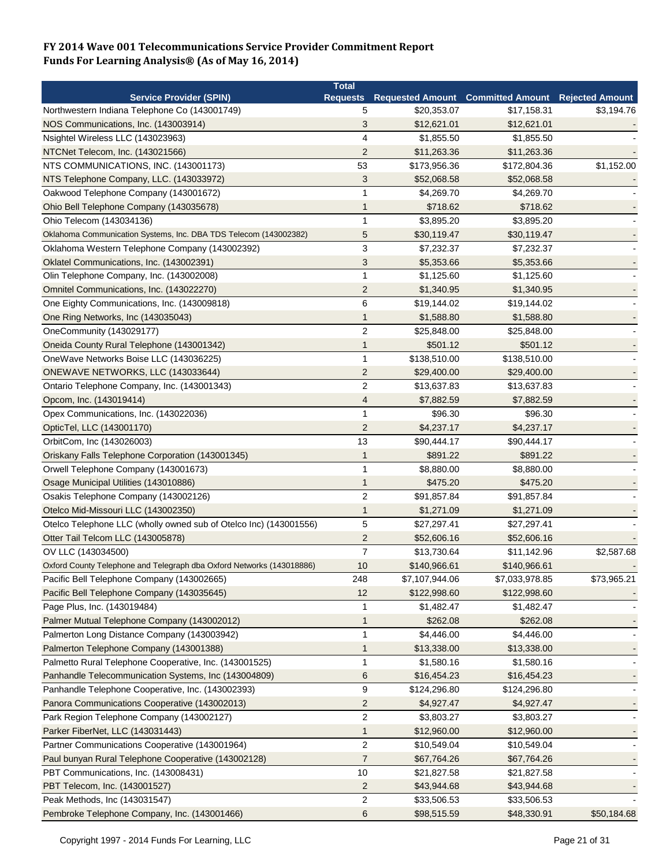|                                                                       | <b>Total</b>            |                |                                                   |             |
|-----------------------------------------------------------------------|-------------------------|----------------|---------------------------------------------------|-------------|
| <b>Service Provider (SPIN)</b>                                        | <b>Requests</b>         |                | Requested Amount Committed Amount Rejected Amount |             |
| Northwestern Indiana Telephone Co (143001749)                         | 5                       | \$20,353.07    | \$17,158.31                                       | \$3,194.76  |
| NOS Communications, Inc. (143003914)                                  | 3                       | \$12,621.01    | \$12,621.01                                       |             |
| Nsightel Wireless LLC (143023963)                                     | 4                       | \$1,855.50     | \$1,855.50                                        |             |
| NTCNet Telecom, Inc. (143021566)                                      | $\overline{2}$          | \$11,263.36    | \$11,263.36                                       |             |
| NTS COMMUNICATIONS, INC. (143001173)                                  | 53                      | \$173,956.36   | \$172,804.36                                      | \$1,152.00  |
| NTS Telephone Company, LLC. (143033972)                               | 3                       | \$52,068.58    | \$52,068.58                                       |             |
| Oakwood Telephone Company (143001672)                                 | $\mathbf{1}$            | \$4,269.70     | \$4,269.70                                        |             |
| Ohio Bell Telephone Company (143035678)                               | 1                       | \$718.62       | \$718.62                                          |             |
| Ohio Telecom (143034136)                                              | 1                       | \$3.895.20     | \$3,895.20                                        |             |
| Oklahoma Communication Systems, Inc. DBA TDS Telecom (143002382)      | 5                       | \$30,119.47    | \$30,119.47                                       |             |
| Oklahoma Western Telephone Company (143002392)                        | 3                       | \$7,232.37     | \$7,232.37                                        |             |
| Oklatel Communications, Inc. (143002391)                              | 3                       | \$5,353.66     | \$5,353.66                                        |             |
| Olin Telephone Company, Inc. (143002008)                              | $\mathbf{1}$            | \$1,125.60     | \$1,125.60                                        |             |
| Omnitel Communications, Inc. (143022270)                              | 2                       | \$1,340.95     | \$1,340.95                                        |             |
| One Eighty Communications, Inc. (143009818)                           | 6                       | \$19,144.02    | \$19,144.02                                       |             |
| One Ring Networks, Inc (143035043)                                    | 1                       | \$1,588.80     | \$1,588.80                                        |             |
| OneCommunity (143029177)                                              | $\overline{c}$          | \$25,848.00    | \$25,848.00                                       |             |
| Oneida County Rural Telephone (143001342)                             | 1                       | \$501.12       | \$501.12                                          |             |
| OneWave Networks Boise LLC (143036225)                                | $\mathbf{1}$            | \$138,510.00   | \$138,510.00                                      |             |
| ONEWAVE NETWORKS, LLC (143033644)                                     | $\overline{2}$          | \$29,400.00    | \$29,400.00                                       |             |
| Ontario Telephone Company, Inc. (143001343)                           | $\overline{2}$          | \$13,637.83    | \$13,637.83                                       |             |
|                                                                       |                         |                |                                                   |             |
| Opcom, Inc. (143019414)                                               | 4<br>$\mathbf{1}$       | \$7,882.59     | \$7,882.59                                        |             |
| Opex Communications, Inc. (143022036)                                 |                         | \$96.30        | \$96.30                                           |             |
| OpticTel, LLC (143001170)                                             | $\overline{2}$          | \$4,237.17     | \$4,237.17                                        |             |
| OrbitCom, Inc (143026003)                                             | 13                      | \$90,444.17    | \$90,444.17                                       |             |
| Oriskany Falls Telephone Corporation (143001345)                      | $\mathbf{1}$            | \$891.22       | \$891.22                                          |             |
| Orwell Telephone Company (143001673)                                  | 1                       | \$8,880.00     | \$8,880.00                                        |             |
| Osage Municipal Utilities (143010886)                                 | 1                       | \$475.20       | \$475.20                                          |             |
| Osakis Telephone Company (143002126)                                  | $\overline{2}$          | \$91,857.84    | \$91,857.84                                       |             |
| Otelco Mid-Missouri LLC (143002350)                                   | 1                       | \$1,271.09     | \$1,271.09                                        |             |
| Otelco Telephone LLC (wholly owned sub of Otelco Inc) (143001556)     | 5                       | \$27,297.41    | \$27,297.41                                       |             |
| Otter Tail Telcom LLC (143005878)                                     | 2                       | \$52,606.16    | \$52,606.16                                       |             |
| OV LLC (143034500)                                                    | $\overline{7}$          | \$13,730.64    | \$11,142.96                                       | \$2,587.68  |
| Oxford County Telephone and Telegraph dba Oxford Networks (143018886) | 10                      | \$140,966.61   | \$140,966.61                                      |             |
| Pacific Bell Telephone Company (143002665)                            | 248                     | \$7,107,944.06 | \$7,033,978.85                                    | \$73,965.21 |
| Pacific Bell Telephone Company (143035645)                            | 12                      | \$122,998.60   | \$122,998.60                                      |             |
| Page Plus, Inc. (143019484)                                           |                         | \$1,482.47     | \$1,482.47                                        |             |
| Palmer Mutual Telephone Company (143002012)                           | 1                       | \$262.08       | \$262.08                                          |             |
| Palmerton Long Distance Company (143003942)                           | 1                       | \$4,446.00     | \$4,446.00                                        |             |
| Palmerton Telephone Company (143001388)                               | 1                       | \$13,338.00    | \$13,338.00                                       |             |
| Palmetto Rural Telephone Cooperative, Inc. (143001525)                | $\mathbf 1$             | \$1,580.16     | \$1,580.16                                        |             |
| Panhandle Telecommunication Systems, Inc (143004809)                  | 6                       | \$16,454.23    | \$16,454.23                                       |             |
| Panhandle Telephone Cooperative, Inc. (143002393)                     | 9                       | \$124,296.80   | \$124,296.80                                      |             |
| Panora Communications Cooperative (143002013)                         | $\overline{\mathbf{c}}$ | \$4,927.47     | \$4,927.47                                        |             |
| Park Region Telephone Company (143002127)                             | $\overline{2}$          | \$3,803.27     | \$3,803.27                                        |             |
| Parker FiberNet, LLC (143031443)                                      | 1                       | \$12,960.00    | \$12,960.00                                       |             |
| Partner Communications Cooperative (143001964)                        | $\overline{c}$          | \$10,549.04    | \$10,549.04                                       |             |
| Paul bunyan Rural Telephone Cooperative (143002128)                   | $\overline{7}$          | \$67,764.26    | \$67,764.26                                       |             |
| PBT Communications, Inc. (143008431)                                  | 10                      | \$21,827.58    | \$21,827.58                                       |             |
| PBT Telecom, Inc. (143001527)                                         | $\overline{\mathbf{c}}$ | \$43,944.68    | \$43,944.68                                       |             |
| Peak Methods, Inc (143031547)                                         | $\overline{\mathbf{c}}$ | \$33,506.53    | \$33,506.53                                       |             |
| Pembroke Telephone Company, Inc. (143001466)                          | 6                       | \$98,515.59    | \$48,330.91                                       | \$50,184.68 |
|                                                                       |                         |                |                                                   |             |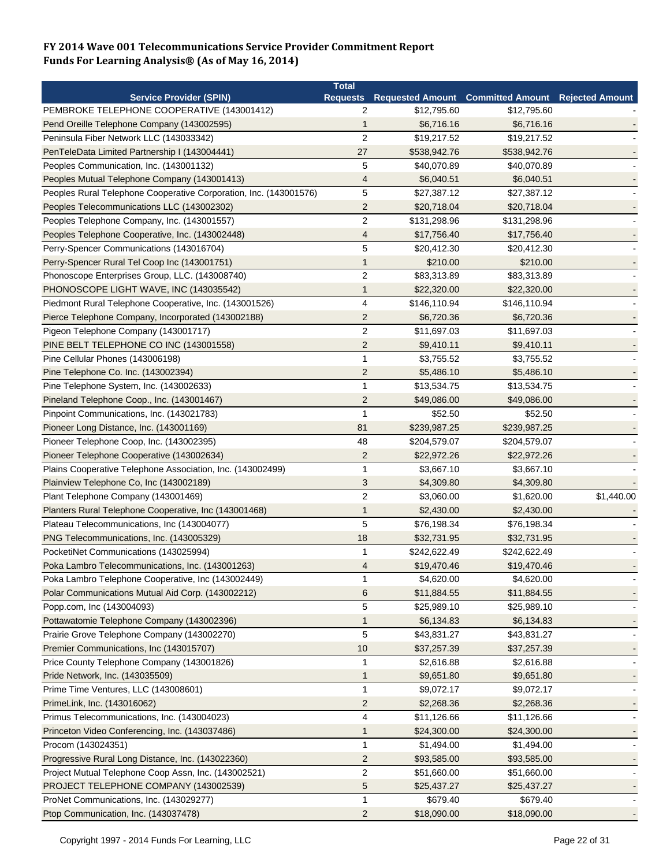|                                                                   | <b>Total</b>   |              |                                            |                        |
|-------------------------------------------------------------------|----------------|--------------|--------------------------------------------|------------------------|
| <b>Service Provider (SPIN)</b>                                    |                |              | Requests Requested Amount Committed Amount | <b>Rejected Amount</b> |
| PEMBROKE TELEPHONE COOPERATIVE (143001412)                        | 2              | \$12,795.60  | \$12,795.60                                |                        |
| Pend Oreille Telephone Company (143002595)                        | 1              | \$6,716.16   | \$6,716.16                                 |                        |
| Peninsula Fiber Network LLC (143033342)                           | $\overline{2}$ | \$19,217.52  | \$19,217.52                                |                        |
| PenTeleData Limited Partnership I (143004441)                     | 27             | \$538,942.76 | \$538,942.76                               |                        |
| Peoples Communication, Inc. (143001132)                           | 5              | \$40,070.89  | \$40,070.89                                |                        |
| Peoples Mutual Telephone Company (143001413)                      | 4              | \$6,040.51   | \$6,040.51                                 |                        |
| Peoples Rural Telephone Cooperative Corporation, Inc. (143001576) | 5              | \$27,387.12  | \$27,387.12                                |                        |
| Peoples Telecommunications LLC (143002302)                        | $\overline{c}$ | \$20,718.04  | \$20,718.04                                |                        |
| Peoples Telephone Company, Inc. (143001557)                       | $\overline{c}$ | \$131,298.96 | \$131,298.96                               |                        |
| Peoples Telephone Cooperative, Inc. (143002448)                   | 4              | \$17,756.40  | \$17,756.40                                |                        |
| Perry-Spencer Communications (143016704)                          | 5              | \$20,412.30  | \$20,412.30                                |                        |
| Perry-Spencer Rural Tel Coop Inc (143001751)                      | 1              | \$210.00     | \$210.00                                   |                        |
| Phonoscope Enterprises Group, LLC. (143008740)                    | $\overline{2}$ | \$83,313.89  | \$83,313.89                                |                        |
| PHONOSCOPE LIGHT WAVE, INC (143035542)                            | 1              | \$22,320.00  | \$22,320.00                                |                        |
| Piedmont Rural Telephone Cooperative, Inc. (143001526)            | 4              | \$146,110.94 | \$146,110.94                               |                        |
| Pierce Telephone Company, Incorporated (143002188)                | $\overline{2}$ | \$6,720.36   | \$6,720.36                                 |                        |
| Pigeon Telephone Company (143001717)                              | $\overline{c}$ | \$11,697.03  | \$11,697.03                                |                        |
| PINE BELT TELEPHONE CO INC (143001558)                            | $\overline{2}$ | \$9,410.11   | \$9,410.11                                 |                        |
| Pine Cellular Phones (143006198)                                  | 1              | \$3,755.52   | \$3,755.52                                 |                        |
| Pine Telephone Co. Inc. (143002394)                               | $\overline{c}$ | \$5,486.10   | \$5,486.10                                 |                        |
| Pine Telephone System, Inc. (143002633)                           | 1              | \$13,534.75  | \$13,534.75                                |                        |
| Pineland Telephone Coop., Inc. (143001467)                        | $\overline{2}$ | \$49,086.00  | \$49,086.00                                |                        |
| Pinpoint Communications, Inc. (143021783)                         | 1              | \$52.50      | \$52.50                                    |                        |
| Pioneer Long Distance, Inc. (143001169)                           | 81             | \$239,987.25 | \$239,987.25                               |                        |
| Pioneer Telephone Coop, Inc. (143002395)                          | 48             | \$204,579.07 | \$204,579.07                               |                        |
| Pioneer Telephone Cooperative (143002634)                         | $\overline{2}$ | \$22,972.26  | \$22,972.26                                |                        |
| Plains Cooperative Telephone Association, Inc. (143002499)        | 1              | \$3,667.10   | \$3,667.10                                 |                        |
| Plainview Telephone Co, Inc (143002189)                           | 3              | \$4,309.80   | \$4,309.80                                 |                        |
| Plant Telephone Company (143001469)                               | $\overline{2}$ | \$3,060.00   | \$1,620.00                                 | \$1,440.00             |
| Planters Rural Telephone Cooperative, Inc (143001468)             | 1              | \$2,430.00   | \$2,430.00                                 |                        |
| Plateau Telecommunications, Inc (143004077)                       | 5              | \$76,198.34  | \$76,198.34                                |                        |
| PNG Telecommunications, Inc. (143005329)                          | 18             | \$32,731.95  | \$32,731.95                                |                        |
| PocketiNet Communications (143025994)                             | 1              | \$242,622.49 | \$242,622.49                               |                        |
|                                                                   |                |              |                                            |                        |
| Poka Lambro Telecommunications, Inc. (143001263)                  | 4              | \$19,470.46  | \$19,470.46                                |                        |
| Poka Lambro Telephone Cooperative, Inc (143002449)                | 1              | \$4,620.00   | \$4,620.00                                 |                        |
| Polar Communications Mutual Aid Corp. (143002212)                 | 6              | \$11,884.55  | \$11,884.55                                |                        |
| Popp.com, Inc (143004093)                                         | 5              | \$25,989.10  | \$25,989.10                                |                        |
| Pottawatomie Telephone Company (143002396)                        | $\mathbf{1}$   | \$6,134.83   | \$6,134.83                                 |                        |
| Prairie Grove Telephone Company (143002270)                       | 5              | \$43,831.27  | \$43,831.27                                |                        |
| Premier Communications, Inc (143015707)                           | 10             | \$37,257.39  | \$37,257.39                                |                        |
| Price County Telephone Company (143001826)                        | 1              | \$2,616.88   | \$2,616.88                                 |                        |
| Pride Network, Inc. (143035509)                                   | 1              | \$9,651.80   | \$9,651.80                                 |                        |
| Prime Time Ventures, LLC (143008601)                              | 1              | \$9,072.17   | \$9,072.17                                 |                        |
| PrimeLink, Inc. (143016062)                                       | $\overline{c}$ | \$2,268.36   | \$2,268.36                                 |                        |
| Primus Telecommunications, Inc. (143004023)                       | 4              | \$11,126.66  | \$11,126.66                                |                        |
| Princeton Video Conferencing, Inc. (143037486)                    | 1              | \$24,300.00  | \$24,300.00                                |                        |
| Procom (143024351)                                                | $\mathbf{1}$   | \$1,494.00   | \$1,494.00                                 |                        |
| Progressive Rural Long Distance, Inc. (143022360)                 | 2              | \$93,585.00  | \$93,585.00                                |                        |
| Project Mutual Telephone Coop Assn, Inc. (143002521)              | $\sqrt{2}$     | \$51,660.00  | \$51,660.00                                |                        |
| PROJECT TELEPHONE COMPANY (143002539)                             | 5              | \$25,437.27  | \$25,437.27                                |                        |
| ProNet Communications, Inc. (143029277)                           | 1              | \$679.40     | \$679.40                                   |                        |
| Ptop Communication, Inc. (143037478)                              | $\overline{c}$ | \$18,090.00  | \$18,090.00                                |                        |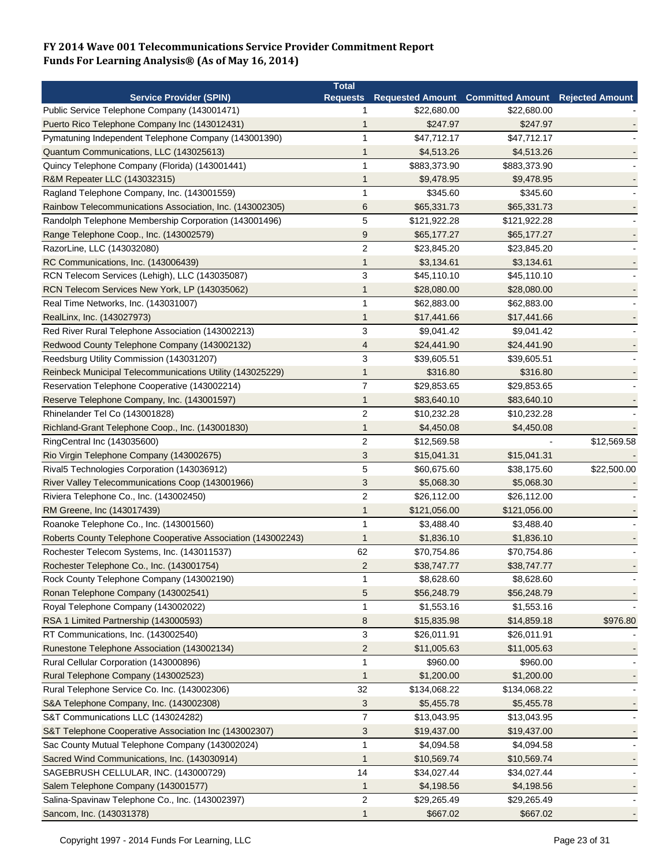|                                                              | <b>Total</b>     |                                            |              |                        |
|--------------------------------------------------------------|------------------|--------------------------------------------|--------------|------------------------|
| <b>Service Provider (SPIN)</b>                               |                  | Requests Requested Amount Committed Amount |              | <b>Rejected Amount</b> |
| Public Service Telephone Company (143001471)                 | 1                | \$22,680.00                                | \$22,680.00  |                        |
| Puerto Rico Telephone Company Inc (143012431)                | 1                | \$247.97                                   | \$247.97     |                        |
| Pymatuning Independent Telephone Company (143001390)         | 1                | \$47,712.17                                | \$47,712.17  |                        |
| Quantum Communications, LLC (143025613)                      | 1                | \$4,513.26                                 | \$4,513.26   |                        |
| Quincy Telephone Company (Florida) (143001441)               | 1                | \$883,373.90                               | \$883,373.90 |                        |
| R&M Repeater LLC (143032315)                                 | 1                | \$9,478.95                                 | \$9,478.95   |                        |
| Ragland Telephone Company, Inc. (143001559)                  | 1                | \$345.60                                   | \$345.60     |                        |
| Rainbow Telecommunications Association, Inc. (143002305)     | 6                | \$65,331.73                                | \$65,331.73  |                        |
| Randolph Telephone Membership Corporation (143001496)        | 5                | \$121,922.28                               | \$121,922.28 |                        |
| Range Telephone Coop., Inc. (143002579)                      | 9                | \$65,177.27                                | \$65,177.27  |                        |
| RazorLine, LLC (143032080)                                   | $\overline{2}$   | \$23,845.20                                | \$23,845.20  |                        |
| RC Communications, Inc. (143006439)                          | 1                | \$3,134.61                                 | \$3,134.61   |                        |
| RCN Telecom Services (Lehigh), LLC (143035087)               | 3                | \$45,110.10                                | \$45,110.10  |                        |
| RCN Telecom Services New York, LP (143035062)                | 1                | \$28,080.00                                | \$28,080.00  |                        |
| Real Time Networks, Inc. (143031007)                         | 1                | \$62,883.00                                | \$62,883.00  |                        |
| RealLinx, Inc. (143027973)                                   | 1                | \$17,441.66                                | \$17,441.66  |                        |
| Red River Rural Telephone Association (143002213)            | 3                | \$9,041.42                                 | \$9,041.42   |                        |
| Redwood County Telephone Company (143002132)                 | 4                | \$24,441.90                                | \$24,441.90  |                        |
| Reedsburg Utility Commission (143031207)                     | 3                | \$39,605.51                                | \$39,605.51  |                        |
| Reinbeck Municipal Telecommunications Utility (143025229)    | 1                | \$316.80                                   | \$316.80     |                        |
| Reservation Telephone Cooperative (143002214)                | $\overline{7}$   | \$29,853.65                                | \$29,853.65  |                        |
| Reserve Telephone Company, Inc. (143001597)                  | 1                | \$83,640.10                                | \$83,640.10  |                        |
| Rhinelander Tel Co (143001828)                               | $\overline{2}$   | \$10,232.28                                | \$10,232.28  |                        |
| Richland-Grant Telephone Coop., Inc. (143001830)             | 1                | \$4,450.08                                 | \$4,450.08   |                        |
| RingCentral Inc (143035600)                                  | $\overline{2}$   | \$12,569.58                                |              | \$12,569.58            |
| Rio Virgin Telephone Company (143002675)                     | 3                | \$15,041.31                                | \$15,041.31  |                        |
|                                                              | 5                | \$60,675.60                                | \$38,175.60  |                        |
| Rival5 Technologies Corporation (143036912)                  |                  |                                            |              | \$22,500.00            |
| River Valley Telecommunications Coop (143001966)             | 3                | \$5,068.30                                 | \$5,068.30   |                        |
| Riviera Telephone Co., Inc. (143002450)                      | $\overline{2}$   | \$26,112.00                                | \$26,112.00  |                        |
| RM Greene, Inc (143017439)                                   | 1                | \$121,056.00                               | \$121,056.00 |                        |
| Roanoke Telephone Co., Inc. (143001560)                      | 1                | \$3,488.40                                 | \$3,488.40   |                        |
| Roberts County Telephone Cooperative Association (143002243) | 1                | \$1,836.10                                 | \$1,836.10   |                        |
| Rochester Telecom Systems, Inc. (143011537)                  | 62               | \$70,754.86                                | \$70,754.86  |                        |
| Rochester Telephone Co., Inc. (143001754)                    | $\overline{2}$   | \$38,747.77                                | \$38,747.77  |                        |
| Rock County Telephone Company (143002190)                    | 1                | \$8,628.60                                 | \$8,628.60   |                        |
| Ronan Telephone Company (143002541)                          | 5                | \$56,248.79                                | \$56,248.79  |                        |
| Royal Telephone Company (143002022)                          | 1                | \$1,553.16                                 | \$1,553.16   |                        |
| RSA 1 Limited Partnership (143000593)                        | $\boldsymbol{8}$ | \$15,835.98                                | \$14,859.18  | \$976.80               |
| RT Communications, Inc. (143002540)                          | 3                | \$26,011.91                                | \$26,011.91  |                        |
| Runestone Telephone Association (143002134)                  | 2                | \$11,005.63                                | \$11,005.63  |                        |
| Rural Cellular Corporation (143000896)                       | 1                | \$960.00                                   | \$960.00     |                        |
| Rural Telephone Company (143002523)                          | $\mathbf 1$      | \$1,200.00                                 | \$1,200.00   |                        |
| Rural Telephone Service Co. Inc. (143002306)                 | 32               | \$134,068.22                               | \$134,068.22 |                        |
| S&A Telephone Company, Inc. (143002308)                      | 3                | \$5,455.78                                 | \$5,455.78   |                        |
| S&T Communications LLC (143024282)                           | $\overline{7}$   | \$13,043.95                                | \$13,043.95  |                        |
| S&T Telephone Cooperative Association Inc (143002307)        | 3                | \$19,437.00                                | \$19,437.00  |                        |
| Sac County Mutual Telephone Company (143002024)              | 1                | \$4,094.58                                 | \$4,094.58   |                        |
| Sacred Wind Communications, Inc. (143030914)                 | 1                | \$10,569.74                                | \$10,569.74  |                        |
| SAGEBRUSH CELLULAR, INC. (143000729)                         | 14               | \$34,027.44                                | \$34,027.44  |                        |
| Salem Telephone Company (143001577)                          | $\mathbf{1}$     | \$4,198.56                                 | \$4,198.56   |                        |
| Salina-Spavinaw Telephone Co., Inc. (143002397)              | $\overline{2}$   | \$29,265.49                                | \$29,265.49  |                        |
| Sancom, Inc. (143031378)                                     | 1                | \$667.02                                   | \$667.02     |                        |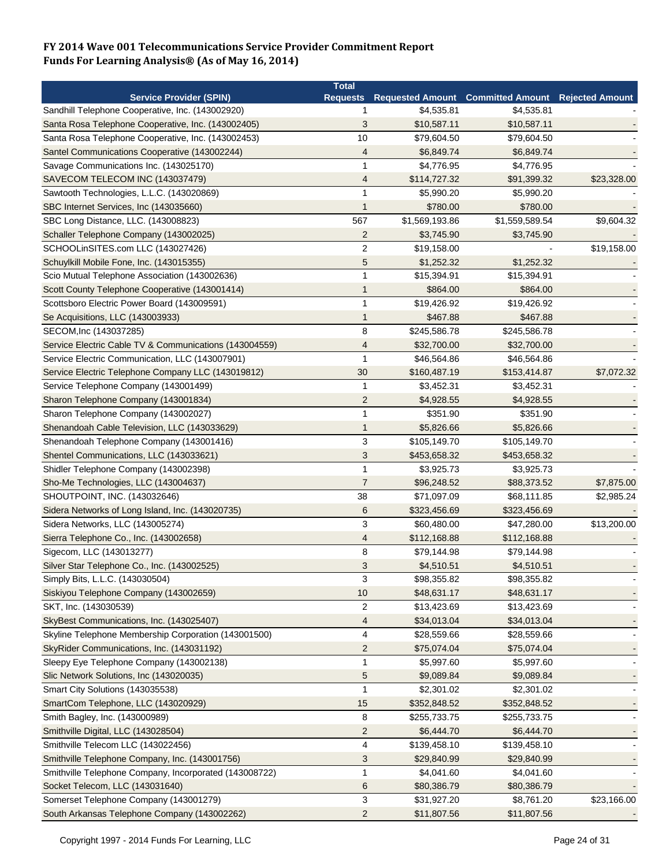|                                                        | <b>Total</b>             |                |                                                   |                        |
|--------------------------------------------------------|--------------------------|----------------|---------------------------------------------------|------------------------|
| <b>Service Provider (SPIN)</b>                         |                          |                | <b>Requests Requested Amount Committed Amount</b> | <b>Rejected Amount</b> |
| Sandhill Telephone Cooperative, Inc. (143002920)       | 1                        | \$4,535.81     | \$4,535.81                                        |                        |
| Santa Rosa Telephone Cooperative, Inc. (143002405)     | 3                        | \$10,587.11    | \$10,587.11                                       |                        |
| Santa Rosa Telephone Cooperative, Inc. (143002453)     | 10                       | \$79,604.50    | \$79,604.50                                       |                        |
| Santel Communications Cooperative (143002244)          | $\overline{4}$           | \$6,849.74     | \$6,849.74                                        |                        |
| Savage Communications Inc. (143025170)                 | $\mathbf{1}$             | \$4,776.95     | \$4,776.95                                        |                        |
| SAVECOM TELECOM INC (143037479)                        | $\overline{4}$           | \$114,727.32   | \$91,399.32                                       | \$23,328.00            |
| Sawtooth Technologies, L.L.C. (143020869)              | 1                        | \$5,990.20     | \$5,990.20                                        |                        |
| SBC Internet Services, Inc (143035660)                 | $\mathbf{1}$             | \$780.00       | \$780.00                                          |                        |
| SBC Long Distance, LLC. (143008823)                    | 567                      | \$1,569,193.86 | \$1,559,589.54                                    | \$9,604.32             |
| Schaller Telephone Company (143002025)                 | $\overline{c}$           | \$3,745.90     | \$3,745.90                                        |                        |
| SCHOOLinSITES.com LLC (143027426)                      | $\overline{2}$           | \$19,158.00    |                                                   | \$19,158.00            |
| Schuylkill Mobile Fone, Inc. (143015355)               | 5                        | \$1,252.32     | \$1,252.32                                        |                        |
| Scio Mutual Telephone Association (143002636)          | $\mathbf{1}$             | \$15,394.91    | \$15,394.91                                       |                        |
| Scott County Telephone Cooperative (143001414)         | 1                        | \$864.00       | \$864.00                                          |                        |
| Scottsboro Electric Power Board (143009591)            | 1                        | \$19,426.92    | \$19,426.92                                       |                        |
| Se Acquisitions, LLC (143003933)                       | 1                        | \$467.88       | \$467.88                                          |                        |
| SECOM, Inc (143037285)                                 | 8                        | \$245,586.78   | \$245,586.78                                      |                        |
| Service Electric Cable TV & Communications (143004559) | 4                        | \$32,700.00    | \$32,700.00                                       |                        |
| Service Electric Communication, LLC (143007901)        | $\mathbf{1}$             | \$46,564.86    | \$46,564.86                                       |                        |
| Service Electric Telephone Company LLC (143019812)     | 30                       | \$160,487.19   | \$153,414.87                                      | \$7,072.32             |
| Service Telephone Company (143001499)                  | $\mathbf{1}$             | \$3,452.31     | \$3,452.31                                        |                        |
|                                                        |                          |                |                                                   |                        |
| Sharon Telephone Company (143001834)                   | $\overline{2}$           | \$4,928.55     | \$4,928.55                                        |                        |
| Sharon Telephone Company (143002027)                   | $\mathbf{1}$             | \$351.90       | \$351.90                                          |                        |
| Shenandoah Cable Television, LLC (143033629)           | $\mathbf{1}$             | \$5,826.66     | \$5,826.66                                        |                        |
| Shenandoah Telephone Company (143001416)               | $\mathbf{3}$             | \$105,149.70   | \$105,149.70                                      |                        |
| Shentel Communications, LLC (143033621)                | 3                        | \$453,658.32   | \$453,658.32                                      |                        |
| Shidler Telephone Company (143002398)                  | 1                        | \$3,925.73     | \$3,925.73                                        |                        |
| Sho-Me Technologies, LLC (143004637)                   | $\overline{7}$           | \$96,248.52    | \$88,373.52                                       | \$7,875.00             |
| SHOUTPOINT, INC. (143032646)                           | 38                       | \$71,097.09    | \$68,111.85                                       | \$2,985.24             |
| Sidera Networks of Long Island, Inc. (143020735)       | $6\phantom{1}6$          | \$323,456.69   | \$323,456.69                                      |                        |
| Sidera Networks, LLC (143005274)                       | 3                        | \$60,480.00    | \$47,280.00                                       | \$13,200.00            |
| Sierra Telephone Co., Inc. (143002658)                 | 4                        | \$112,168.88   | \$112,168.88                                      |                        |
| Sigecom, LLC (143013277)                               | 8                        | \$79,144.98    | \$79,144.98                                       |                        |
| Silver Star Telephone Co., Inc. (143002525)            | 3                        | \$4,510.51     | \$4,510.51                                        |                        |
| Simply Bits, L.L.C. (143030504)                        | 3                        | \$98,355.82    | \$98,355.82                                       |                        |
| Siskiyou Telephone Company (143002659)                 | 10                       | \$48,631.17    | \$48,631.17                                       |                        |
| SKT, Inc. (143030539)                                  | $\overline{2}$           | \$13,423.69    | \$13,423.69                                       |                        |
| SkyBest Communications, Inc. (143025407)               | $\overline{\mathcal{A}}$ | \$34,013.04    | \$34,013.04                                       |                        |
| Skyline Telephone Membership Corporation (143001500)   | 4                        | \$28,559.66    | \$28,559.66                                       |                        |
| SkyRider Communications, Inc. (143031192)              | $\overline{c}$           | \$75,074.04    | \$75,074.04                                       |                        |
| Sleepy Eye Telephone Company (143002138)               | 1                        | \$5,997.60     | \$5,997.60                                        |                        |
| Slic Network Solutions, Inc (143020035)                | 5                        | \$9,089.84     | \$9,089.84                                        |                        |
| Smart City Solutions (143035538)                       | $\mathbf 1$              | \$2,301.02     | \$2,301.02                                        |                        |
| SmartCom Telephone, LLC (143020929)                    | 15                       | \$352,848.52   | \$352,848.52                                      |                        |
| Smith Bagley, Inc. (143000989)                         | 8                        | \$255,733.75   | \$255,733.75                                      |                        |
| Smithville Digital, LLC (143028504)                    | $\overline{2}$           | \$6,444.70     | \$6,444.70                                        |                        |
| Smithville Telecom LLC (143022456)                     | 4                        | \$139,458.10   | \$139,458.10                                      |                        |
| Smithville Telephone Company, Inc. (143001756)         | 3                        | \$29,840.99    | \$29,840.99                                       |                        |
| Smithville Telephone Company, Incorporated (143008722) | $\mathbf{1}$             | \$4,041.60     | \$4,041.60                                        |                        |
| Socket Telecom, LLC (143031640)                        | $6\phantom{1}6$          | \$80,386.79    | \$80,386.79                                       |                        |
| Somerset Telephone Company (143001279)                 | 3                        | \$31,927.20    | \$8,761.20                                        | \$23,166.00            |
| South Arkansas Telephone Company (143002262)           | $\overline{c}$           | \$11,807.56    | \$11,807.56                                       |                        |
|                                                        |                          |                |                                                   |                        |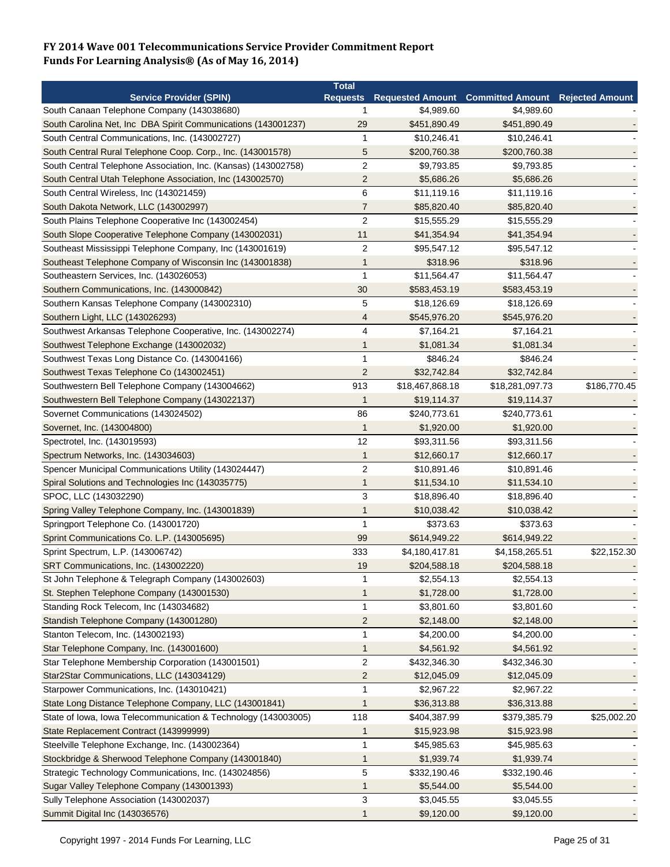|                                                                | <b>Total</b>            |                 |                                                            |              |
|----------------------------------------------------------------|-------------------------|-----------------|------------------------------------------------------------|--------------|
| <b>Service Provider (SPIN)</b>                                 |                         |                 | Requests Requested Amount Committed Amount Rejected Amount |              |
| South Canaan Telephone Company (143038680)                     | 1                       | \$4,989.60      | \$4,989.60                                                 |              |
| South Carolina Net, Inc DBA Spirit Communications (143001237)  | 29                      | \$451,890.49    | \$451,890.49                                               |              |
| South Central Communications, Inc. (143002727)                 | $\mathbf{1}$            | \$10,246.41     | \$10,246.41                                                |              |
| South Central Rural Telephone Coop. Corp., Inc. (143001578)    | 5                       | \$200,760.38    | \$200,760.38                                               |              |
| South Central Telephone Association, Inc. (Kansas) (143002758) | $\overline{c}$          | \$9,793.85      | \$9,793.85                                                 |              |
| South Central Utah Telephone Association, Inc (143002570)      | $\overline{2}$          | \$5,686.26      | \$5,686.26                                                 |              |
| South Central Wireless, Inc (143021459)                        | 6                       | \$11,119.16     | \$11,119.16                                                |              |
| South Dakota Network, LLC (143002997)                          | $\overline{7}$          | \$85,820.40     | \$85,820.40                                                |              |
| South Plains Telephone Cooperative Inc (143002454)             | $\overline{2}$          | \$15,555.29     | \$15,555.29                                                |              |
| South Slope Cooperative Telephone Company (143002031)          | 11                      | \$41,354.94     | \$41,354.94                                                |              |
| Southeast Mississippi Telephone Company, Inc (143001619)       | $\overline{2}$          | \$95,547.12     | \$95,547.12                                                |              |
| Southeast Telephone Company of Wisconsin Inc (143001838)       | 1                       | \$318.96        | \$318.96                                                   |              |
| Southeastern Services, Inc. (143026053)                        | $\mathbf{1}$            | \$11,564.47     | \$11,564.47                                                |              |
| Southern Communications, Inc. (143000842)                      | 30                      | \$583,453.19    | \$583,453.19                                               |              |
| Southern Kansas Telephone Company (143002310)                  | 5                       | \$18,126.69     | \$18,126.69                                                |              |
| Southern Light, LLC (143026293)                                | 4                       | \$545,976.20    | \$545,976.20                                               |              |
| Southwest Arkansas Telephone Cooperative, Inc. (143002274)     | 4                       | \$7,164.21      | \$7,164.21                                                 |              |
| Southwest Telephone Exchange (143002032)                       | 1                       | \$1,081.34      | \$1,081.34                                                 |              |
|                                                                | $\mathbf{1}$            |                 |                                                            |              |
| Southwest Texas Long Distance Co. (143004166)                  |                         | \$846.24        | \$846.24                                                   |              |
| Southwest Texas Telephone Co (143002451)                       | $\overline{c}$          | \$32,742.84     | \$32,742.84                                                |              |
| Southwestern Bell Telephone Company (143004662)                | 913                     | \$18,467,868.18 | \$18,281,097.73                                            | \$186,770.45 |
| Southwestern Bell Telephone Company (143022137)                | 1                       | \$19,114.37     | \$19,114.37                                                |              |
| Sovernet Communications (143024502)                            | 86                      | \$240,773.61    | \$240,773.61                                               |              |
| Sovernet, Inc. (143004800)                                     | $\mathbf 1$             | \$1,920.00      | \$1,920.00                                                 |              |
| Spectrotel, Inc. (143019593)                                   | 12                      | \$93,311.56     | \$93,311.56                                                |              |
| Spectrum Networks, Inc. (143034603)                            | $\mathbf 1$             | \$12,660.17     | \$12,660.17                                                |              |
| Spencer Municipal Communications Utility (143024447)           | $\overline{c}$          | \$10,891.46     | \$10,891.46                                                |              |
| Spiral Solutions and Technologies Inc (143035775)              | $\mathbf 1$             | \$11,534.10     | \$11,534.10                                                |              |
| SPOC, LLC (143032290)                                          | 3                       | \$18,896.40     | \$18,896.40                                                |              |
| Spring Valley Telephone Company, Inc. (143001839)              | 1                       | \$10,038.42     | \$10,038.42                                                |              |
| Springport Telephone Co. (143001720)                           | $\mathbf{1}$            | \$373.63        | \$373.63                                                   |              |
| Sprint Communications Co. L.P. (143005695)                     | 99                      | \$614,949.22    | \$614,949.22                                               |              |
| Sprint Spectrum, L.P. (143006742)                              | 333                     | \$4,180,417.81  | \$4,158,265.51                                             | \$22,152.30  |
| SRT Communications, Inc. (143002220)                           | 19                      | \$204,588.18    | \$204,588.18                                               |              |
| St John Telephone & Telegraph Company (143002603)              | 1                       | \$2,554.13      | \$2,554.13                                                 |              |
| St. Stephen Telephone Company (143001530)                      | 1                       | \$1,728.00      | \$1,728.00                                                 |              |
| Standing Rock Telecom, Inc (143034682)                         | $\mathbf{1}$            | \$3,801.60      | \$3,801.60                                                 |              |
| Standish Telephone Company (143001280)                         | $\overline{\mathbf{c}}$ | \$2,148.00      | \$2,148.00                                                 |              |
| Stanton Telecom, Inc. (143002193)                              | 1                       | \$4,200.00      | \$4,200.00                                                 |              |
| Star Telephone Company, Inc. (143001600)                       | $\mathbf{1}$            | \$4,561.92      | \$4,561.92                                                 |              |
| Star Telephone Membership Corporation (143001501)              | 2                       | \$432,346.30    | \$432,346.30                                               |              |
| Star2Star Communications, LLC (143034129)                      | $\overline{\mathbf{c}}$ | \$12,045.09     | \$12,045.09                                                |              |
| Starpower Communications, Inc. (143010421)                     | 1                       | \$2,967.22      | \$2,967.22                                                 |              |
| State Long Distance Telephone Company, LLC (143001841)         | 1                       | \$36,313.88     | \$36,313.88                                                |              |
| State of Iowa, Iowa Telecommunication & Technology (143003005) | 118                     | \$404,387.99    |                                                            | \$25,002.20  |
|                                                                |                         |                 | \$379,385.79                                               |              |
| State Replacement Contract (143999999)                         | 1                       | \$15,923.98     | \$15,923.98                                                |              |
| Steelville Telephone Exchange, Inc. (143002364)                | 1                       | \$45,985.63     | \$45,985.63                                                |              |
| Stockbridge & Sherwood Telephone Company (143001840)           | $\mathbf{1}$            | \$1,939.74      | \$1,939.74                                                 |              |
| Strategic Technology Communications, Inc. (143024856)          | $\sqrt{5}$              | \$332,190.46    | \$332,190.46                                               |              |
| Sugar Valley Telephone Company (143001393)                     | 1                       | \$5,544.00      | \$5,544.00                                                 |              |
| Sully Telephone Association (143002037)                        | 3                       | \$3,045.55      | \$3,045.55                                                 |              |
| Summit Digital Inc (143036576)                                 | 1                       | \$9,120.00      | \$9,120.00                                                 |              |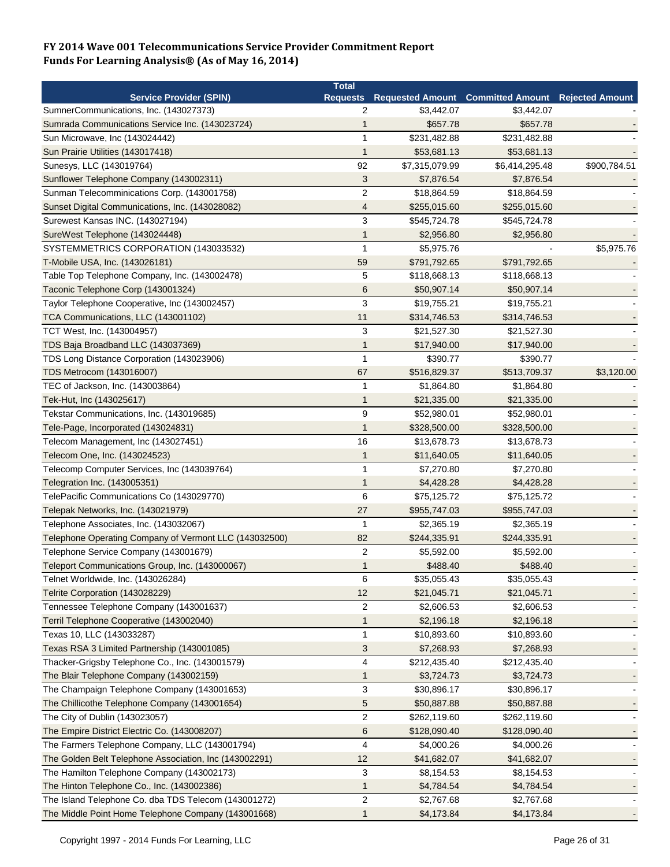|                                                        | <b>Total</b>            |                |                                                            |              |
|--------------------------------------------------------|-------------------------|----------------|------------------------------------------------------------|--------------|
| <b>Service Provider (SPIN)</b>                         |                         |                | Requests Requested Amount Committed Amount Rejected Amount |              |
| SumnerCommunications, Inc. (143027373)                 | 2                       | \$3,442.07     | \$3,442.07                                                 |              |
| Sumrada Communications Service Inc. (143023724)        | 1                       | \$657.78       | \$657.78                                                   |              |
| Sun Microwave, Inc (143024442)                         | $\mathbf{1}$            | \$231,482.88   | \$231,482.88                                               |              |
| Sun Prairie Utilities (143017418)                      | $\mathbf{1}$            | \$53,681.13    | \$53,681.13                                                |              |
| Sunesys, LLC (143019764)                               | 92                      | \$7,315,079.99 | \$6,414,295.48                                             | \$900,784.51 |
| Sunflower Telephone Company (143002311)                | 3                       | \$7,876.54     | \$7,876.54                                                 |              |
| Sunman Telecomminications Corp. (143001758)            | $\overline{c}$          | \$18,864.59    | \$18,864.59                                                |              |
| Sunset Digital Communications, Inc. (143028082)        | $\overline{4}$          | \$255,015.60   | \$255,015.60                                               |              |
| Surewest Kansas INC. (143027194)                       | 3                       | \$545,724.78   | \$545,724.78                                               |              |
| SureWest Telephone (143024448)                         | $\mathbf{1}$            | \$2,956.80     | \$2,956.80                                                 |              |
| SYSTEMMETRICS CORPORATION (143033532)                  | $\mathbf{1}$            | \$5,975.76     |                                                            | \$5,975.76   |
| T-Mobile USA, Inc. (143026181)                         | 59                      | \$791,792.65   | \$791,792.65                                               |              |
| Table Top Telephone Company, Inc. (143002478)          | 5                       | \$118,668.13   | \$118,668.13                                               |              |
| Taconic Telephone Corp (143001324)                     | 6                       | \$50,907.14    | \$50,907.14                                                |              |
| Taylor Telephone Cooperative, Inc (143002457)          | 3                       | \$19,755.21    | \$19,755.21                                                |              |
| TCA Communications, LLC (143001102)                    | 11                      | \$314,746.53   | \$314,746.53                                               |              |
| TCT West, Inc. (143004957)                             | 3                       | \$21,527.30    | \$21,527.30                                                |              |
| TDS Baja Broadband LLC (143037369)                     | $\mathbf 1$             | \$17,940.00    | \$17,940.00                                                |              |
| TDS Long Distance Corporation (143023906)              | $\mathbf{1}$            | \$390.77       | \$390.77                                                   |              |
| TDS Metrocom (143016007)                               | 67                      | \$516,829.37   | \$513,709.37                                               | \$3,120.00   |
| TEC of Jackson, Inc. (143003864)                       | 1                       | \$1,864.80     | \$1,864.80                                                 |              |
| Tek-Hut, Inc (143025617)                               | $\mathbf{1}$            | \$21,335.00    | \$21,335.00                                                |              |
| Tekstar Communications, Inc. (143019685)               | 9                       | \$52,980.01    | \$52,980.01                                                |              |
| Tele-Page, Incorporated (143024831)                    | $\mathbf{1}$            | \$328,500.00   | \$328,500.00                                               |              |
| Telecom Management, Inc (143027451)                    | 16                      | \$13,678.73    | \$13,678.73                                                |              |
| Telecom One, Inc. (143024523)                          | $\mathbf{1}$            | \$11,640.05    | \$11,640.05                                                |              |
|                                                        | $\mathbf{1}$            | \$7,270.80     | \$7,270.80                                                 |              |
| Telecomp Computer Services, Inc (143039764)            | $\mathbf{1}$            | \$4,428.28     |                                                            |              |
| Telegration Inc. (143005351)                           | 6                       |                | \$4,428.28                                                 |              |
| TelePacific Communications Co (143029770)              |                         | \$75,125.72    | \$75,125.72                                                |              |
| Telepak Networks, Inc. (143021979)                     | 27                      | \$955,747.03   | \$955,747.03                                               |              |
| Telephone Associates, Inc. (143032067)                 | 1                       | \$2,365.19     | \$2,365.19                                                 |              |
| Telephone Operating Company of Vermont LLC (143032500) | 82                      | \$244,335.91   | \$244,335.91                                               |              |
| Telephone Service Company (143001679)                  | $\overline{c}$          | \$5,592.00     | \$5,592.00                                                 |              |
| Teleport Communications Group, Inc. (143000067)        | $\mathbf 1$             | \$488.40       | \$488.40                                                   |              |
| Telnet Worldwide, Inc. (143026284)                     | 6                       | \$35,055.43    | \$35,055.43                                                |              |
| Telrite Corporation (143028229)                        | 12                      | \$21,045.71    | \$21,045.71                                                |              |
| Tennessee Telephone Company (143001637)                | $\overline{c}$          | \$2,606.53     | \$2,606.53                                                 |              |
| Terril Telephone Cooperative (143002040)               | $\mathbf{1}$            | \$2,196.18     | \$2,196.18                                                 |              |
| Texas 10, LLC (143033287)                              | 1                       | \$10,893.60    | \$10,893.60                                                |              |
| Texas RSA 3 Limited Partnership (143001085)            | 3                       | \$7,268.93     | \$7,268.93                                                 |              |
| Thacker-Grigsby Telephone Co., Inc. (143001579)        | 4                       | \$212,435.40   | \$212,435.40                                               |              |
| The Blair Telephone Company (143002159)                | $\mathbf{1}$            | \$3,724.73     | \$3,724.73                                                 |              |
| The Champaign Telephone Company (143001653)            | 3                       | \$30,896.17    | \$30,896.17                                                |              |
| The Chillicothe Telephone Company (143001654)          | 5                       | \$50,887.88    | \$50,887.88                                                |              |
| The City of Dublin (143023057)                         | $\overline{\mathbf{c}}$ | \$262,119.60   | \$262,119.60                                               |              |
| The Empire District Electric Co. (143008207)           | 6                       | \$128,090.40   | \$128,090.40                                               |              |
| The Farmers Telephone Company, LLC (143001794)         | 4                       | \$4,000.26     | \$4,000.26                                                 |              |
| The Golden Belt Telephone Association, Inc (143002291) | 12                      | \$41,682.07    | \$41,682.07                                                |              |
| The Hamilton Telephone Company (143002173)             | 3                       | \$8,154.53     | \$8,154.53                                                 |              |
| The Hinton Telephone Co., Inc. (143002386)             | 1                       | \$4,784.54     | \$4,784.54                                                 |              |
| The Island Telephone Co. dba TDS Telecom (143001272)   | 2                       | \$2,767.68     | \$2,767.68                                                 |              |
| The Middle Point Home Telephone Company (143001668)    | $\mathbf{1}$            | \$4,173.84     | \$4,173.84                                                 |              |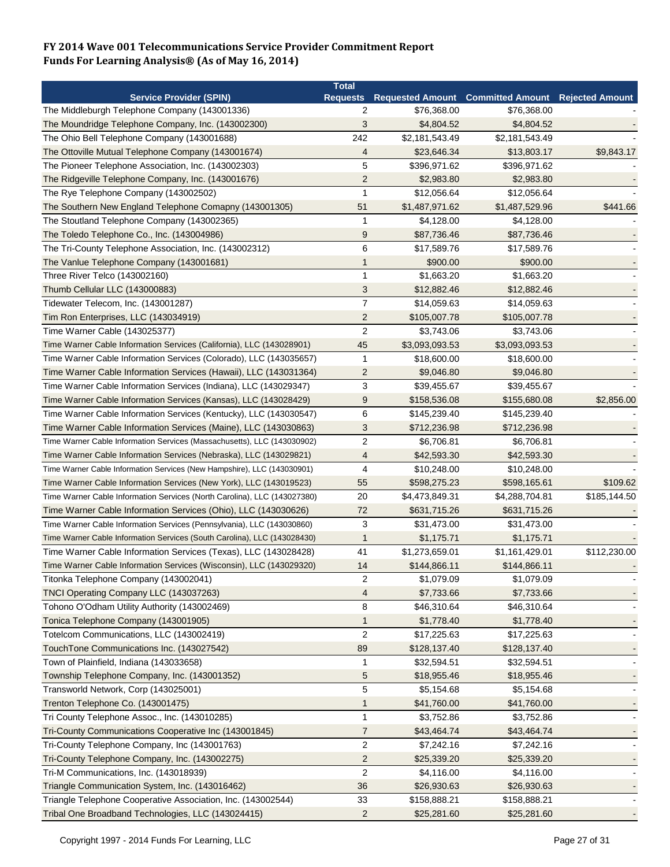|                                                                          | <b>Total</b>            |                |                                          |                        |
|--------------------------------------------------------------------------|-------------------------|----------------|------------------------------------------|------------------------|
| <b>Service Provider (SPIN)</b>                                           | <b>Requests</b>         |                | <b>Requested Amount Committed Amount</b> | <b>Rejected Amount</b> |
| The Middleburgh Telephone Company (143001336)                            | 2                       | \$76,368.00    | \$76,368.00                              |                        |
| The Moundridge Telephone Company, Inc. (143002300)                       | 3                       | \$4,804.52     | \$4,804.52                               |                        |
| The Ohio Bell Telephone Company (143001688)                              | 242                     | \$2,181,543.49 | \$2,181,543.49                           |                        |
| The Ottoville Mutual Telephone Company (143001674)                       | 4                       | \$23,646.34    | \$13,803.17                              | \$9,843.17             |
| The Pioneer Telephone Association, Inc. (143002303)                      | 5                       | \$396,971.62   | \$396,971.62                             |                        |
| The Ridgeville Telephone Company, Inc. (143001676)                       | $\overline{2}$          | \$2,983.80     | \$2,983.80                               |                        |
| The Rye Telephone Company (143002502)                                    | 1                       | \$12,056.64    | \$12,056.64                              |                        |
| The Southern New England Telephone Comapny (143001305)                   | 51                      | \$1,487,971.62 | \$1,487,529.96                           | \$441.66               |
| The Stoutland Telephone Company (143002365)                              | -1                      | \$4,128.00     | \$4,128.00                               |                        |
| The Toledo Telephone Co., Inc. (143004986)                               | 9                       | \$87,736.46    | \$87,736.46                              |                        |
| The Tri-County Telephone Association, Inc. (143002312)                   | 6                       | \$17,589.76    | \$17,589.76                              |                        |
| The Vanlue Telephone Company (143001681)                                 | 1                       | \$900.00       | \$900.00                                 |                        |
| Three River Telco (143002160)                                            | $\mathbf{1}$            | \$1,663.20     | \$1,663.20                               |                        |
| Thumb Cellular LLC (143000883)                                           | 3                       | \$12,882.46    | \$12,882.46                              |                        |
| Tidewater Telecom, Inc. (143001287)                                      | $\overline{7}$          | \$14,059.63    | \$14,059.63                              |                        |
| Tim Ron Enterprises, LLC (143034919)                                     | $\overline{2}$          | \$105,007.78   | \$105,007.78                             |                        |
| Time Warner Cable (143025377)                                            | $\overline{2}$          | \$3,743.06     | \$3,743.06                               |                        |
| Time Warner Cable Information Services (California), LLC (143028901)     | 45                      | \$3,093,093.53 | \$3,093,093.53                           |                        |
| Time Warner Cable Information Services (Colorado), LLC (143035657)       | $\mathbf{1}$            | \$18,600.00    | \$18,600.00                              |                        |
| Time Warner Cable Information Services (Hawaii), LLC (143031364)         | $\overline{2}$          | \$9,046.80     | \$9,046.80                               |                        |
| Time Warner Cable Information Services (Indiana), LLC (143029347)        |                         |                | \$39,455.67                              |                        |
|                                                                          | 3                       | \$39,455.67    |                                          |                        |
| Time Warner Cable Information Services (Kansas), LLC (143028429)         | 9                       | \$158,536.08   | \$155,680.08                             | \$2,856.00             |
| Time Warner Cable Information Services (Kentucky), LLC (143030547)       | 6                       | \$145,239.40   | \$145,239.40                             |                        |
| Time Warner Cable Information Services (Maine), LLC (143030863)          | 3                       | \$712,236.98   | \$712,236.98                             |                        |
| Time Warner Cable Information Services (Massachusetts), LLC (143030902)  | $\overline{2}$          | \$6,706.81     | \$6,706.81                               |                        |
| Time Warner Cable Information Services (Nebraska), LLC (143029821)       | 4                       | \$42,593.30    | \$42,593.30                              |                        |
| Time Warner Cable Information Services (New Hampshire), LLC (143030901)  | 4                       | \$10,248.00    | \$10,248.00                              |                        |
| Time Warner Cable Information Services (New York), LLC (143019523)       | 55                      | \$598,275.23   | \$598,165.61                             | \$109.62               |
| Time Warner Cable Information Services (North Carolina), LLC (143027380) | 20                      | \$4,473,849.31 | \$4,288,704.81                           | \$185,144.50           |
| Time Warner Cable Information Services (Ohio), LLC (143030626)           | 72                      | \$631,715.26   | \$631,715.26                             |                        |
| Time Warner Cable Information Services (Pennsylvania), LLC (143030860)   | 3                       | \$31,473.00    | \$31,473.00                              |                        |
| Time Warner Cable Information Services (South Carolina), LLC (143028430) | 1                       | \$1,175.71     | \$1,175.71                               |                        |
| Time Warner Cable Information Services (Texas), LLC (143028428)          | 41                      | \$1,273,659.01 | \$1,161,429.01                           | \$112,230.00           |
| Time Warner Cable Information Services (Wisconsin), LLC (143029320)      | 14                      | \$144,866.11   | \$144,866.11                             |                        |
| Titonka Telephone Company (143002041)                                    | $\overline{\mathbf{c}}$ | \$1,079.09     | \$1,079.09                               |                        |
| TNCI Operating Company LLC (143037263)                                   | 4                       | \$7,733.66     | \$7,733.66                               |                        |
| Tohono O'Odham Utility Authority (143002469)                             | 8                       | \$46,310.64    | \$46,310.64                              |                        |
| Tonica Telephone Company (143001905)                                     | $\mathbf{1}$            | \$1,778.40     | \$1,778.40                               |                        |
| Totelcom Communications, LLC (143002419)                                 | $\overline{2}$          | \$17,225.63    | \$17,225.63                              |                        |
| TouchTone Communications Inc. (143027542)                                | 89                      | \$128,137.40   | \$128,137.40                             |                        |
| Town of Plainfield, Indiana (143033658)                                  | $\mathbf 1$             | \$32,594.51    | \$32,594.51                              |                        |
| Township Telephone Company, Inc. (143001352)                             | 5                       | \$18,955.46    | \$18,955.46                              |                        |
| Transworld Network, Corp (143025001)                                     | 5                       | \$5,154.68     | \$5,154.68                               |                        |
| Trenton Telephone Co. (143001475)                                        | 1                       | \$41,760.00    | \$41,760.00                              |                        |
| Tri County Telephone Assoc., Inc. (143010285)                            | $\mathbf{1}$            | \$3,752.86     | \$3,752.86                               |                        |
| Tri-County Communications Cooperative Inc (143001845)                    | $\overline{7}$          | \$43,464.74    | \$43,464.74                              |                        |
| Tri-County Telephone Company, Inc (143001763)                            | $\overline{c}$          | \$7,242.16     | \$7,242.16                               |                        |
| Tri-County Telephone Company, Inc. (143002275)                           | $\overline{c}$          | \$25,339.20    | \$25,339.20                              |                        |
| Tri-M Communications, Inc. (143018939)                                   | $\overline{c}$          | \$4,116.00     | \$4,116.00                               |                        |
|                                                                          |                         |                |                                          |                        |
| Triangle Communication System, Inc. (143016462)                          | 36                      | \$26,930.63    | \$26,930.63                              |                        |
| Triangle Telephone Cooperative Association, Inc. (143002544)             | 33                      | \$158,888.21   | \$158,888.21                             |                        |
| Tribal One Broadband Technologies, LLC (143024415)                       | $\overline{2}$          | \$25,281.60    | \$25,281.60                              |                        |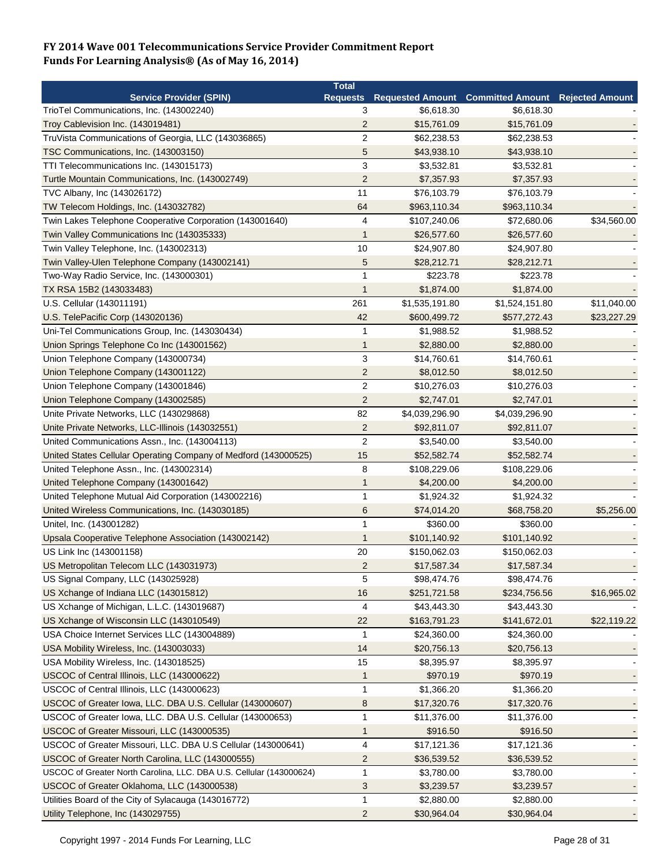|                                                                     | <b>Total</b>    |                |                                                   |             |
|---------------------------------------------------------------------|-----------------|----------------|---------------------------------------------------|-------------|
| <b>Service Provider (SPIN)</b>                                      | <b>Requests</b> |                | Requested Amount Committed Amount Rejected Amount |             |
| TrioTel Communications, Inc. (143002240)                            | 3               | \$6,618.30     | \$6,618.30                                        |             |
| Troy Cablevision Inc. (143019481)                                   | $\overline{2}$  | \$15,761.09    | \$15,761.09                                       |             |
| TruVista Communications of Georgia, LLC (143036865)                 | $\overline{2}$  | \$62,238.53    | \$62,238.53                                       |             |
| TSC Communications, Inc. (143003150)                                | 5               | \$43,938.10    | \$43,938.10                                       |             |
| TTI Telecommunications Inc. (143015173)                             | 3               | \$3,532.81     | \$3,532.81                                        |             |
| Turtle Mountain Communications, Inc. (143002749)                    | $\overline{2}$  | \$7,357.93     | \$7,357.93                                        |             |
| TVC Albany, Inc (143026172)                                         | 11              | \$76,103.79    | \$76,103.79                                       |             |
| TW Telecom Holdings, Inc. (143032782)                               | 64              | \$963,110.34   | \$963,110.34                                      |             |
| Twin Lakes Telephone Cooperative Corporation (143001640)            | 4               | \$107,240.06   | \$72,680.06                                       | \$34,560.00 |
| Twin Valley Communications Inc (143035333)                          | $\mathbf 1$     | \$26,577.60    | \$26,577.60                                       |             |
| Twin Valley Telephone, Inc. (143002313)                             | 10              | \$24,907.80    | \$24,907.80                                       |             |
| Twin Valley-Ulen Telephone Company (143002141)                      | 5               | \$28,212.71    | \$28,212.71                                       |             |
| Two-Way Radio Service, Inc. (143000301)                             | $\mathbf 1$     | \$223.78       | \$223.78                                          |             |
| TX RSA 15B2 (143033483)                                             | 1               | \$1,874.00     | \$1,874.00                                        |             |
| U.S. Cellular (143011191)                                           | 261             | \$1,535,191.80 | \$1,524,151.80                                    | \$11,040.00 |
| U.S. TelePacific Corp (143020136)                                   | 42              | \$600,499.72   | \$577,272.43                                      | \$23,227.29 |
| Uni-Tel Communications Group, Inc. (143030434)                      | 1               | \$1,988.52     | \$1,988.52                                        |             |
| Union Springs Telephone Co Inc (143001562)                          | $\mathbf{1}$    | \$2,880.00     | \$2,880.00                                        |             |
| Union Telephone Company (143000734)                                 | $\sqrt{3}$      | \$14,760.61    | \$14,760.61                                       |             |
| Union Telephone Company (143001122)                                 | $\overline{2}$  | \$8,012.50     | \$8,012.50                                        |             |
|                                                                     | $\overline{c}$  |                |                                                   |             |
| Union Telephone Company (143001846)                                 |                 | \$10,276.03    | \$10,276.03                                       |             |
| Union Telephone Company (143002585)                                 | $\overline{2}$  | \$2,747.01     | \$2,747.01                                        |             |
| Unite Private Networks, LLC (143029868)                             | 82              | \$4,039,296.90 | \$4,039,296.90                                    |             |
| Unite Private Networks, LLC-Illinois (143032551)                    | $\overline{2}$  | \$92,811.07    | \$92,811.07                                       |             |
| United Communications Assn., Inc. (143004113)                       | $\overline{2}$  | \$3,540.00     | \$3,540.00                                        |             |
| United States Cellular Operating Company of Medford (143000525)     | 15              | \$52,582.74    | \$52,582.74                                       |             |
| United Telephone Assn., Inc. (143002314)                            | 8               | \$108,229.06   | \$108,229.06                                      |             |
| United Telephone Company (143001642)                                | $\mathbf 1$     | \$4,200.00     | \$4,200.00                                        |             |
| United Telephone Mutual Aid Corporation (143002216)                 | 1               | \$1,924.32     | \$1,924.32                                        |             |
| United Wireless Communications, Inc. (143030185)                    | 6               | \$74,014.20    | \$68,758.20                                       | \$5,256.00  |
| Unitel, Inc. (143001282)                                            | 1               | \$360.00       | \$360.00                                          |             |
| Upsala Cooperative Telephone Association (143002142)                | 1               | \$101,140.92   | \$101,140.92                                      |             |
| US Link Inc (143001158)                                             | 20              | \$150,062.03   | \$150,062.03                                      |             |
| US Metropolitan Telecom LLC (143031973)                             | $\overline{2}$  | \$17,587.34    | \$17,587.34                                       |             |
| US Signal Company, LLC (143025928)                                  | 5               | \$98,474.76    | \$98,474.76                                       |             |
| US Xchange of Indiana LLC (143015812)                               | 16              | \$251,721.58   | \$234,756.56                                      | \$16,965.02 |
| US Xchange of Michigan, L.L.C. (143019687)                          | 4               | \$43,443.30    | \$43,443.30                                       |             |
| US Xchange of Wisconsin LLC (143010549)                             | 22              | \$163,791.23   | \$141,672.01                                      | \$22,119.22 |
| USA Choice Internet Services LLC (143004889)                        | -1              | \$24,360.00    | \$24,360.00                                       |             |
| USA Mobility Wireless, Inc. (143003033)                             | 14              | \$20,756.13    | \$20,756.13                                       |             |
| USA Mobility Wireless, Inc. (143018525)                             | 15              | \$8,395.97     | \$8,395.97                                        |             |
| USCOC of Central Illinois, LLC (143000622)                          | $\mathbf{1}$    | \$970.19       | \$970.19                                          |             |
| USCOC of Central Illinois, LLC (143000623)                          | $\mathbf 1$     | \$1,366.20     | \$1,366.20                                        |             |
| USCOC of Greater Iowa, LLC. DBA U.S. Cellular (143000607)           | 8               | \$17,320.76    | \$17,320.76                                       |             |
| USCOC of Greater Iowa, LLC. DBA U.S. Cellular (143000653)           | $\mathbf{1}$    | \$11,376.00    | \$11,376.00                                       |             |
| USCOC of Greater Missouri, LLC (143000535)                          | 1               | \$916.50       | \$916.50                                          |             |
| USCOC of Greater Missouri, LLC. DBA U.S Cellular (143000641)        | 4               | \$17,121.36    | \$17,121.36                                       |             |
| USCOC of Greater North Carolina, LLC (143000555)                    | $\overline{c}$  | \$36,539.52    | \$36,539.52                                       |             |
| USCOC of Greater North Carolina, LLC. DBA U.S. Cellular (143000624) | $\mathbf{1}$    | \$3,780.00     | \$3,780.00                                        |             |
| USCOC of Greater Oklahoma, LLC (143000538)                          | $\sqrt{3}$      | \$3,239.57     | \$3,239.57                                        |             |
| Utilities Board of the City of Sylacauga (143016772)                | $\mathbf{1}$    | \$2,880.00     | \$2,880.00                                        |             |
|                                                                     |                 |                |                                                   |             |
| Utility Telephone, Inc (143029755)                                  | $\overline{2}$  | \$30,964.04    | \$30,964.04                                       |             |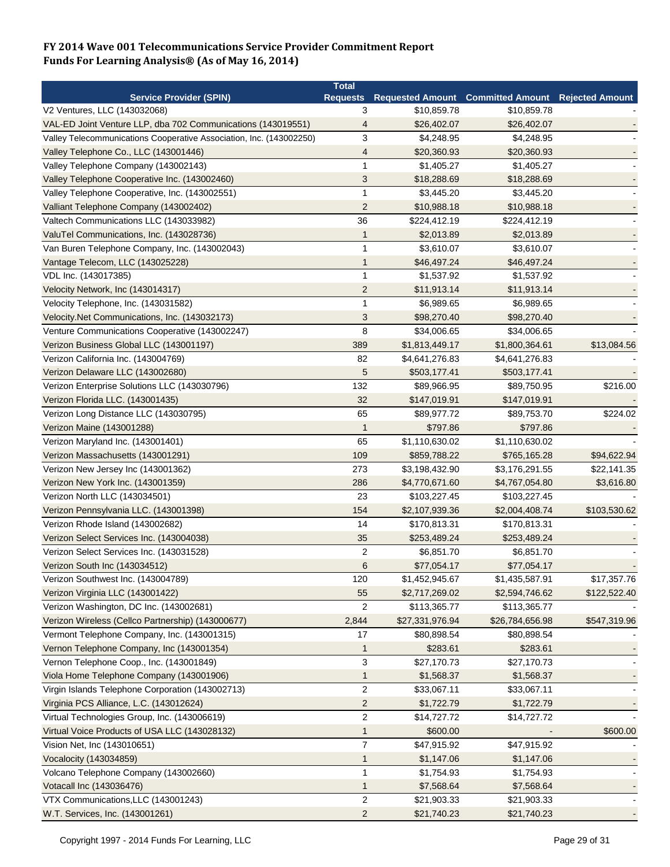|                                                                     | <b>Total</b>   |                 |                                                   |                            |
|---------------------------------------------------------------------|----------------|-----------------|---------------------------------------------------|----------------------------|
| <b>Service Provider (SPIN)</b>                                      |                |                 | <b>Requests Requested Amount Committed Amount</b> | <b>Rejected Amount</b>     |
| V2 Ventures, LLC (143032068)                                        | 3              | \$10,859.78     | \$10,859.78                                       |                            |
| VAL-ED Joint Venture LLP, dba 702 Communications (143019551)        | 4              | \$26,402.07     | \$26,402.07                                       |                            |
| Valley Telecommunications Cooperative Association, Inc. (143002250) | 3              | \$4,248.95      | \$4,248.95                                        |                            |
| Valley Telephone Co., LLC (143001446)                               | 4              | \$20,360.93     | \$20,360.93                                       |                            |
| Valley Telephone Company (143002143)                                | 1              | \$1,405.27      | \$1,405.27                                        |                            |
| Valley Telephone Cooperative Inc. (143002460)                       | 3              | \$18,288.69     | \$18,288.69                                       |                            |
| Valley Telephone Cooperative, Inc. (143002551)                      | 1              | \$3,445.20      | \$3,445.20                                        |                            |
| Valliant Telephone Company (143002402)                              | $\overline{2}$ | \$10,988.18     | \$10,988.18                                       |                            |
| Valtech Communications LLC (143033982)                              | 36             | \$224,412.19    | \$224,412.19                                      |                            |
| ValuTel Communications, Inc. (143028736)                            | $\mathbf{1}$   | \$2,013.89      | \$2,013.89                                        |                            |
| Van Buren Telephone Company, Inc. (143002043)                       | $\mathbf{1}$   | \$3,610.07      | \$3,610.07                                        |                            |
| Vantage Telecom, LLC (143025228)                                    | 1              | \$46,497.24     | \$46,497.24                                       |                            |
| VDL Inc. (143017385)                                                | 1              | \$1,537.92      | \$1,537.92                                        |                            |
| Velocity Network, Inc (143014317)                                   | $\overline{2}$ | \$11,913.14     | \$11,913.14                                       |                            |
| Velocity Telephone, Inc. (143031582)                                | 1              | \$6,989.65      | \$6,989.65                                        |                            |
| Velocity.Net Communications, Inc. (143032173)                       | 3              | \$98,270.40     | \$98,270.40                                       |                            |
| Venture Communications Cooperative (143002247)                      | 8              | \$34,006.65     | \$34,006.65                                       |                            |
| Verizon Business Global LLC (143001197)                             | 389            | \$1,813,449.17  | \$1,800,364.61                                    | \$13,084.56                |
| Verizon California Inc. (143004769)                                 | 82             | \$4,641,276.83  | \$4,641,276.83                                    |                            |
| Verizon Delaware LLC (143002680)                                    | 5              | \$503,177.41    | \$503,177.41                                      |                            |
| Verizon Enterprise Solutions LLC (143030796)                        | 132            | \$89,966.95     | \$89,750.95                                       | \$216.00                   |
| Verizon Florida LLC. (143001435)                                    | 32             | \$147,019.91    | \$147,019.91                                      |                            |
| Verizon Long Distance LLC (143030795)                               | 65             | \$89,977.72     | \$89,753.70                                       | \$224.02                   |
| Verizon Maine (143001288)                                           | $\mathbf{1}$   | \$797.86        | \$797.86                                          |                            |
| Verizon Maryland Inc. (143001401)                                   | 65             | \$1,110,630.02  | \$1,110,630.02                                    |                            |
| Verizon Massachusetts (143001291)                                   | 109            | \$859,788.22    | \$765,165.28                                      |                            |
| Verizon New Jersey Inc (143001362)                                  | 273            | \$3,198,432.90  | \$3,176,291.55                                    | \$94,622.94<br>\$22,141.35 |
|                                                                     | 286            | \$4,770,671.60  |                                                   |                            |
| Verizon New York Inc. (143001359)                                   | 23             |                 | \$4,767,054.80                                    | \$3,616.80                 |
| Verizon North LLC (143034501)                                       |                | \$103,227.45    | \$103,227.45                                      |                            |
| Verizon Pennsylvania LLC. (143001398)                               | 154<br>14      | \$2,107,939.36  | \$2,004,408.74                                    | \$103,530.62               |
| Verizon Rhode Island (143002682)                                    |                | \$170,813.31    | \$170,813.31                                      |                            |
| Verizon Select Services Inc. (143004038)                            | 35             | \$253,489.24    | \$253,489.24                                      |                            |
| Verizon Select Services Inc. (143031528)                            | $\overline{2}$ | \$6,851.70      | \$6,851.70                                        |                            |
| Verizon South Inc (143034512)                                       | 6              | \$77,054.17     | \$77,054.17                                       |                            |
| Verizon Southwest Inc. (143004789)                                  | 120            | \$1,452,945.67  | \$1,435,587.91                                    | \$17,357.76                |
| Verizon Virginia LLC (143001422)                                    | 55             | \$2,717,269.02  | \$2,594,746.62                                    | \$122,522.40               |
| Verizon Washington, DC Inc. (143002681)                             | $\overline{2}$ | \$113,365.77    | \$113,365.77                                      |                            |
| Verizon Wireless (Cellco Partnership) (143000677)                   | 2,844          | \$27,331,976.94 | \$26,784,656.98                                   | \$547,319.96               |
| Vermont Telephone Company, Inc. (143001315)                         | 17             | \$80,898.54     | \$80,898.54                                       |                            |
| Vernon Telephone Company, Inc (143001354)                           | $\mathbf{1}$   | \$283.61        | \$283.61                                          |                            |
| Vernon Telephone Coop., Inc. (143001849)                            | 3              | \$27,170.73     | \$27,170.73                                       |                            |
| Viola Home Telephone Company (143001906)                            | 1              | \$1,568.37      | \$1,568.37                                        |                            |
| Virgin Islands Telephone Corporation (143002713)                    | $\overline{2}$ | \$33,067.11     | \$33,067.11                                       |                            |
| Virginia PCS Alliance, L.C. (143012624)                             | $\overline{c}$ | \$1,722.79      | \$1,722.79                                        |                            |
| Virtual Technologies Group, Inc. (143006619)                        | $\sqrt{2}$     | \$14,727.72     | \$14,727.72                                       |                            |
| Virtual Voice Products of USA LLC (143028132)                       | 1              | \$600.00        |                                                   | \$600.00                   |
| Vision Net, Inc (143010651)                                         | $\overline{7}$ | \$47,915.92     | \$47,915.92                                       |                            |
| Vocalocity (143034859)                                              | $\mathbf{1}$   | \$1,147.06      | \$1,147.06                                        |                            |
| Volcano Telephone Company (143002660)                               | $\mathbf{1}$   | \$1,754.93      | \$1,754.93                                        |                            |
| Votacall Inc (143036476)                                            | $\mathbf{1}$   | \$7,568.64      | \$7,568.64                                        |                            |
| VTX Communications, LLC (143001243)                                 | $\overline{2}$ | \$21,903.33     | \$21,903.33                                       |                            |
| W.T. Services, Inc. (143001261)                                     | $\overline{c}$ | \$21,740.23     | \$21,740.23                                       |                            |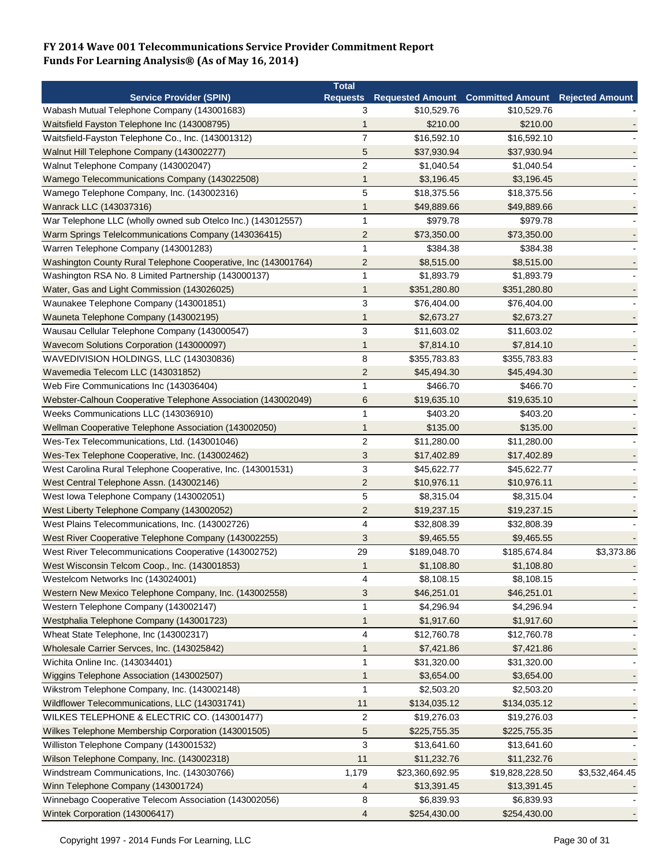|                                                                | <b>Total</b>    |                 |                                                          |                |
|----------------------------------------------------------------|-----------------|-----------------|----------------------------------------------------------|----------------|
| <b>Service Provider (SPIN)</b>                                 | <b>Requests</b> |                 | <b>Requested Amount Committed Amount Rejected Amount</b> |                |
| Wabash Mutual Telephone Company (143001683)                    | 3               | \$10,529.76     | \$10,529.76                                              |                |
| Waitsfield Fayston Telephone Inc (143008795)                   | 1               | \$210.00        | \$210.00                                                 |                |
| Waitsfield-Fayston Telephone Co., Inc. (143001312)             | $\overline{7}$  | \$16,592.10     | \$16,592.10                                              |                |
| Walnut Hill Telephone Company (143002277)                      | 5               | \$37,930.94     | \$37,930.94                                              |                |
| Walnut Telephone Company (143002047)                           | $\overline{c}$  | \$1,040.54      | \$1,040.54                                               |                |
| Wamego Telecommunications Company (143022508)                  | $\mathbf{1}$    | \$3,196.45      | \$3,196.45                                               |                |
| Wamego Telephone Company, Inc. (143002316)                     | 5               | \$18,375.56     | \$18,375.56                                              |                |
| Wanrack LLC (143037316)                                        | $\mathbf{1}$    | \$49,889.66     | \$49,889.66                                              |                |
| War Telephone LLC (wholly owned sub Otelco Inc.) (143012557)   | 1               | \$979.78        | \$979.78                                                 |                |
| Warm Springs Telelcommunications Company (143036415)           | $\overline{c}$  | \$73,350.00     | \$73,350.00                                              |                |
| Warren Telephone Company (143001283)                           | 1               | \$384.38        | \$384.38                                                 |                |
| Washington County Rural Telephone Cooperative, Inc (143001764) | $\overline{c}$  | \$8,515.00      | \$8,515.00                                               |                |
| Washington RSA No. 8 Limited Partnership (143000137)           | $\mathbf{1}$    | \$1,893.79      | \$1,893.79                                               |                |
| Water, Gas and Light Commission (143026025)                    | 1               | \$351,280.80    | \$351,280.80                                             |                |
| Waunakee Telephone Company (143001851)                         | 3               | \$76,404.00     | \$76,404.00                                              |                |
| Wauneta Telephone Company (143002195)                          | 1               | \$2,673.27      | \$2,673.27                                               |                |
| Wausau Cellular Telephone Company (143000547)                  | 3               | \$11,603.02     | \$11,603.02                                              |                |
| Wavecom Solutions Corporation (143000097)                      | 1               | \$7,814.10      | \$7,814.10                                               |                |
| WAVEDIVISION HOLDINGS, LLC (143030836)                         | 8               | \$355,783.83    | \$355,783.83                                             |                |
| Wavemedia Telecom LLC (143031852)                              | $\overline{c}$  | \$45,494.30     | \$45,494.30                                              |                |
| Web Fire Communications Inc (143036404)                        | $\mathbf{1}$    | \$466.70        | \$466.70                                                 |                |
|                                                                | 6               |                 | \$19,635.10                                              |                |
| Webster-Calhoun Cooperative Telephone Association (143002049)  |                 | \$19,635.10     |                                                          |                |
| Weeks Communications LLC (143036910)                           | $\mathbf{1}$    | \$403.20        | \$403.20                                                 |                |
| Wellman Cooperative Telephone Association (143002050)          | 1               | \$135.00        | \$135.00                                                 |                |
| Wes-Tex Telecommunications, Ltd. (143001046)                   | $\overline{2}$  | \$11,280.00     | \$11,280.00                                              |                |
| Wes-Tex Telephone Cooperative, Inc. (143002462)                | 3               | \$17,402.89     | \$17,402.89                                              |                |
| West Carolina Rural Telephone Cooperative, Inc. (143001531)    | 3               | \$45,622.77     | \$45,622.77                                              |                |
| West Central Telephone Assn. (143002146)                       | $\overline{2}$  | \$10,976.11     | \$10,976.11                                              |                |
| West Iowa Telephone Company (143002051)                        | 5               | \$8,315.04      | \$8,315.04                                               |                |
| West Liberty Telephone Company (143002052)                     | $\overline{2}$  | \$19,237.15     | \$19,237.15                                              |                |
| West Plains Telecommunications, Inc. (143002726)               | 4               | \$32,808.39     | \$32,808.39                                              |                |
| West River Cooperative Telephone Company (143002255)           | 3               | \$9,465.55      | \$9,465.55                                               |                |
| West River Telecommunications Cooperative (143002752)          | 29              | \$189,048.70    | \$185,674.84                                             | \$3,373.86     |
| West Wisconsin Telcom Coop., Inc. (143001853)                  | $\mathbf 1$     | \$1,108.80      | \$1,108.80                                               |                |
| Westelcom Networks Inc (143024001)                             | 4               | \$8,108.15      | \$8,108.15                                               |                |
| Western New Mexico Telephone Company, Inc. (143002558)         | 3               | \$46,251.01     | \$46,251.01                                              |                |
| Western Telephone Company (143002147)                          | 1               | \$4,296.94      | \$4,296.94                                               |                |
| Westphalia Telephone Company (143001723)                       | $\mathbf{1}$    | \$1,917.60      | \$1,917.60                                               |                |
| Wheat State Telephone, Inc (143002317)                         | 4               | \$12,760.78     | \$12,760.78                                              |                |
| Wholesale Carrier Servces, Inc. (143025842)                    | 1               | \$7,421.86      | \$7,421.86                                               |                |
| Wichita Online Inc. (143034401)                                | 1               | \$31,320.00     | \$31,320.00                                              |                |
| Wiggins Telephone Association (143002507)                      | 1               | \$3,654.00      | \$3,654.00                                               |                |
| Wikstrom Telephone Company, Inc. (143002148)                   | 1               | \$2,503.20      | \$2,503.20                                               |                |
| Wildflower Telecommunications, LLC (143031741)                 | 11              | \$134,035.12    | \$134,035.12                                             |                |
| WILKES TELEPHONE & ELECTRIC CO. (143001477)                    | 2               | \$19,276.03     | \$19,276.03                                              |                |
| Wilkes Telephone Membership Corporation (143001505)            | 5               | \$225,755.35    | \$225,755.35                                             |                |
| Williston Telephone Company (143001532)                        | 3               | \$13,641.60     | \$13,641.60                                              |                |
| Wilson Telephone Company, Inc. (143002318)                     | 11              | \$11,232.76     | \$11,232.76                                              |                |
| Windstream Communications, Inc. (143030766)                    | 1,179           | \$23,360,692.95 | \$19,828,228.50                                          | \$3,532,464.45 |
| Winn Telephone Company (143001724)                             | 4               | \$13,391.45     | \$13,391.45                                              |                |
| Winnebago Cooperative Telecom Association (143002056)          | 8               | \$6,839.93      | \$6,839.93                                               |                |
| Wintek Corporation (143006417)                                 | 4               | \$254,430.00    | \$254,430.00                                             |                |
|                                                                |                 |                 |                                                          |                |